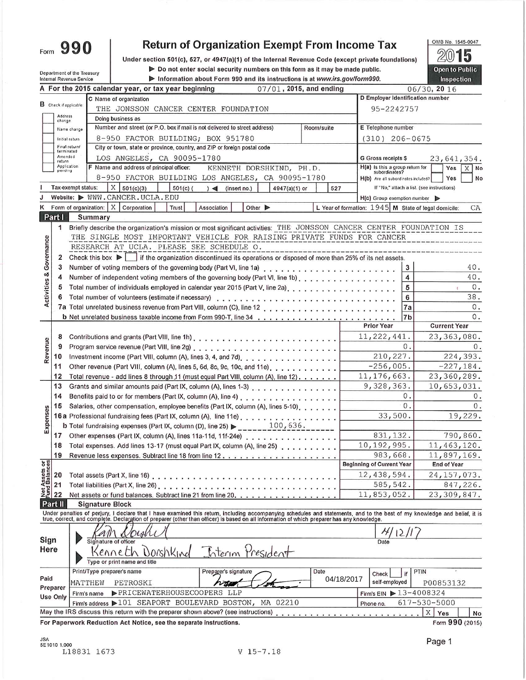Form 990

Department of the Treasury

## **Return of Organization Exempt From Income Tax**

Under section 501(c), 527, or 4947(a)(1) of the Internal Revenue Code (except private foundations) Do not enter social security numbers on this form as it may be made public.  $\triangleright$  Information about Form 990 and its instructions is at www.irs.gov/form990

2015 **Open to Public** 

OMB No. 1545-0047

|                                |                        | internal Revenue Service<br>Thromation about Form 990 and its instructions is at www.irs.gov/romi990.                                                                                                                             |            |                                                      | mspection                                                  |
|--------------------------------|------------------------|-----------------------------------------------------------------------------------------------------------------------------------------------------------------------------------------------------------------------------------|------------|------------------------------------------------------|------------------------------------------------------------|
|                                |                        | A For the 2015 calendar year, or tax year beginning<br>$07/01$ , 2015, and ending                                                                                                                                                 |            |                                                      | 06/30, 20 16                                               |
|                                |                        | C Name of organization                                                                                                                                                                                                            |            |                                                      | D Employer identification number                           |
|                                | B Check if applicable: | THE JONSSON CANCER CENTER FOUNDATION                                                                                                                                                                                              |            | 95-2242757                                           |                                                            |
|                                | Address<br>change      | Doing business as                                                                                                                                                                                                                 |            |                                                      |                                                            |
|                                |                        | Number and street (or P.O. box if mail is not delivered to street address)<br>Name change                                                                                                                                         | Room/suite | E Telephone number                                   |                                                            |
|                                |                        | 8-950 FACTOR BUILDING; BOX 951780<br>Initial return                                                                                                                                                                               |            | $(310)$ 206-0675                                     |                                                            |
|                                |                        | Final return/<br>City or town, state or province, country, and ZIP or foreign postal code                                                                                                                                         |            |                                                      |                                                            |
|                                | terminated<br>Amended  | LOS ANGELES, CA 90095-1780                                                                                                                                                                                                        |            | G Gross receipts \$                                  | 23,641,354.                                                |
|                                | return<br>Application  | F Name and address of principal officer:<br>KENNETH DORSHKIND, PH.D.                                                                                                                                                              |            | H(a) is this a group return for                      | Yes<br>$X$ No                                              |
|                                | pending                | 8-950 FACTOR BUILDING LOS ANGELES, CA 90095-1780                                                                                                                                                                                  |            | subordinates?<br>H(b) Are all subordinates included? | Yes<br>No                                                  |
|                                |                        | $X \mid 501(c)(3)$<br>Tax-exempt status:<br>$501(c)$ (<br>$) \triangleleft$ (insert no.)<br>4947(a)(1) or                                                                                                                         | 527        |                                                      | If "No," attach a list. (see instructions)                 |
|                                |                        | Website: $\blacktriangleright$ WWW.CANCER.UCLA.EDU                                                                                                                                                                                |            | $H(c)$ Group exemption number                        |                                                            |
| ĸ                              |                        | Form of organization:   X   Corporation<br>Trust<br>Other $\triangleright$<br>Association                                                                                                                                         |            |                                                      | L Year of formation: 1945 M State of legal domicile:<br>CA |
|                                | Part I                 | Summary                                                                                                                                                                                                                           |            |                                                      |                                                            |
|                                | 1                      |                                                                                                                                                                                                                                   |            |                                                      |                                                            |
|                                |                        | Briefly describe the organization's mission or most significant activities: THE JONSSON CANCER CENTER FOUNDATION IS<br>THE SINGLE MOST IMPORTANT VEHICLE FOR RAISING PRIVATE FUNDS FOR CANCER                                     |            |                                                      |                                                            |
|                                |                        | RESEARCH AT UCLA. PLEASE SEE SCHEDULE O.                                                                                                                                                                                          |            |                                                      |                                                            |
|                                |                        |                                                                                                                                                                                                                                   |            |                                                      |                                                            |
| Governance                     | 2                      | Check this box ▶   if the organization discontinued its operations or disposed of more than 25% of its net assets.                                                                                                                |            |                                                      |                                                            |
|                                | 3                      |                                                                                                                                                                                                                                   |            |                                                      | 3<br>40.                                                   |
|                                | 4                      | Number of independent voting members of the governing body (Part VI, line 1b).                                                                                                                                                    |            |                                                      | 4<br>40.                                                   |
| Activities &                   | 5                      |                                                                                                                                                                                                                                   |            |                                                      | 5<br>0.<br>$\epsilon$                                      |
|                                | 6                      | Total number of volunteers (estimate if necessary)                                                                                                                                                                                |            |                                                      | 6<br>38.                                                   |
|                                |                        |                                                                                                                                                                                                                                   |            |                                                      | 0.<br>7a                                                   |
|                                |                        |                                                                                                                                                                                                                                   |            |                                                      | $\mathbf 0$ .<br>7b                                        |
|                                |                        |                                                                                                                                                                                                                                   |            | <b>Prior Year</b>                                    | <b>Current Year</b>                                        |
|                                | 8                      | Contributions and grants (Part VIII, line 1h)                                                                                                                                                                                     |            | 11,222,441.                                          | 23, 363, 080.                                              |
| Revenue                        | 9                      |                                                                                                                                                                                                                                   |            |                                                      | 0.<br>$\Omega$ .                                           |
|                                | 10                     | Investment income (Part VIII, column (A), lines 3, 4, and 7d),                                                                                                                                                                    |            | 210,227.                                             | 224,393.                                                   |
|                                | 11                     | Other revenue (Part VIII, column (A), lines 5, 6d, 8c, 9c, 10c, and 11e),                                                                                                                                                         |            | $-256,005.$                                          | $-227,184.$                                                |
|                                | 12                     | Total revenue - add lines 8 through 11 (must equal Part VIII, column (A), line 12).                                                                                                                                               |            | 11, 176, 663.                                        | 23,360,289.                                                |
|                                | 13                     |                                                                                                                                                                                                                                   |            | 9,328,363.                                           | 10,653,031.                                                |
|                                | 14                     |                                                                                                                                                                                                                                   |            |                                                      | 0.<br>$0$ .                                                |
|                                | 15                     | Salaries, other compensation, employee benefits (Part IX, column (A), lines 5-10).                                                                                                                                                |            |                                                      | 0.<br>$0$ .                                                |
|                                |                        |                                                                                                                                                                                                                                   |            | 33,500.                                              | 19,229.                                                    |
| Expenses                       |                        | <b>b</b> Total fundraising expenses (Part IX, column (D), line 25) $\triangleright$ ______100, 636.                                                                                                                               |            |                                                      |                                                            |
|                                | 17                     | Other expenses (Part IX, column (A), lines 11a-11d, 11f-24e)                                                                                                                                                                      |            | 831, 132.                                            | 790,860.                                                   |
|                                | 18                     | Total expenses. Add lines 13-17 (must equal Part IX, column (A), line 25)                                                                                                                                                         |            | 10,192,995.                                          | 11,463,120.                                                |
|                                | 19                     |                                                                                                                                                                                                                                   |            | 983,668.                                             | 11,897,169.                                                |
| Net Assets or<br>Fund Balances |                        |                                                                                                                                                                                                                                   |            | <b>Beginning of Current Year</b>                     | End of Year                                                |
|                                | 20                     | Total assets (Part X, line 16)                                                                                                                                                                                                    |            | 12,438,594.                                          | 24, 157, 073.                                              |
|                                | 21                     | Total liabilities (Part X, line 26)                                                                                                                                                                                               |            | 585,542.                                             | 847,226.                                                   |
|                                | 22                     | Net assets or fund balances. Subtract line 21 from line 20.                                                                                                                                                                       |            | 11,853,052.                                          | 23,309,847.                                                |
|                                | Part II                | <b>Signature Block</b>                                                                                                                                                                                                            |            |                                                      |                                                            |
|                                |                        | Under penalties of perjury, I declare that I have examined this retum, including accompanying schedules and statements, and to the best of my knowledge and belief, it is<br>true, correct, and complete. Declargtion of preparer |            |                                                      |                                                            |
|                                |                        |                                                                                                                                                                                                                                   |            |                                                      |                                                            |
|                                |                        |                                                                                                                                                                                                                                   |            |                                                      |                                                            |
| Sign                           |                        | Signature of officer                                                                                                                                                                                                              |            | Date                                                 |                                                            |
| Here                           |                        | orshking<br><u>Enterim</u><br>President                                                                                                                                                                                           |            |                                                      |                                                            |
|                                |                        | Type or print name and title                                                                                                                                                                                                      |            |                                                      |                                                            |
|                                |                        | Print/Type preparer's name<br>Preparer's signature                                                                                                                                                                                | Date       | Check                                                | PTIN<br>if                                                 |
| Paid                           |                        | MATTHEW<br>PETROSKI                                                                                                                                                                                                               | 04/18/2017 | self-employed                                        | P00853132                                                  |
|                                | Preparer<br>Use Only   | PRICEWATERHOUSECOOPERS LLP<br>Firm's name                                                                                                                                                                                         |            | Firm's EIN 13-4008324                                |                                                            |
|                                |                        | Firm's address >101 SEAPORT BOULEVARD BOSTON, MA<br>02210                                                                                                                                                                         |            | Phone no.                                            | 617-530-5000                                               |
|                                |                        | May the IRS discuss this return with the preparer shown above? (see instructions)                                                                                                                                                 |            |                                                      | $X \mid$<br>Yes<br>No                                      |
|                                |                        | For Paperwork Reduction Act Notice, see the separate instructions.                                                                                                                                                                |            |                                                      | Form 990 (2015)                                            |

For Paperwork Reduction Act Notice, see the separate instructions.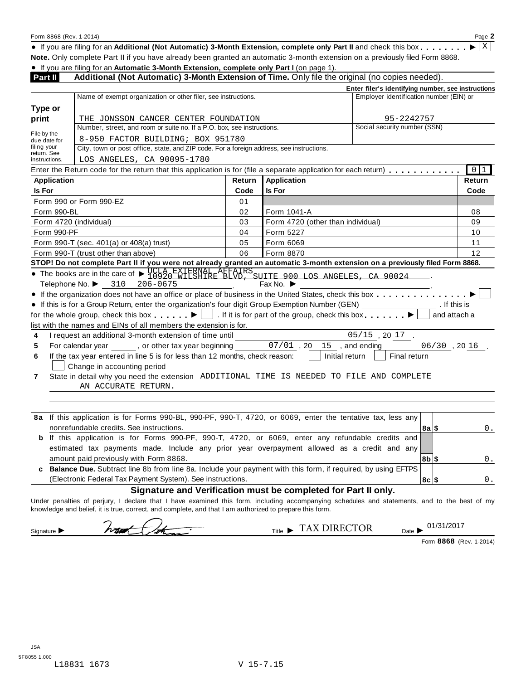Form 8868 (Rev. 1-2014) Page**<sup>2</sup>** % m 8868 (Rev. 1-2014)<br>If you are filing for an **Additional (Not Automatic) 3-Month Extension, complete only Part II** and check this box **mation** is a mexical part in its you have already been granted an automatic 3-month e **Note.** Only complete Part II if you have already been granted an automatic 3-month extension on a previously filed Form 8868.

# % If you are filing for an **Automatic 3-Month Extension, complete only Part I** (on page 1).

|                              |                                                                                                                                                                                                                                                                                                                                                                                                                                                    |                              |                                   | Enter filer's identifying number, see instructions  |        |
|------------------------------|----------------------------------------------------------------------------------------------------------------------------------------------------------------------------------------------------------------------------------------------------------------------------------------------------------------------------------------------------------------------------------------------------------------------------------------------------|------------------------------|-----------------------------------|-----------------------------------------------------|--------|
|                              | Name of exempt organization or other filer, see instructions.                                                                                                                                                                                                                                                                                                                                                                                      |                              |                                   | Employer identification number (EIN) or             |        |
| Type or                      |                                                                                                                                                                                                                                                                                                                                                                                                                                                    |                              |                                   |                                                     |        |
| print                        | THE JONSSON CANCER CENTER FOUNDATION                                                                                                                                                                                                                                                                                                                                                                                                               |                              |                                   | 95-2242757                                          |        |
|                              | Number, street, and room or suite no. If a P.O. box, see instructions.                                                                                                                                                                                                                                                                                                                                                                             | Social security number (SSN) |                                   |                                                     |        |
| File by the<br>due date for  | 8-950 FACTOR BUILDING; BOX 951780                                                                                                                                                                                                                                                                                                                                                                                                                  |                              |                                   |                                                     |        |
| filing your                  | City, town or post office, state, and ZIP code. For a foreign address, see instructions.                                                                                                                                                                                                                                                                                                                                                           |                              |                                   |                                                     |        |
| return. See<br>instructions. | LOS ANGELES, CA 90095-1780                                                                                                                                                                                                                                                                                                                                                                                                                         |                              |                                   |                                                     |        |
|                              | Enter the Return code for the return that this application is for (file a separate application for each return)                                                                                                                                                                                                                                                                                                                                    |                              |                                   |                                                     |        |
| Application                  |                                                                                                                                                                                                                                                                                                                                                                                                                                                    | Return                       | Application                       |                                                     | Return |
| <b>Is For</b>                |                                                                                                                                                                                                                                                                                                                                                                                                                                                    | Code                         | <b>Is For</b>                     |                                                     | Code   |
|                              | Form 990 or Form 990-EZ                                                                                                                                                                                                                                                                                                                                                                                                                            | 01                           |                                   |                                                     |        |
| Form 990-BL                  |                                                                                                                                                                                                                                                                                                                                                                                                                                                    | 02                           | Form 1041-A                       |                                                     | 08     |
|                              | Form 4720 (individual)                                                                                                                                                                                                                                                                                                                                                                                                                             | 03                           | Form 4720 (other than individual) |                                                     | 09     |
| Form 990-PF                  |                                                                                                                                                                                                                                                                                                                                                                                                                                                    | 04                           | Form 5227                         |                                                     | 10     |
|                              | Form 990-T (sec. 401(a) or 408(a) trust)                                                                                                                                                                                                                                                                                                                                                                                                           | 05                           | Form 6069                         |                                                     | 11     |
|                              | Form 990-T (trust other than above)                                                                                                                                                                                                                                                                                                                                                                                                                | 06                           | Form 8870                         |                                                     | 12     |
|                              | STOP! Do not complete Part II if you were not already granted an automatic 3-month extension on a previously filed Form 8868.                                                                                                                                                                                                                                                                                                                      |                              |                                   |                                                     |        |
|                              | • If the organization does not have an office or place of business in the United States, check this box<br>• If this is for a Group Return, enter the organization's four digit Group Exemption Number (GEN) __________________. If this is<br>for the whole group, check this box $\blacksquare$ . If it is for part of the group, check this box $\blacksquare$ .                                                                                |                              |                                   | and attach a                                        |        |
| 4<br>5<br>6<br>7             | list with the names and EINs of all members the extension is for.<br>I request an additional 3-month extension of time until _______<br>For calendar year , or other tax year beginning 07/01, 20 15, and ending<br>If the tax year entered in line 5 is for less than 12 months, check reason:<br>Change in accounting period<br>State in detail why you need the extension ADDITIONAL TIME IS NEEDED TO FILE AND COMPLETE<br>AN ACCURATE RETURN. |                              | Initial return $  $               | $05/15$ , 20 17.<br>$06/30$ , 2016.<br>Final return |        |
|                              | 8a If this application is for Forms 990-BL, 990-PF, 990-T, 4720, or 6069, enter the tentative tax, less any                                                                                                                                                                                                                                                                                                                                        |                              |                                   |                                                     |        |
|                              | nonrefundable credits. See instructions.                                                                                                                                                                                                                                                                                                                                                                                                           |                              |                                   | $8a$ $\sqrt{5}$                                     |        |
|                              | <b>b</b> If this application is for Forms 990-PF, 990-T, 4720, or 6069, enter any refundable credits and                                                                                                                                                                                                                                                                                                                                           |                              |                                   |                                                     |        |
|                              | estimated tax payments made. Include any prior year overpayment allowed as a credit and any                                                                                                                                                                                                                                                                                                                                                        |                              |                                   |                                                     | 0.     |
|                              | amount paid previously with Form 8868.                                                                                                                                                                                                                                                                                                                                                                                                             |                              |                                   | $8b$ \$                                             | $0$ .  |
|                              | Balance Due. Subtract line 8b from line 8a. Include your payment with this form, if required, by using EFTPS                                                                                                                                                                                                                                                                                                                                       |                              |                                   |                                                     |        |

#### **Signature and Verification must be completed for Part II only.**

Under penalties of perjury, I declare that I have examined this form, including accompanying schedules and statements, and to the best of my knowledge and belief, it is true, correct, and complete, and that I am authorized to prepare this form.

Signature  $\triangleright$   $\overbrace{\phantom{a}\text{Number of freedom}}$   $\overbrace{\phantom{a}\text{Time of a}}$  TAX DIRECTOR  $\phantom{a}\text{Date of a}}$  01/31 Date  $\triangleright$  01/31/2017

Form **8868** (Rev. 1-2014)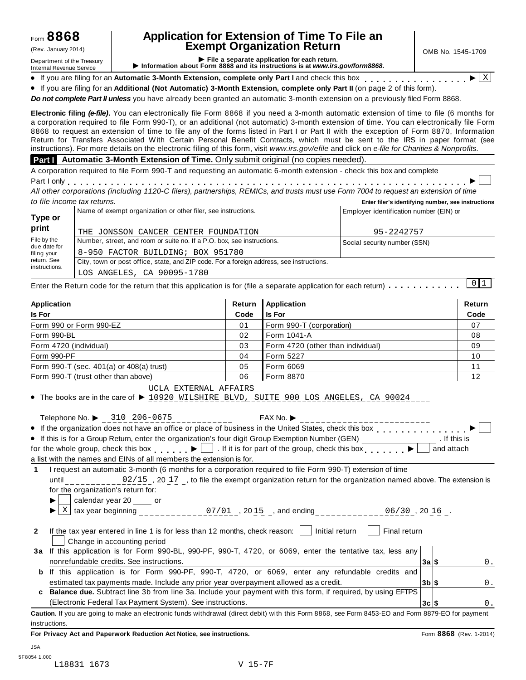## **Application for Extension of Time To File an Exempt Organization Return** (Rev. January 2014) OMB No. 1545-1709

Department of the Treasury<br>Department of the Treasury<br>Internal Revenue Service **CONFICE 1999 File a separate application for each return.**<br>Internal Revenue Service **CONFICE 1999 File a separate application for each return.** Internal Revenue Service **I** Purformation about 1 orm 6000 and its instructions is at www.ns.gov/ionnocoo.<br>• If you are filing for an Automatic 3-Month Extension, complete only Part I and check this box  $\frac{1}{\sqrt{2}}$ 

X

% If you are filing for an **Additional (Not Automatic) 3-Month Extension, complete only Part II** (on page 2 of this form).

*Do not complete Part II unless* you have already been granted an automatic 3-month extension on a previously filed Form 8868.

**Electronic filing** *(e-file)***.** You can electronically file Form 8868 if you need a 3-month automatic extension of time to file (6 months for a corporation required to file Form 990-T), or an additional (not automatic) 3-month extension of time. You can electronically file Form 8868 to request an extension of time to file any of the forms listed in Part I or Part II with the exception of Form 8870, Information Return for Transfers Associated With Certain Personal Benefit Contracts, which must be sent to the IRS in paper format (see instructions). For more details on the electronic filing of this form, visit *www.irs.gov/efile* and click on *e-file for Charities & Nonprofits*.

|  |  | Part Automatic 3-Month Extension of Time. Only submit original (no copies needed). |
|--|--|------------------------------------------------------------------------------------|
|--|--|------------------------------------------------------------------------------------|

A corporation required to file Form 990-T and requesting an automatic 6-month extension - check this box and complete<br>Part I only<br>All ethnology and Contribution (Contribution Office) and the CDMOs and the Contribution Con

All other corporations (including 1120-C filers), partnerships, REMICs, and trusts must use Form 7004 to request an extension of time *to file income tax returns.* **Enter filer's identifying number, see instructions**

| Type or                      | Name of exempt organization or other filer, see instructions.                            | Employer identification number (EIN) or |
|------------------------------|------------------------------------------------------------------------------------------|-----------------------------------------|
| print                        | THE JONSSON CANCER CENTER FOUNDATION                                                     | 95-2242757                              |
| File by the                  | Number, street, and room or suite no. If a P.O. box, see instructions.                   | Social security number (SSN)            |
| due date for<br>filing your  | 8-950 FACTOR BUILDING; BOX 951780                                                        |                                         |
| return. See<br>instructions. | City, town or post office, state, and ZIP code. For a foreign address, see instructions. |                                         |
|                              | LOS ANGELES, CA 90095-1780                                                               |                                         |

Enter the Return code for the return that this application is for (file a separate application for each return)  $\ldots \ldots \ldots$  $01$ 

| Application                              | Return | Application                       | Return |
|------------------------------------------|--------|-----------------------------------|--------|
| <b>Is For</b>                            | Code   | <b>Is For</b>                     | Code   |
| Form 990 or Form 990-EZ                  | 01     | Form 990-T (corporation)          | 07     |
| Form 990-BL                              | 02     | Form 1041-A                       | 08     |
| Form 4720 (individual)                   | 03     | Form 4720 (other than individual) | 09     |
| Form 990-PF                              | 04     | Form 5227                         | 10     |
| Form 990-T (sec. 401(a) or 408(a) trust) | 05     | Form 6069                         | 11     |
| Form 990-T (trust other than above)      | 06     | <b>I</b> Form 8870                | 12     |

UCLA EXTERNAL AFFAIRS

UCLA EXTERNAL AFFAIRS<br>• The books are in the care of  $\triangleright$  10920\_WILSHIRE\_BLVD, SUITE\_900\_LOS\_ANGELES, CA\_90024

|              | Telephone No. ▶ 310 206-0675<br>FAX No.                                                                                                                                                                                  |                 |              |    |
|--------------|--------------------------------------------------------------------------------------------------------------------------------------------------------------------------------------------------------------------------|-----------------|--------------|----|
|              | • If the organization does not have an office or place of business in the United States, check this box                                                                                                                  |                 |              |    |
|              | • If this is for a Group Return, enter the organization's four digit Group Exemption Number (GEN)                                                                                                                        |                 | . If this is |    |
|              | for the whole group, check this box $\begin{array}{c} \bullet \end{array}$ . If it is for part of the group, check this box $\begin{array}{ccc} \bullet \end{array}$                                                     |                 | and attach   |    |
|              | a list with the names and EINs of all members the extension is for.                                                                                                                                                      |                 |              |    |
| $\mathbf 1$  | I request an automatic 3-month (6 months for a corporation required to file Form 990-T) extension of time                                                                                                                |                 |              |    |
|              | 02/15, 20 17, to file the exempt organization return for the organization named above. The extension is<br>until and a series of the series of the series of the series of the series of the series of the series of the |                 |              |    |
|              | for the organization's return for:                                                                                                                                                                                       |                 |              |    |
|              | calendar year 20 _____ or                                                                                                                                                                                                |                 |              |    |
|              | $\overline{X}$ tax year beginning $07/01$ , $2015$ , and ending ____________06/30, 2016                                                                                                                                  |                 |              |    |
|              |                                                                                                                                                                                                                          |                 |              |    |
| $\mathbf{2}$ | Final return                                                                                                                                                                                                             |                 |              |    |
|              | Change in accounting period                                                                                                                                                                                              |                 |              |    |
|              | 3a If this application is for Form 990-BL, 990-PF, 990-T, 4720, or 6069, enter the tentative tax, less any                                                                                                               |                 |              |    |
|              | nonrefundable credits. See instructions.                                                                                                                                                                                 | 3a S            |              | 0. |
| b            | If this application is for Form 990-PF, 990-T, 4720, or 6069, enter any refundable credits and                                                                                                                           |                 |              |    |
|              | estimated tax payments made. Include any prior year overpayment allowed as a credit.                                                                                                                                     | $3b$ $\vert$ \$ |              | 0. |

**c Balance due.** Subtract line 3b from line 3a. Include your payment with this form, if required, by using EFTPS

**3b \$**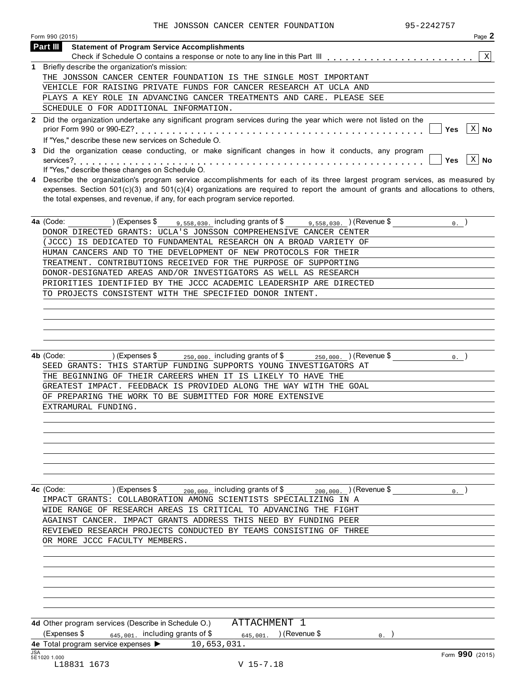|    | THE JONSSON CANCER CENTER FOUNDATION<br>95-2242757                                                                                   |
|----|--------------------------------------------------------------------------------------------------------------------------------------|
|    | Page 2<br>Form 990 (2015)                                                                                                            |
|    | Part III<br><b>Statement of Program Service Accomplishments</b>                                                                      |
|    | $\mathbf x$<br>Check if Schedule O contains a response or note to any line in this Part III                                          |
| 1. | Briefly describe the organization's mission:                                                                                         |
|    | THE JONSSON CANCER CENTER FOUNDATION IS THE SINGLE MOST IMPORTANT                                                                    |
|    | VEHICLE FOR RAISING PRIVATE FUNDS FOR CANCER RESEARCH AT UCLA AND                                                                    |
|    | PLAYS A KEY ROLE IN ADVANCING CANCER TREATMENTS AND CARE. PLEASE SEE                                                                 |
|    | SCHEDULE O FOR ADDITIONAL INFORMATION.                                                                                               |
|    | 2 Did the organization undertake any significant program services during the year which were not listed on the<br>$X \mid$ No<br>Yes |
|    | If "Yes," describe these new services on Schedule O.                                                                                 |
| 3  | Did the organization cease conducting, or make significant changes in how it conducts, any program<br>$X \mid$ No                    |
|    | Yes<br>If "Yes," describe these changes on Schedule O.                                                                               |
|    | Describe the organization's program service accomplishments for each of its three largest program services, as measured by           |
|    | expenses. Section $501(c)(3)$ and $501(c)(4)$ organizations are required to report the amount of grants and allocations to others,   |
|    | the total expenses, and revenue, if any, for each program service reported.                                                          |
|    |                                                                                                                                      |
|    | 4a (Code:<br>9,558,030. including grants of \$9,558,030. ) (Revenue \$<br>) (Expenses \$<br>$0.$ )                                   |
|    | DONOR DIRECTED GRANTS: UCLA'S JONSSON COMPREHENSIVE CANCER CENTER                                                                    |
|    | (JCCC) IS DEDICATED TO FUNDAMENTAL RESEARCH ON A BROAD VARIETY OF                                                                    |
|    | HUMAN CANCERS AND TO THE DEVELOPMENT OF NEW PROTOCOLS FOR THEIR                                                                      |
|    | TREATMENT. CONTRIBUTIONS RECEIVED FOR THE PURPOSE OF SUPPORTING                                                                      |
|    | DONOR-DESIGNATED AREAS AND/OR INVESTIGATORS AS WELL AS RESEARCH                                                                      |
|    | PRIORITIES IDENTIFIED BY THE JCCC ACADEMIC LEADERSHIP ARE DIRECTED                                                                   |
|    | TO PROJECTS CONSISTENT WITH THE SPECIFIED DONOR INTENT.                                                                              |
|    |                                                                                                                                      |
|    |                                                                                                                                      |
|    |                                                                                                                                      |
|    |                                                                                                                                      |
|    | ) (Expenses \$<br>250,000. including grants of \$                                                                                    |
|    | 250,000. ) (Revenue \$<br>4b (Code:<br>$0.$ )<br>SEED GRANTS: THIS STARTUP FUNDING SUPPORTS YOUNG INVESTIGATORS AT                   |
|    | THE BEGINNING OF THEIR CAREERS WHEN IT IS LIKELY TO HAVE THE                                                                         |
|    | GREATEST IMPACT. FEEDBACK IS PROVIDED ALONG THE WAY WITH THE GOAL                                                                    |
|    | OF PREPARING THE WORK TO BE SUBMITTED FOR MORE EXTENSIVE                                                                             |
|    | EXTRAMURAL FUNDING.                                                                                                                  |
|    |                                                                                                                                      |

**4c** (Code: ) (Expenses \$ including grants of \$ ) (Revenue \$ ) 200,000. 200,000. 0. IMPACT GRANTS: COLLABORATION AMONG SCIENTISTS SPECIALIZING IN A WIDE RANGE OF RESEARCH AREAS IS CRITICAL TO ADVANCING THE FIGHT AGAINST CANCER. IMPACT GRANTS ADDRESS THIS NEED BY FUNDING PEER REVIEWED RESEARCH PROJECTS CONDUCTED BY TEAMS CONSISTING OF THREE OR MORE JCCC FACULTY MEMBERS.

**4d** Other program services (Describe in Schedule O.) (Expenses \$  $_{645,001}$  including grants of \$  $_{645,001}$  (Revenue \$  $_{0}$ .) **4e** Total program service expenses **>** 10,653,031. ATTACHMENT 1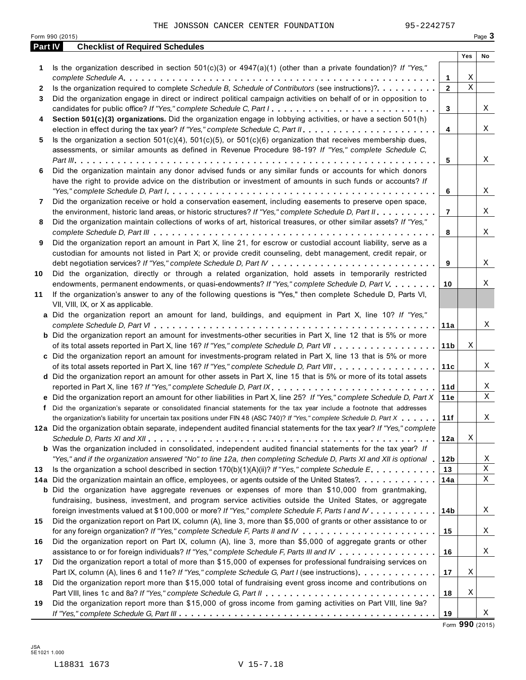|    | THE JONSSON CANCER CENTER FOUNDATION<br>95-2242757<br>Form 990 (2015)                                                                                                                                                                                                                                                                                                                         |                 |                 | Page 3      |
|----|-----------------------------------------------------------------------------------------------------------------------------------------------------------------------------------------------------------------------------------------------------------------------------------------------------------------------------------------------------------------------------------------------|-----------------|-----------------|-------------|
|    | <b>Checklist of Required Schedules</b><br><b>Part IV</b>                                                                                                                                                                                                                                                                                                                                      |                 |                 |             |
|    |                                                                                                                                                                                                                                                                                                                                                                                               |                 | Yes             | No          |
| 1  | Is the organization described in section $501(c)(3)$ or $4947(a)(1)$ (other than a private foundation)? If "Yes,"                                                                                                                                                                                                                                                                             |                 |                 |             |
|    |                                                                                                                                                                                                                                                                                                                                                                                               | 1               | Χ               |             |
| 2  | Is the organization required to complete Schedule B, Schedule of Contributors (see instructions)?.                                                                                                                                                                                                                                                                                            | $\mathbf{2}$    | $\mathbf X$     |             |
| 3  | Did the organization engage in direct or indirect political campaign activities on behalf of or in opposition to                                                                                                                                                                                                                                                                              |                 |                 |             |
|    | candidates for public office? If "Yes," complete Schedule C, Part I.                                                                                                                                                                                                                                                                                                                          | 3               |                 | Χ           |
| 4  | Section 501(c)(3) organizations. Did the organization engage in lobbying activities, or have a section 501(h)                                                                                                                                                                                                                                                                                 |                 |                 |             |
|    |                                                                                                                                                                                                                                                                                                                                                                                               | 4               |                 | Χ           |
| 5  | Is the organization a section $501(c)(4)$ , $501(c)(5)$ , or $501(c)(6)$ organization that receives membership dues,                                                                                                                                                                                                                                                                          |                 |                 |             |
|    | assessments, or similar amounts as defined in Revenue Procedure 98-19? If "Yes," complete Schedule C,                                                                                                                                                                                                                                                                                         |                 |                 |             |
|    |                                                                                                                                                                                                                                                                                                                                                                                               | 5               |                 | Χ           |
|    | Did the organization maintain any donor advised funds or any similar funds or accounts for which donors                                                                                                                                                                                                                                                                                       |                 |                 |             |
|    | have the right to provide advice on the distribution or investment of amounts in such funds or accounts? If                                                                                                                                                                                                                                                                                   |                 |                 |             |
|    | "Yes," complete Schedule D, Part $l_1, \ldots, l_k, \ldots, l_k, \ldots, l_k, \ldots, l_k, \ldots, l_k, \ldots, l_k, \ldots, l_k, \ldots, l_k, \ldots, l_k, \ldots, l_k, \ldots, l_k, \ldots, l_k, \ldots, l_k, \ldots, l_k, \ldots, l_k, \ldots, l_k, \ldots, l_k, \ldots, l_k, \ldots, l_k, \ldots, l_k, \ldots, l_k, \ldots, l_k, \ldots, l_k, \ldots, l_k, \ldots, l_k, \ldots, l_k, \ld$ | 6               |                 | Χ           |
| 7  | Did the organization receive or hold a conservation easement, including easements to preserve open space,                                                                                                                                                                                                                                                                                     |                 |                 |             |
|    | the environment, historic land areas, or historic structures? If "Yes," complete Schedule D, Part II.                                                                                                                                                                                                                                                                                         | $\overline{7}$  |                 | Χ           |
| 8  | Did the organization maintain collections of works of art, historical treasures, or other similar assets? If "Yes,"                                                                                                                                                                                                                                                                           |                 |                 |             |
|    |                                                                                                                                                                                                                                                                                                                                                                                               | 8               |                 | Χ           |
| 9  | Did the organization report an amount in Part X, line 21, for escrow or custodial account liability, serve as a                                                                                                                                                                                                                                                                               |                 |                 |             |
|    | custodian for amounts not listed in Part X; or provide credit counseling, debt management, credit repair, or                                                                                                                                                                                                                                                                                  |                 |                 |             |
|    |                                                                                                                                                                                                                                                                                                                                                                                               | 9               |                 | Χ           |
| 10 | Did the organization, directly or through a related organization, hold assets in temporarily restricted                                                                                                                                                                                                                                                                                       |                 |                 |             |
|    | endowments, permanent endowments, or quasi-endowments? If "Yes," complete Schedule D, Part V.                                                                                                                                                                                                                                                                                                 | 10              |                 | Χ           |
| 11 | If the organization's answer to any of the following questions is "Yes," then complete Schedule D, Parts VI,                                                                                                                                                                                                                                                                                  |                 |                 |             |
|    | VII, VIII, IX, or X as applicable.                                                                                                                                                                                                                                                                                                                                                            |                 |                 |             |
|    | a Did the organization report an amount for land, buildings, and equipment in Part X, line 10? If "Yes,"                                                                                                                                                                                                                                                                                      |                 |                 |             |
|    |                                                                                                                                                                                                                                                                                                                                                                                               | 11a             |                 | X           |
|    | <b>b</b> Did the organization report an amount for investments-other securities in Part X, line 12 that is 5% or more                                                                                                                                                                                                                                                                         |                 |                 |             |
|    |                                                                                                                                                                                                                                                                                                                                                                                               |                 | Χ               |             |
|    |                                                                                                                                                                                                                                                                                                                                                                                               | 11 <sub>b</sub> |                 |             |
|    | c Did the organization report an amount for investments-program related in Part X, line 13 that is 5% or more                                                                                                                                                                                                                                                                                 |                 |                 |             |
|    |                                                                                                                                                                                                                                                                                                                                                                                               | 11c             |                 | X           |
|    | d Did the organization report an amount for other assets in Part X, line 15 that is 5% or more of its total assets                                                                                                                                                                                                                                                                            |                 |                 |             |
|    | reported in Part X, line 16? If "Yes," complete Schedule D, Part IX.                                                                                                                                                                                                                                                                                                                          | 11d             |                 | Χ           |
|    | e Did the organization report an amount for other liabilities in Part X, line 25? If "Yes," complete Schedule D, Part X                                                                                                                                                                                                                                                                       | 11e             |                 | $\mathbf X$ |
|    | f Did the organization's separate or consolidated financial statements for the tax year include a footnote that addresses                                                                                                                                                                                                                                                                     |                 |                 |             |
|    | the organization's liability for uncertain tax positions under FIN 48 (ASC 740)? If "Yes," complete Schedule D, Part X                                                                                                                                                                                                                                                                        | 11f             |                 | X           |
|    | 12a Did the organization obtain separate, independent audited financial statements for the tax year? If "Yes," complete                                                                                                                                                                                                                                                                       |                 |                 |             |
|    |                                                                                                                                                                                                                                                                                                                                                                                               | 12a             | Χ               |             |
|    | <b>b</b> Was the organization included in consolidated, independent audited financial statements for the tax year? If                                                                                                                                                                                                                                                                         |                 |                 |             |
|    | "Yes," and if the organization answered "No" to line 12a, then completing Schedule D, Parts XI and XII is optional                                                                                                                                                                                                                                                                            | 12b             |                 | X           |
| 13 | Is the organization a school described in section $170(b)(1)(A)(ii)?$ If "Yes," complete Schedule E.                                                                                                                                                                                                                                                                                          | 13              |                 | Χ           |
|    | 14a Did the organization maintain an office, employees, or agents outside of the United States?                                                                                                                                                                                                                                                                                               | 14a             |                 | X           |
|    | <b>b</b> Did the organization have aggregate revenues or expenses of more than \$10,000 from grantmaking,                                                                                                                                                                                                                                                                                     |                 |                 |             |
|    | fundraising, business, investment, and program service activities outside the United States, or aggregate                                                                                                                                                                                                                                                                                     |                 |                 |             |
|    | foreign investments valued at \$100,000 or more? If "Yes," complete Schedule F, Parts I and IV                                                                                                                                                                                                                                                                                                | 14b             |                 | Χ           |
|    | Did the organization report on Part IX, column (A), line 3, more than \$5,000 of grants or other assistance to or                                                                                                                                                                                                                                                                             |                 |                 |             |
|    |                                                                                                                                                                                                                                                                                                                                                                                               | 15              |                 | X           |
|    | Did the organization report on Part IX, column (A), line 3, more than \$5,000 of aggregate grants or other                                                                                                                                                                                                                                                                                    |                 |                 |             |
|    | assistance to or for foreign individuals? If "Yes," complete Schedule F, Parts III and IV                                                                                                                                                                                                                                                                                                     | 16              |                 | Χ           |
|    | Did the organization report a total of more than \$15,000 of expenses for professional fundraising services on                                                                                                                                                                                                                                                                                |                 |                 |             |
| 17 | Part IX, column (A), lines 6 and 11e? If "Yes," complete Schedule G, Part I (see instructions)                                                                                                                                                                                                                                                                                                | 17              | Χ               |             |
|    | Did the organization report more than \$15,000 total of fundraising event gross income and contributions on                                                                                                                                                                                                                                                                                   |                 |                 |             |
|    |                                                                                                                                                                                                                                                                                                                                                                                               | 18              | Χ               |             |
| 19 | Did the organization report more than \$15,000 of gross income from gaming activities on Part VIII, line 9a?                                                                                                                                                                                                                                                                                  |                 |                 |             |
|    |                                                                                                                                                                                                                                                                                                                                                                                               | 19              |                 | Χ           |
|    |                                                                                                                                                                                                                                                                                                                                                                                               |                 | Form 990 (2015) |             |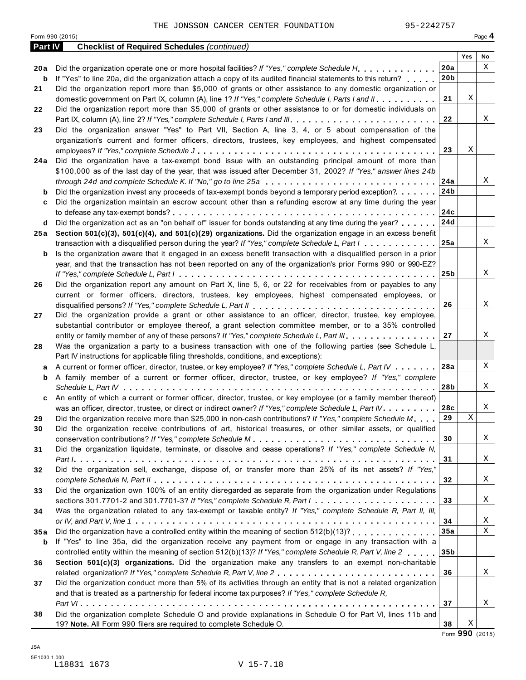|         | THE JONSSON CANCER CENTER FOUNDATION<br>95-2242757<br>Form 990 (2015)                                                                  |                 |     | Page 4 |
|---------|----------------------------------------------------------------------------------------------------------------------------------------|-----------------|-----|--------|
| Part IV | <b>Checklist of Required Schedules (continued)</b>                                                                                     |                 |     |        |
|         |                                                                                                                                        |                 | Yes | No     |
| 20 a    | Did the organization operate one or more hospital facilities? If "Yes," complete Schedule H                                            | 20a             |     | X      |
| b       | If "Yes" to line 20a, did the organization attach a copy of its audited financial statements to this return?                           | 20 <sub>b</sub> |     |        |
| 21      | Did the organization report more than \$5,000 of grants or other assistance to any domestic organization or                            |                 |     |        |
|         | domestic government on Part IX, column (A), line 1? If "Yes," complete Schedule I, Parts I and II.                                     | 21              | X   |        |
| 22      | Did the organization report more than \$5,000 of grants or other assistance to or for domestic individuals on                          |                 |     |        |
|         |                                                                                                                                        | 22              |     | Χ      |
| 23      | Did the organization answer "Yes" to Part VII, Section A, line 3, 4, or 5 about compensation of the                                    |                 |     |        |
|         | organization's current and former officers, directors, trustees, key employees, and highest compensated                                |                 |     |        |
|         |                                                                                                                                        | 23              | Χ   |        |
| 24 a    | Did the organization have a tax-exempt bond issue with an outstanding principal amount of more than                                    |                 |     |        |
|         | \$100,000 as of the last day of the year, that was issued after December 31, 2002? If "Yes," answer lines 24b                          |                 |     |        |
|         | through 24d and complete Schedule K. If "No," go to line 25a $\dots \dots \dots \dots \dots \dots \dots \dots \dots \dots \dots \dots$ | 24a             |     | Χ      |
| b       | Did the organization invest any proceeds of tax-exempt bonds beyond a temporary period exception?                                      | 24 <sub>b</sub> |     |        |
| c       | Did the organization maintain an escrow account other than a refunding escrow at any time during the year                              |                 |     |        |
|         |                                                                                                                                        | 24c             |     |        |
| d       | Did the organization act as an "on behalf of" issuer for bonds outstanding at any time during the year?                                | 24d             |     |        |
| 25 a    | Section 501(c)(3), 501(c)(4), and 501(c)(29) organizations. Did the organization engage in an excess benefit                           |                 |     |        |
|         | transaction with a disqualified person during the year? If "Yes," complete Schedule L, Part I                                          | 25a             |     | Χ      |
| b       | Is the organization aware that it engaged in an excess benefit transaction with a disqualified person in a prior                       |                 |     |        |
|         | year, and that the transaction has not been reported on any of the organization's prior Forms 990 or 990-EZ?                           |                 |     |        |
|         |                                                                                                                                        | 25 <sub>b</sub> |     | X      |
| 26      | Did the organization report any amount on Part X, line 5, 6, or 22 for receivables from or payables to any                             |                 |     |        |
|         | current or former officers, directors, trustees, key employees, highest compensated employees, or                                      |                 |     |        |
|         |                                                                                                                                        | 26              |     | X      |
| 27      | Did the organization provide a grant or other assistance to an officer, director, trustee, key employee,                               |                 |     |        |
|         | substantial contributor or employee thereof, a grant selection committee member, or to a 35% controlled                                |                 |     |        |
|         | entity or family member of any of these persons? If "Yes," complete Schedule L, Part III.                                              | 27              |     | Χ      |
| 28      | Was the organization a party to a business transaction with one of the following parties (see Schedule L,                              |                 |     |        |
|         | Part IV instructions for applicable filing thresholds, conditions, and exceptions):                                                    |                 |     |        |
| a       | A current or former officer, director, trustee, or key employee? If "Yes," complete Schedule L, Part IV                                | 28a             |     | Χ      |
| b       | A family member of a current or former officer, director, trustee, or key employee? If "Yes," complete                                 |                 |     |        |
|         |                                                                                                                                        | 28b             |     | Χ      |
| c       | An entity of which a current or former officer, director, trustee, or key employee (or a family member thereof)                        |                 |     |        |
|         | was an officer, director, trustee, or direct or indirect owner? If "Yes," complete Schedule L, Part IV.                                | 28c             |     | Χ      |
| 29      | Did the organization receive more than \$25,000 in non-cash contributions? If "Yes," complete Schedule M.                              | 29              | Χ   |        |
| 30      | Did the organization receive contributions of art, historical treasures, or other similar assets, or qualified                         |                 |     |        |
|         |                                                                                                                                        | 30              |     | Χ      |
| 31      | Did the organization liquidate, terminate, or dissolve and cease operations? If "Yes," complete Schedule N,                            |                 |     |        |
|         |                                                                                                                                        | 31              |     | Χ      |
| 32      | Did the organization sell, exchange, dispose of, or transfer more than 25% of its net assets? If "Yes,"                                |                 |     |        |
|         |                                                                                                                                        | 32              |     | Χ      |
| 33      | Did the organization own 100% of an entity disregarded as separate from the organization under Regulations                             |                 |     |        |
|         | sections 301.7701-2 and 301.7701-3? If "Yes," complete Schedule R, Part $l_1, \ldots, l_l, l_l, \ldots, l_l, l_l, \ldots, l_l, l_l$    | 33              |     | Χ      |
| 34      | Was the organization related to any tax-exempt or taxable entity? If "Yes," complete Schedule R, Part II, III,                         |                 |     |        |
|         |                                                                                                                                        | 34              |     | Χ      |
| 35a     | Did the organization have a controlled entity within the meaning of section 512(b)(13)?                                                | 35a             |     | X      |
| b       | If "Yes" to line 35a, did the organization receive any payment from or engage in any transaction with a                                |                 |     |        |
|         | controlled entity within the meaning of section 512(b)(13)? If "Yes," complete Schedule R, Part V, line 2                              | 35 <sub>b</sub> |     |        |
| 36      | Section 501(c)(3) organizations. Did the organization make any transfers to an exempt non-charitable                                   |                 |     |        |
|         |                                                                                                                                        | 36              |     | X      |
| 37      | Did the organization conduct more than 5% of its activities through an entity that is not a related organization                       |                 |     |        |
|         | and that is treated as a partnership for federal income tax purposes? If "Yes," complete Schedule R,                                   |                 |     |        |
|         |                                                                                                                                        | 37              |     | Χ      |
| 38      | Did the organization complete Schedule O and provide explanations in Schedule O for Part VI, lines 11b and                             |                 |     |        |
|         | 19? Note. All Form 990 filers are required to complete Schedule O.                                                                     | 38              | Χ   |        |

Form **990** (2015)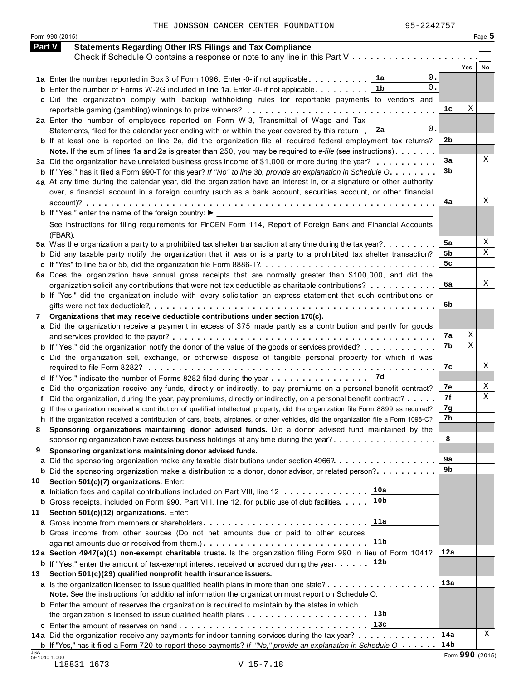|            | 95-2242757<br>THE JONSSON CANCER CENTER FOUNDATION                                                                                                                                                                                         |                      |                 |          |
|------------|--------------------------------------------------------------------------------------------------------------------------------------------------------------------------------------------------------------------------------------------|----------------------|-----------------|----------|
|            | Form 990 (2015)<br><b>Statements Regarding Other IRS Filings and Tax Compliance</b><br><b>Part V</b>                                                                                                                                       |                      |                 | Page $5$ |
|            | Check if Schedule O contains a response or note to any line in this Part $V_1, \ldots, \ldots, \ldots, \ldots, \ldots, \ldots$                                                                                                             |                      |                 |          |
|            |                                                                                                                                                                                                                                            |                      | Yes             | No       |
|            | 0.<br>1a<br>1a Enter the number reported in Box 3 of Form 1096. Enter -0- if not applicable<br>0.                                                                                                                                          |                      |                 |          |
|            | 1b.<br><b>b</b> Enter the number of Forms W-2G included in line 1a. Enter -0- if not applicable $\ldots$ ,,,,,,                                                                                                                            |                      |                 |          |
|            | c Did the organization comply with backup withholding rules for reportable payments to vendors and                                                                                                                                         | 1c                   | Χ               |          |
|            | 2a Enter the number of employees reported on Form W-3, Transmittal of Wage and Tax                                                                                                                                                         |                      |                 |          |
|            | 0.<br>Statements, filed for the calendar year ending with or within the year covered by this return 2a                                                                                                                                     |                      |                 |          |
|            | <b>b</b> If at least one is reported on line 2a, did the organization file all required federal employment tax returns?                                                                                                                    | 2b                   |                 |          |
|            | Note. If the sum of lines 1a and 2a is greater than 250, you may be required to e-file (see instructions)                                                                                                                                  |                      |                 |          |
|            | 3a Did the organization have unrelated business gross income of \$1,000 or more during the year?<br><b>b</b> If "Yes," has it filed a Form 990-T for this year? If "No" to line 3b, provide an explanation in Schedule $0, \ldots, \ldots$ | 3a<br>3 <sub>b</sub> |                 | Χ        |
|            | 4a At any time during the calendar year, did the organization have an interest in, or a signature or other authority                                                                                                                       |                      |                 |          |
|            | over, a financial account in a foreign country (such as a bank account, securities account, or other financial                                                                                                                             |                      |                 |          |
|            |                                                                                                                                                                                                                                            | 4a                   |                 | Χ        |
|            | <b>b</b> If "Yes," enter the name of the foreign country: $\blacktriangleright$ _                                                                                                                                                          |                      |                 |          |
|            | See instructions for filing requirements for FinCEN Form 114, Report of Foreign Bank and Financial Accounts                                                                                                                                |                      |                 |          |
|            | (FBAR).                                                                                                                                                                                                                                    | 5a                   |                 | Χ        |
|            | 5a Was the organization a party to a prohibited tax shelter transaction at any time during the tax year?<br><b>b</b> Did any taxable party notify the organization that it was or is a party to a prohibited tax shelter transaction?      | 5b                   |                 | Χ        |
|            |                                                                                                                                                                                                                                            | 5 <sub>c</sub>       |                 |          |
|            | 6a Does the organization have annual gross receipts that are normally greater than \$100,000, and did the                                                                                                                                  |                      |                 |          |
|            | organization solicit any contributions that were not tax deductible as charitable contributions?                                                                                                                                           | 6a                   |                 | X        |
|            | <b>b</b> If "Yes," did the organization include with every solicitation an express statement that such contributions or                                                                                                                    |                      |                 |          |
|            |                                                                                                                                                                                                                                            | 6b                   |                 |          |
| 7          | Organizations that may receive deductible contributions under section 170(c).<br>a Did the organization receive a payment in excess of \$75 made partly as a contribution and partly for goods                                             |                      |                 |          |
|            |                                                                                                                                                                                                                                            | 7a                   | Χ               |          |
|            | <b>b</b> If "Yes," did the organization notify the donor of the value of the goods or services provided?                                                                                                                                   | 7b                   | $\mathbf x$     |          |
|            | c Did the organization sell, exchange, or otherwise dispose of tangible personal property for which it was                                                                                                                                 |                      |                 |          |
|            |                                                                                                                                                                                                                                            | 7с                   |                 | Χ        |
|            | 7d<br>d If "Yes," indicate the number of Forms 8282 filed during the year                                                                                                                                                                  | 7e                   |                 | Χ        |
|            | e Did the organization receive any funds, directly or indirectly, to pay premiums on a personal benefit contract?<br>Did the organization, during the year, pay premiums, directly or indirectly, on a personal benefit contract?          | 7f                   |                 | Χ        |
|            | g If the organization received a contribution of qualified intellectual property, did the organization file Form 8899 as required?                                                                                                         | 7g                   |                 |          |
|            | h If the organization received a contribution of cars, boats, airplanes, or other vehicles, did the organization file a Form 1098-C?                                                                                                       | 7h                   |                 |          |
| 8          | Sponsoring organizations maintaining donor advised funds. Did a donor advised fund maintained by the                                                                                                                                       |                      |                 |          |
|            | sponsoring organization have excess business holdings at any time during the year?                                                                                                                                                         | 8                    |                 |          |
| 9          | Sponsoring organizations maintaining donor advised funds.                                                                                                                                                                                  | 9a                   |                 |          |
|            | a Did the sponsoring organization make any taxable distributions under section 4966?<br><b>b</b> Did the sponsoring organization make a distribution to a donor, donor advisor, or related person?                                         | 9b                   |                 |          |
| 10         | Section 501(c)(7) organizations. Enter:                                                                                                                                                                                                    |                      |                 |          |
|            | 10a<br>a Initiation fees and capital contributions included on Part VIII, line 12                                                                                                                                                          |                      |                 |          |
|            | 10b<br><b>b</b> Gross receipts, included on Form 990, Part VIII, line 12, for public use of club facilities.                                                                                                                               |                      |                 |          |
| 11         | Section 501(c)(12) organizations. Enter:<br>11a                                                                                                                                                                                            |                      |                 |          |
|            | <b>b</b> Gross income from other sources (Do not net amounts due or paid to other sources                                                                                                                                                  |                      |                 |          |
|            | 11b                                                                                                                                                                                                                                        |                      |                 |          |
|            | 12a Section 4947(a)(1) non-exempt charitable trusts. Is the organization filing Form 990 in lieu of Form 1041?                                                                                                                             | 12a                  |                 |          |
|            | <b>b</b> If "Yes," enter the amount of tax-exempt interest received or accrued during the year. $\ldots$ . $\boxed{12b}$                                                                                                                   |                      |                 |          |
| 13         | Section 501(c)(29) qualified nonprofit health insurance issuers.                                                                                                                                                                           |                      |                 |          |
|            | a Is the organization licensed to issue qualified health plans in more than one state?                                                                                                                                                     | 13a                  |                 |          |
|            | Note. See the instructions for additional information the organization must report on Schedule O.<br><b>b</b> Enter the amount of reserves the organization is required to maintain by the states in which                                 |                      |                 |          |
|            | 13 <sub>b</sub>                                                                                                                                                                                                                            |                      |                 |          |
|            | 13c                                                                                                                                                                                                                                        |                      |                 |          |
|            | 14a Did the organization receive any payments for indoor tanning services during the tax year?                                                                                                                                             | 14a                  |                 | Χ        |
| <b>JSA</b> | <b>b</b> If "Yes," has it filed a Form 720 to report these payments? If "No," provide an explanation in Schedule $0$                                                                                                                       | 14 <sub>b</sub>      | Form 990 (2015) |          |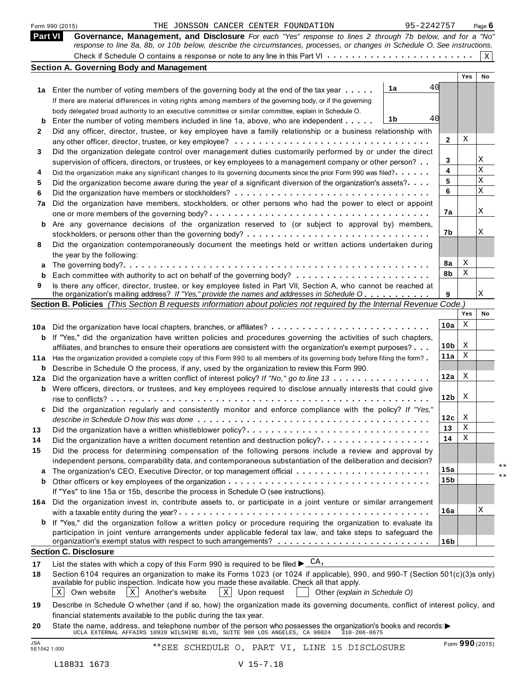| Governance, Management, and Disclosure For each "Yes" response to lines 2 through 7b below, and for a "No"<br>response to line 8a, 8b, or 10b below, describe the circumstances, processes, or changes in Schedule O. See instructions.<br><b>Section A. Governing Body and Management</b><br>1a<br>1a Enter the number of voting members of the governing body at the end of the tax year<br>If there are material differences in voting rights among members of the governing body, or if the governing<br>body delegated broad authority to an executive committee or similar committee, explain in Schedule O.<br>1b<br>Enter the number of voting members included in line 1a, above, who are independent<br>Did any officer, director, trustee, or key employee have a family relationship or a business relationship with<br>Did the organization delegate control over management duties customarily performed by or under the direct<br>supervision of officers, directors, or trustees, or key employees to a management company or other person?<br>Did the organization make any significant changes to its governing documents since the prior Form 990 was filed?<br>Did the organization become aware during the year of a significant diversion of the organization's assets?<br>Did the organization have members, stockholders, or other persons who had the power to elect or appoint | 40<br>40<br>$\mathbf{2}$<br>3<br>4<br>5<br>6 | <b>Yes</b><br>Χ                                                                                                                                                                                                                                                                                       | $\mathbf X$<br>No                                                                                                                                                                                                                                                 |
|----------------------------------------------------------------------------------------------------------------------------------------------------------------------------------------------------------------------------------------------------------------------------------------------------------------------------------------------------------------------------------------------------------------------------------------------------------------------------------------------------------------------------------------------------------------------------------------------------------------------------------------------------------------------------------------------------------------------------------------------------------------------------------------------------------------------------------------------------------------------------------------------------------------------------------------------------------------------------------------------------------------------------------------------------------------------------------------------------------------------------------------------------------------------------------------------------------------------------------------------------------------------------------------------------------------------------------------------------------------------------------------------------------|----------------------------------------------|-------------------------------------------------------------------------------------------------------------------------------------------------------------------------------------------------------------------------------------------------------------------------------------------------------|-------------------------------------------------------------------------------------------------------------------------------------------------------------------------------------------------------------------------------------------------------------------|
|                                                                                                                                                                                                                                                                                                                                                                                                                                                                                                                                                                                                                                                                                                                                                                                                                                                                                                                                                                                                                                                                                                                                                                                                                                                                                                                                                                                                          |                                              |                                                                                                                                                                                                                                                                                                       |                                                                                                                                                                                                                                                                   |
|                                                                                                                                                                                                                                                                                                                                                                                                                                                                                                                                                                                                                                                                                                                                                                                                                                                                                                                                                                                                                                                                                                                                                                                                                                                                                                                                                                                                          |                                              |                                                                                                                                                                                                                                                                                                       |                                                                                                                                                                                                                                                                   |
|                                                                                                                                                                                                                                                                                                                                                                                                                                                                                                                                                                                                                                                                                                                                                                                                                                                                                                                                                                                                                                                                                                                                                                                                                                                                                                                                                                                                          |                                              |                                                                                                                                                                                                                                                                                                       |                                                                                                                                                                                                                                                                   |
|                                                                                                                                                                                                                                                                                                                                                                                                                                                                                                                                                                                                                                                                                                                                                                                                                                                                                                                                                                                                                                                                                                                                                                                                                                                                                                                                                                                                          |                                              |                                                                                                                                                                                                                                                                                                       |                                                                                                                                                                                                                                                                   |
|                                                                                                                                                                                                                                                                                                                                                                                                                                                                                                                                                                                                                                                                                                                                                                                                                                                                                                                                                                                                                                                                                                                                                                                                                                                                                                                                                                                                          |                                              |                                                                                                                                                                                                                                                                                                       |                                                                                                                                                                                                                                                                   |
|                                                                                                                                                                                                                                                                                                                                                                                                                                                                                                                                                                                                                                                                                                                                                                                                                                                                                                                                                                                                                                                                                                                                                                                                                                                                                                                                                                                                          |                                              |                                                                                                                                                                                                                                                                                                       |                                                                                                                                                                                                                                                                   |
|                                                                                                                                                                                                                                                                                                                                                                                                                                                                                                                                                                                                                                                                                                                                                                                                                                                                                                                                                                                                                                                                                                                                                                                                                                                                                                                                                                                                          |                                              |                                                                                                                                                                                                                                                                                                       |                                                                                                                                                                                                                                                                   |
|                                                                                                                                                                                                                                                                                                                                                                                                                                                                                                                                                                                                                                                                                                                                                                                                                                                                                                                                                                                                                                                                                                                                                                                                                                                                                                                                                                                                          |                                              |                                                                                                                                                                                                                                                                                                       |                                                                                                                                                                                                                                                                   |
|                                                                                                                                                                                                                                                                                                                                                                                                                                                                                                                                                                                                                                                                                                                                                                                                                                                                                                                                                                                                                                                                                                                                                                                                                                                                                                                                                                                                          |                                              |                                                                                                                                                                                                                                                                                                       |                                                                                                                                                                                                                                                                   |
|                                                                                                                                                                                                                                                                                                                                                                                                                                                                                                                                                                                                                                                                                                                                                                                                                                                                                                                                                                                                                                                                                                                                                                                                                                                                                                                                                                                                          |                                              |                                                                                                                                                                                                                                                                                                       |                                                                                                                                                                                                                                                                   |
|                                                                                                                                                                                                                                                                                                                                                                                                                                                                                                                                                                                                                                                                                                                                                                                                                                                                                                                                                                                                                                                                                                                                                                                                                                                                                                                                                                                                          |                                              |                                                                                                                                                                                                                                                                                                       | Χ                                                                                                                                                                                                                                                                 |
|                                                                                                                                                                                                                                                                                                                                                                                                                                                                                                                                                                                                                                                                                                                                                                                                                                                                                                                                                                                                                                                                                                                                                                                                                                                                                                                                                                                                          |                                              |                                                                                                                                                                                                                                                                                                       | $\mathbf x$                                                                                                                                                                                                                                                       |
|                                                                                                                                                                                                                                                                                                                                                                                                                                                                                                                                                                                                                                                                                                                                                                                                                                                                                                                                                                                                                                                                                                                                                                                                                                                                                                                                                                                                          |                                              |                                                                                                                                                                                                                                                                                                       | X                                                                                                                                                                                                                                                                 |
|                                                                                                                                                                                                                                                                                                                                                                                                                                                                                                                                                                                                                                                                                                                                                                                                                                                                                                                                                                                                                                                                                                                                                                                                                                                                                                                                                                                                          |                                              |                                                                                                                                                                                                                                                                                                       | X                                                                                                                                                                                                                                                                 |
|                                                                                                                                                                                                                                                                                                                                                                                                                                                                                                                                                                                                                                                                                                                                                                                                                                                                                                                                                                                                                                                                                                                                                                                                                                                                                                                                                                                                          |                                              |                                                                                                                                                                                                                                                                                                       |                                                                                                                                                                                                                                                                   |
|                                                                                                                                                                                                                                                                                                                                                                                                                                                                                                                                                                                                                                                                                                                                                                                                                                                                                                                                                                                                                                                                                                                                                                                                                                                                                                                                                                                                          | 7а                                           |                                                                                                                                                                                                                                                                                                       | Χ                                                                                                                                                                                                                                                                 |
| Are any governance decisions of the organization reserved to (or subject to approval by) members,                                                                                                                                                                                                                                                                                                                                                                                                                                                                                                                                                                                                                                                                                                                                                                                                                                                                                                                                                                                                                                                                                                                                                                                                                                                                                                        |                                              |                                                                                                                                                                                                                                                                                                       |                                                                                                                                                                                                                                                                   |
|                                                                                                                                                                                                                                                                                                                                                                                                                                                                                                                                                                                                                                                                                                                                                                                                                                                                                                                                                                                                                                                                                                                                                                                                                                                                                                                                                                                                          | 7b                                           |                                                                                                                                                                                                                                                                                                       | Χ                                                                                                                                                                                                                                                                 |
| Did the organization contemporaneously document the meetings held or written actions undertaken during                                                                                                                                                                                                                                                                                                                                                                                                                                                                                                                                                                                                                                                                                                                                                                                                                                                                                                                                                                                                                                                                                                                                                                                                                                                                                                   |                                              |                                                                                                                                                                                                                                                                                                       |                                                                                                                                                                                                                                                                   |
| the year by the following:                                                                                                                                                                                                                                                                                                                                                                                                                                                                                                                                                                                                                                                                                                                                                                                                                                                                                                                                                                                                                                                                                                                                                                                                                                                                                                                                                                               |                                              |                                                                                                                                                                                                                                                                                                       |                                                                                                                                                                                                                                                                   |
|                                                                                                                                                                                                                                                                                                                                                                                                                                                                                                                                                                                                                                                                                                                                                                                                                                                                                                                                                                                                                                                                                                                                                                                                                                                                                                                                                                                                          | 8a                                           | Χ                                                                                                                                                                                                                                                                                                     |                                                                                                                                                                                                                                                                   |
|                                                                                                                                                                                                                                                                                                                                                                                                                                                                                                                                                                                                                                                                                                                                                                                                                                                                                                                                                                                                                                                                                                                                                                                                                                                                                                                                                                                                          | 8b                                           | Χ                                                                                                                                                                                                                                                                                                     |                                                                                                                                                                                                                                                                   |
| Is there any officer, director, trustee, or key employee listed in Part VII, Section A, who cannot be reached at                                                                                                                                                                                                                                                                                                                                                                                                                                                                                                                                                                                                                                                                                                                                                                                                                                                                                                                                                                                                                                                                                                                                                                                                                                                                                         |                                              |                                                                                                                                                                                                                                                                                                       |                                                                                                                                                                                                                                                                   |
| the organization's mailing address? If "Yes," provide the names and addresses in Schedule O                                                                                                                                                                                                                                                                                                                                                                                                                                                                                                                                                                                                                                                                                                                                                                                                                                                                                                                                                                                                                                                                                                                                                                                                                                                                                                              | 9                                            |                                                                                                                                                                                                                                                                                                       | Χ                                                                                                                                                                                                                                                                 |
| Section B. Policies (This Section B requests information about policies not required by the Internal Revenue Code.)                                                                                                                                                                                                                                                                                                                                                                                                                                                                                                                                                                                                                                                                                                                                                                                                                                                                                                                                                                                                                                                                                                                                                                                                                                                                                      |                                              |                                                                                                                                                                                                                                                                                                       |                                                                                                                                                                                                                                                                   |
|                                                                                                                                                                                                                                                                                                                                                                                                                                                                                                                                                                                                                                                                                                                                                                                                                                                                                                                                                                                                                                                                                                                                                                                                                                                                                                                                                                                                          |                                              | Yes                                                                                                                                                                                                                                                                                                   | No                                                                                                                                                                                                                                                                |
|                                                                                                                                                                                                                                                                                                                                                                                                                                                                                                                                                                                                                                                                                                                                                                                                                                                                                                                                                                                                                                                                                                                                                                                                                                                                                                                                                                                                          | 10a                                          | X                                                                                                                                                                                                                                                                                                     |                                                                                                                                                                                                                                                                   |
| If "Yes," did the organization have written policies and procedures governing the activities of such chapters,                                                                                                                                                                                                                                                                                                                                                                                                                                                                                                                                                                                                                                                                                                                                                                                                                                                                                                                                                                                                                                                                                                                                                                                                                                                                                           |                                              |                                                                                                                                                                                                                                                                                                       |                                                                                                                                                                                                                                                                   |
| affiliates, and branches to ensure their operations are consistent with the organization's exempt purposes?                                                                                                                                                                                                                                                                                                                                                                                                                                                                                                                                                                                                                                                                                                                                                                                                                                                                                                                                                                                                                                                                                                                                                                                                                                                                                              | 10b                                          | X                                                                                                                                                                                                                                                                                                     |                                                                                                                                                                                                                                                                   |
| 11a Has the organization provided a complete copy of this Form 990 to all members of its governing body before filing the form?                                                                                                                                                                                                                                                                                                                                                                                                                                                                                                                                                                                                                                                                                                                                                                                                                                                                                                                                                                                                                                                                                                                                                                                                                                                                          | 11a                                          | X                                                                                                                                                                                                                                                                                                     |                                                                                                                                                                                                                                                                   |
| <b>b</b> Describe in Schedule O the process, if any, used by the organization to review this Form 990.                                                                                                                                                                                                                                                                                                                                                                                                                                                                                                                                                                                                                                                                                                                                                                                                                                                                                                                                                                                                                                                                                                                                                                                                                                                                                                   | 12a                                          | Χ                                                                                                                                                                                                                                                                                                     |                                                                                                                                                                                                                                                                   |
| 12a Did the organization have a written conflict of interest policy? If "No," go to line 13                                                                                                                                                                                                                                                                                                                                                                                                                                                                                                                                                                                                                                                                                                                                                                                                                                                                                                                                                                                                                                                                                                                                                                                                                                                                                                              |                                              |                                                                                                                                                                                                                                                                                                       |                                                                                                                                                                                                                                                                   |
| <b>b</b> Were officers, directors, or trustees, and key employees required to disclose annually interests that could give                                                                                                                                                                                                                                                                                                                                                                                                                                                                                                                                                                                                                                                                                                                                                                                                                                                                                                                                                                                                                                                                                                                                                                                                                                                                                | 12 <sub>b</sub>                              | X                                                                                                                                                                                                                                                                                                     |                                                                                                                                                                                                                                                                   |
|                                                                                                                                                                                                                                                                                                                                                                                                                                                                                                                                                                                                                                                                                                                                                                                                                                                                                                                                                                                                                                                                                                                                                                                                                                                                                                                                                                                                          |                                              |                                                                                                                                                                                                                                                                                                       |                                                                                                                                                                                                                                                                   |
| Did the organization regularly and consistently monitor and enforce compliance with the policy? If "Yes,"                                                                                                                                                                                                                                                                                                                                                                                                                                                                                                                                                                                                                                                                                                                                                                                                                                                                                                                                                                                                                                                                                                                                                                                                                                                                                                | 12c                                          | X                                                                                                                                                                                                                                                                                                     |                                                                                                                                                                                                                                                                   |
| Did the organization have a written whistleblower policy?                                                                                                                                                                                                                                                                                                                                                                                                                                                                                                                                                                                                                                                                                                                                                                                                                                                                                                                                                                                                                                                                                                                                                                                                                                                                                                                                                | 13                                           | X                                                                                                                                                                                                                                                                                                     |                                                                                                                                                                                                                                                                   |
| Did the organization have a written document retention and destruction policy?                                                                                                                                                                                                                                                                                                                                                                                                                                                                                                                                                                                                                                                                                                                                                                                                                                                                                                                                                                                                                                                                                                                                                                                                                                                                                                                           | 14                                           | Χ                                                                                                                                                                                                                                                                                                     |                                                                                                                                                                                                                                                                   |
| Did the process for determining compensation of the following persons include a review and approval by                                                                                                                                                                                                                                                                                                                                                                                                                                                                                                                                                                                                                                                                                                                                                                                                                                                                                                                                                                                                                                                                                                                                                                                                                                                                                                   |                                              |                                                                                                                                                                                                                                                                                                       |                                                                                                                                                                                                                                                                   |
| independent persons, comparability data, and contemporaneous substantiation of the deliberation and decision?                                                                                                                                                                                                                                                                                                                                                                                                                                                                                                                                                                                                                                                                                                                                                                                                                                                                                                                                                                                                                                                                                                                                                                                                                                                                                            |                                              |                                                                                                                                                                                                                                                                                                       |                                                                                                                                                                                                                                                                   |
|                                                                                                                                                                                                                                                                                                                                                                                                                                                                                                                                                                                                                                                                                                                                                                                                                                                                                                                                                                                                                                                                                                                                                                                                                                                                                                                                                                                                          | 15a                                          |                                                                                                                                                                                                                                                                                                       |                                                                                                                                                                                                                                                                   |
|                                                                                                                                                                                                                                                                                                                                                                                                                                                                                                                                                                                                                                                                                                                                                                                                                                                                                                                                                                                                                                                                                                                                                                                                                                                                                                                                                                                                          | 15 <sub>b</sub>                              |                                                                                                                                                                                                                                                                                                       |                                                                                                                                                                                                                                                                   |
| If "Yes" to line 15a or 15b, describe the process in Schedule O (see instructions).                                                                                                                                                                                                                                                                                                                                                                                                                                                                                                                                                                                                                                                                                                                                                                                                                                                                                                                                                                                                                                                                                                                                                                                                                                                                                                                      |                                              |                                                                                                                                                                                                                                                                                                       |                                                                                                                                                                                                                                                                   |
|                                                                                                                                                                                                                                                                                                                                                                                                                                                                                                                                                                                                                                                                                                                                                                                                                                                                                                                                                                                                                                                                                                                                                                                                                                                                                                                                                                                                          |                                              |                                                                                                                                                                                                                                                                                                       |                                                                                                                                                                                                                                                                   |
| Did the organization invest in, contribute assets to, or participate in a joint venture or similar arrangement                                                                                                                                                                                                                                                                                                                                                                                                                                                                                                                                                                                                                                                                                                                                                                                                                                                                                                                                                                                                                                                                                                                                                                                                                                                                                           | 16a                                          |                                                                                                                                                                                                                                                                                                       | Χ                                                                                                                                                                                                                                                                 |
|                                                                                                                                                                                                                                                                                                                                                                                                                                                                                                                                                                                                                                                                                                                                                                                                                                                                                                                                                                                                                                                                                                                                                                                                                                                                                                                                                                                                          |                                              |                                                                                                                                                                                                                                                                                                       |                                                                                                                                                                                                                                                                   |
| If "Yes," did the organization follow a written policy or procedure requiring the organization to evaluate its                                                                                                                                                                                                                                                                                                                                                                                                                                                                                                                                                                                                                                                                                                                                                                                                                                                                                                                                                                                                                                                                                                                                                                                                                                                                                           |                                              |                                                                                                                                                                                                                                                                                                       |                                                                                                                                                                                                                                                                   |
| participation in joint venture arrangements under applicable federal tax law, and take steps to safeguard the                                                                                                                                                                                                                                                                                                                                                                                                                                                                                                                                                                                                                                                                                                                                                                                                                                                                                                                                                                                                                                                                                                                                                                                                                                                                                            | 16 <sub>b</sub>                              |                                                                                                                                                                                                                                                                                                       |                                                                                                                                                                                                                                                                   |
|                                                                                                                                                                                                                                                                                                                                                                                                                                                                                                                                                                                                                                                                                                                                                                                                                                                                                                                                                                                                                                                                                                                                                                                                                                                                                                                                                                                                          |                                              |                                                                                                                                                                                                                                                                                                       |                                                                                                                                                                                                                                                                   |
| <b>Section C. Disclosure</b>                                                                                                                                                                                                                                                                                                                                                                                                                                                                                                                                                                                                                                                                                                                                                                                                                                                                                                                                                                                                                                                                                                                                                                                                                                                                                                                                                                             |                                              |                                                                                                                                                                                                                                                                                                       |                                                                                                                                                                                                                                                                   |
| List the states with which a copy of this Form 990 is required to be filed $\blacktriangleright \frac{CA}{A}$ .                                                                                                                                                                                                                                                                                                                                                                                                                                                                                                                                                                                                                                                                                                                                                                                                                                                                                                                                                                                                                                                                                                                                                                                                                                                                                          |                                              |                                                                                                                                                                                                                                                                                                       |                                                                                                                                                                                                                                                                   |
|                                                                                                                                                                                                                                                                                                                                                                                                                                                                                                                                                                                                                                                                                                                                                                                                                                                                                                                                                                                                                                                                                                                                                                                                                                                                                                                                                                                                          |                                              |                                                                                                                                                                                                                                                                                                       |                                                                                                                                                                                                                                                                   |
| available for public inspection. Indicate how you made these available. Check all that apply.                                                                                                                                                                                                                                                                                                                                                                                                                                                                                                                                                                                                                                                                                                                                                                                                                                                                                                                                                                                                                                                                                                                                                                                                                                                                                                            |                                              |                                                                                                                                                                                                                                                                                                       |                                                                                                                                                                                                                                                                   |
| Own website<br>$X$ Another's website<br>$ X $ Upon request<br>Other (explain in Schedule O)                                                                                                                                                                                                                                                                                                                                                                                                                                                                                                                                                                                                                                                                                                                                                                                                                                                                                                                                                                                                                                                                                                                                                                                                                                                                                                              |                                              |                                                                                                                                                                                                                                                                                                       |                                                                                                                                                                                                                                                                   |
|                                                                                                                                                                                                                                                                                                                                                                                                                                                                                                                                                                                                                                                                                                                                                                                                                                                                                                                                                                                                                                                                                                                                                                                                                                                                                                                                                                                                          |                                              |                                                                                                                                                                                                                                                                                                       |                                                                                                                                                                                                                                                                   |
|                                                                                                                                                                                                                                                                                                                                                                                                                                                                                                                                                                                                                                                                                                                                                                                                                                                                                                                                                                                                                                                                                                                                                                                                                                                                                                                                                                                                          |                                              | financial statements available to the public during the tax year.<br>State the name, address, and telephone number of the person who possesses the organization's books and records: $\blacktriangleright$<br>UCLA EXTERNAL AFFAIRS 10920 WILSHIRE BLVD, SUITE 900 LOS ANGELES, CA 90024 310-206-0675 | Section 6104 requires an organization to make its Forms 1023 (or 1024 if applicable), 990, and 990-T (Section 501(c)(3)s only)<br>Describe in Schedule O whether (and if so, how) the organization made its governing documents, conflict of interest policy, and |

JSA Form **<sup>990</sup>** (2015) 5E1042 1.000 \*\*SEE SCHEDULE O, PART VI, LINE 15 DISCLOSURE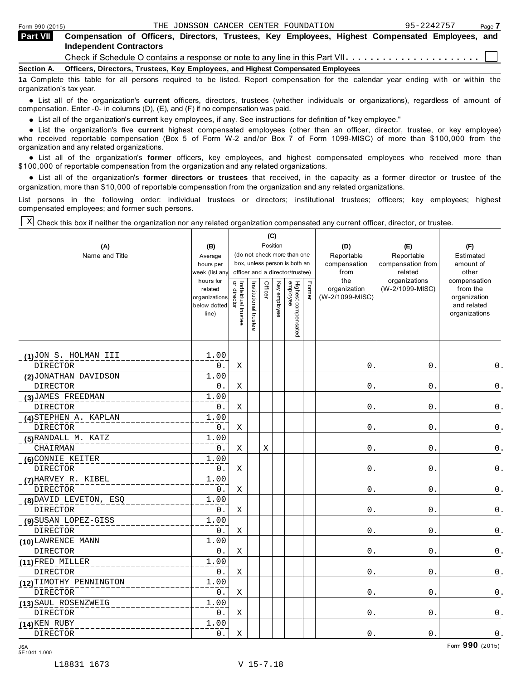| Form 990 (2015)   |                                                                                                                                    |  |  | THE JONSSON CANCER CENTER FOUNDATION |  | 95-2242757 | Page 7 |
|-------------------|------------------------------------------------------------------------------------------------------------------------------------|--|--|--------------------------------------|--|------------|--------|
| <b>Part VII</b>   | Compensation of Officers, Directors, Trustees, Key Employees, Highest Compensated Employees, and<br><b>Independent Contractors</b> |  |  |                                      |  |            |        |
|                   |                                                                                                                                    |  |  |                                      |  |            |        |
| <b>Section A.</b> | Officers, Directors, Trustees, Key Employees, and Highest Compensated Employees                                                    |  |  |                                      |  |            |        |
|                   | 1a Complete this table for all persons required to be listed. Report compensation for the calendar year ending with or within the  |  |  |                                      |  |            |        |

organization's tax year.

anization's lax year.<br>● List all of the organization's **current** officers, directors, trustees (whether individuals or organizations), regardless of amount of<br>nnensation Enter -0- in columns (D) (E) and (E) if no compensa compensation. Enter -0- in columns (D), (E), and (F) if no compensation was paid.

• List all of the organization's **current** key employees, if any. See instructions for definition of "key employee."<br>● List the experimetiscle five event highert expressed explored (other than an efficer director t

**Example in the organization's current** key employees, if any, see instructions for definition of key employee.<br>• List the organization's five **current** highest compensated employees (other than an officer, director, trust who received reportable compensation (Box 5 of Form W-2 and/or Box 7 of Form 1099-MISC) of more than \$100,000 from the organization and any related organizations.

organization and any related organizations.<br>• List all of the organization's **former** officers, key employees, and highest compensated employees who received more than<br>\$1.00.000 of reportable componention from the erganiza \$100,000 of reportable compensation from the organization and any related organizations.

% List all of the organization's **former directors or trustees** that received, in the capacity as a former director or trustee of the organization, more than \$10,000 of reportable compensation from the organization and any related organizations.

List persons in the following order: individual trustees or directors; institutional trustees; officers; key employees; highest compensated employees; and former such persons.

Check this box if neither the organization nor any related organization compensated any current officer, director, or trustee. X

|                         |                             |                                  |                       | (C)      |              |                                 |        |                 |                          |                              |
|-------------------------|-----------------------------|----------------------------------|-----------------------|----------|--------------|---------------------------------|--------|-----------------|--------------------------|------------------------------|
| (A)                     | (B)                         |                                  |                       | Position |              |                                 |        | (D)             | (E)                      | (F)                          |
| Name and Title          | Average                     |                                  |                       |          |              | (do not check more than one     |        | Reportable      | Reportable               | Estimated                    |
|                         | hours per                   |                                  |                       |          |              | box, unless person is both an   |        | compensation    | compensation from        | amount of                    |
|                         | week (list any<br>hours for |                                  |                       |          |              | officer and a director/trustee) |        | from<br>the     | related<br>organizations | other<br>compensation        |
|                         | related                     | or directo<br>Individual trustee | Institutional trustee | Officer  | Key employee |                                 | Former | organization    | (W-2/1099-MISC)          | from the                     |
|                         | organizations               |                                  |                       |          |              |                                 |        | (W-2/1099-MISC) |                          | organization                 |
|                         | below dotted<br>line)       |                                  |                       |          |              |                                 |        |                 |                          | and related<br>organizations |
|                         |                             |                                  |                       |          |              |                                 |        |                 |                          |                              |
|                         |                             |                                  |                       |          |              | Highest compensated<br>employee |        |                 |                          |                              |
|                         |                             |                                  |                       |          |              |                                 |        |                 |                          |                              |
| (1) JON S. HOLMAN III   | 1.00                        |                                  |                       |          |              |                                 |        |                 |                          |                              |
| DIRECTOR                | 0.                          | Χ                                |                       |          |              |                                 |        | $0$ .           | 0.                       | 0.                           |
| (2) JONATHAN DAVIDSON   | 1.00                        |                                  |                       |          |              |                                 |        |                 |                          |                              |
| <b>DIRECTOR</b>         | 0.                          | Χ                                |                       |          |              |                                 |        | $\mathsf{O}$ .  | 0.                       | $\mathsf 0$ .                |
| (3) JAMES FREEDMAN      | 1.00                        |                                  |                       |          |              |                                 |        |                 |                          |                              |
| DIRECTOR                | 0.                          | Χ                                |                       |          |              |                                 |        | $0$ .           | 0.                       | $\mathsf 0$ .                |
| (4) STEPHEN A. KAPLAN   | 1.00                        |                                  |                       |          |              |                                 |        |                 |                          |                              |
| <b>DIRECTOR</b>         | 0.                          | Χ                                |                       |          |              |                                 |        | О.              | $0$ .                    | $\mathsf 0$ .                |
| (5) RANDALL M. KATZ     | 1.00                        |                                  |                       |          |              |                                 |        |                 |                          |                              |
| CHAIRMAN                | 0.                          | Χ                                |                       | Χ        |              |                                 |        | 0.              | 0.                       | $\mathsf 0$ .                |
| (6) CONNIE KEITER       | 1.00                        |                                  |                       |          |              |                                 |        |                 |                          |                              |
| <b>DIRECTOR</b>         | 0.                          | Χ                                |                       |          |              |                                 |        | $0$ .           | 0.                       | 0.                           |
| (7) HARVEY R. KIBEL     | 1.00                        |                                  |                       |          |              |                                 |        |                 |                          |                              |
| <b>DIRECTOR</b>         | 0.                          | Χ                                |                       |          |              |                                 |        | 0.              | 0.                       | 0.                           |
| (8) DAVID LEVETON, ESQ  | 1.00                        |                                  |                       |          |              |                                 |        |                 |                          |                              |
| DIRECTOR                | 0.                          | Χ                                |                       |          |              |                                 |        | $\mathsf{O}$ .  | 0.                       | $\mathsf 0$ .                |
| (9) SUSAN LOPEZ-GISS    | 1.00                        |                                  |                       |          |              |                                 |        |                 |                          |                              |
| <b>DIRECTOR</b>         | 0.                          | Χ                                |                       |          |              |                                 |        | 0.              | $\mathbf{0}$ .           | $0$ .                        |
| (10) LAWRENCE MANN      | 1.00                        |                                  |                       |          |              |                                 |        |                 |                          |                              |
| <b>DIRECTOR</b>         | 0.                          | Χ                                |                       |          |              |                                 |        | 0.              | $0$ .                    | 0.                           |
| (11)FRED MILLER         | 1.00                        |                                  |                       |          |              |                                 |        |                 |                          |                              |
| <b>DIRECTOR</b>         | $0$ .                       | Χ                                |                       |          |              |                                 |        | 0.              | $0$ .                    | 0.                           |
| (12) TIMOTHY PENNINGTON | 1.00                        |                                  |                       |          |              |                                 |        |                 |                          |                              |
| <b>DIRECTOR</b>         | $0$ .                       | Χ                                |                       |          |              |                                 |        | 0.              | 0.                       | 0.                           |
| (13) SAUL ROSENZWEIG    | 1.00                        |                                  |                       |          |              |                                 |        |                 |                          |                              |
| DIRECTOR                | $0$ .                       | Χ                                |                       |          |              |                                 |        | $0$ .           | 0.                       | $\mathsf 0$ .                |
| $(14)$ KEN RUBY         | 1.00                        |                                  |                       |          |              |                                 |        |                 |                          |                              |
| <b>DIRECTOR</b>         | 0.                          | Χ                                |                       |          |              |                                 |        | 0.              | $0$ .                    | 0.                           |

5E1041 1.000

Form **990** (2015) JSA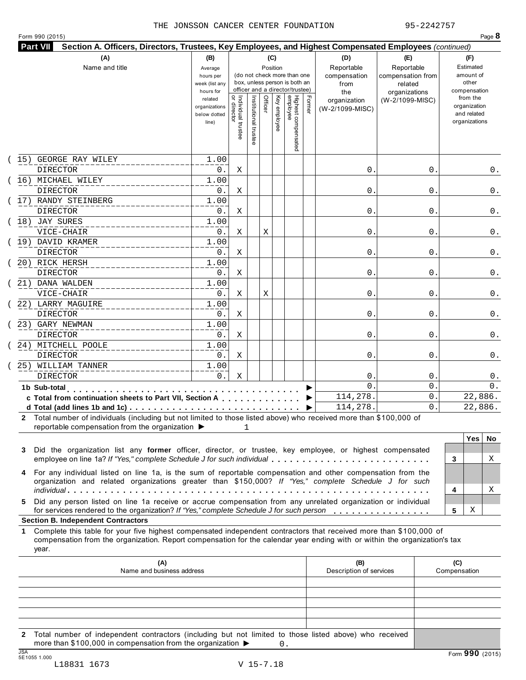#### THE JONSSON CANCER CENTER FOUNDATION 95-2242757

|  | Form 990 (2015) |  |
|--|-----------------|--|
|  |                 |  |

| (A)<br>(B)<br>(C)<br>(D)<br>(E)<br>(F)<br>Name and title<br>Reportable<br>Reportable<br>Estimated<br>Position<br>Average<br>(do not check more than one<br>amount of<br>compensation<br>compensation from<br>hours per<br>box, unless person is both an<br>other<br>week (list any<br>from<br>related<br>officer and a director/trustee)<br>hours for<br>organizations<br>the<br>  Individual trustee<br>  or director<br>Highest compensated<br>employee<br>Institutional trustee<br>Officer<br>Key employee<br>Former<br>from the<br>related<br>organization<br>(W-2/1099-MISC)<br>organization<br>organizations<br>(W-2/1099-MISC)<br>and related<br>below dotted<br>line)<br>(15) GEORGE RAY WILEY<br>1.00<br><b>DIRECTOR</b><br>0.<br>$\mathsf{0}$ .<br>0<br>Χ<br>(16) MICHAEL WILEY<br>1.00<br><b>DIRECTOR</b><br>0.<br>$\mathsf{0}$ .<br>0<br>Χ<br>(17) RANDY STEINBERG<br>1.00<br><b>DIRECTOR</b><br>0.<br>$\mathsf{0}$ .<br>0<br>Χ<br>(18) JAY SURES<br>1.00<br>VICE-CHAIR<br>0.<br>$\mathsf{0}$ .<br>0<br>Χ<br>Χ<br>(19) DAVID KRAMER<br>1.00<br><b>DIRECTOR</b><br>0.<br>$\mathsf{0}$ .<br>0<br>Χ<br>20) RICK HERSH<br>1.00<br><b>DIRECTOR</b><br>0.<br>0.<br>0<br>Χ<br>21) DANA WALDEN<br>1.00<br>VICE-CHAIR<br>0.<br>Χ<br>0.<br>0<br>Χ<br>22) LARRY MAGUIRE<br>1.00<br><b>DIRECTOR</b><br>0.<br>$\mathsf{0}$ .<br>0<br>Χ<br>23) GARY NEWMAN<br>1.00<br><b>DIRECTOR</b><br>0.<br>0.<br>0<br>Χ<br>24) MITCHELL POOLE<br>1.00<br><b>DIRECTOR</b><br>0.<br>0.<br>0<br>Χ<br>25) WILLIAM TANNER<br>1.00<br><b>DIRECTOR</b><br>0.<br>X<br>$\mathbf 0$<br>0<br>0<br>0<br>1b Sub-total<br>22,886.<br>114,278.<br>0<br>c Total from continuation sheets to Part VII, Section A<br>114,278.<br>22,886.<br>0<br>2 Total number of individuals (including but not limited to those listed above) who received more than \$100,000 of<br>reportable compensation from the organization ▶<br>$\mathbf{1}$<br><b>Yes</b><br>Did the organization list any former officer, director, or trustee, key employee, or highest compensated<br>3<br>employee on line 1a? If "Yes," complete Schedule J for such individual<br>3<br>For any individual listed on line 1a, is the sum of reportable compensation and other compensation from the<br>4<br>organization and related organizations greater than \$150,000? If "Yes," complete Schedule J for such<br>4<br>Did any person listed on line 1a receive or accrue compensation from any unrelated organization or individual<br>5.<br>for services rendered to the organization? If "Yes," complete Schedule J for such person<br>Χ<br>5<br><b>Section B. Independent Contractors</b><br>Complete this table for your five highest compensated independent contractors that received more than \$100,000 of<br>1.<br>compensation from the organization. Report compensation for the calendar year ending with or within the organization's tax<br>year.<br>(A)<br>(B)<br>(C)<br>Description of services<br>Name and business address<br>Compensation | <b>Part VII</b><br>Section A. Officers, Directors, Trustees, Key Employees, and Highest Compensated Employees (continued) |  |  |  |  |                               |
|---------------------------------------------------------------------------------------------------------------------------------------------------------------------------------------------------------------------------------------------------------------------------------------------------------------------------------------------------------------------------------------------------------------------------------------------------------------------------------------------------------------------------------------------------------------------------------------------------------------------------------------------------------------------------------------------------------------------------------------------------------------------------------------------------------------------------------------------------------------------------------------------------------------------------------------------------------------------------------------------------------------------------------------------------------------------------------------------------------------------------------------------------------------------------------------------------------------------------------------------------------------------------------------------------------------------------------------------------------------------------------------------------------------------------------------------------------------------------------------------------------------------------------------------------------------------------------------------------------------------------------------------------------------------------------------------------------------------------------------------------------------------------------------------------------------------------------------------------------------------------------------------------------------------------------------------------------------------------------------------------------------------------------------------------------------------------------------------------------------------------------------------------------------------------------------------------------------------------------------------------------------------------------------------------------------------------------------------------------------------------------------------------------------------------------------------------------------------------------------------------------------------------------------------------------------------------------------------------------------------------------------------------------------------------------------------------------------------------------------------------------------------------------------------------------------------------------------------------------------------------------------------------------------------------------------------------------------------------------------------------|---------------------------------------------------------------------------------------------------------------------------|--|--|--|--|-------------------------------|
|                                                                                                                                                                                                                                                                                                                                                                                                                                                                                                                                                                                                                                                                                                                                                                                                                                                                                                                                                                                                                                                                                                                                                                                                                                                                                                                                                                                                                                                                                                                                                                                                                                                                                                                                                                                                                                                                                                                                                                                                                                                                                                                                                                                                                                                                                                                                                                                                                                                                                                                                                                                                                                                                                                                                                                                                                                                                                                                                                                                                   |                                                                                                                           |  |  |  |  |                               |
|                                                                                                                                                                                                                                                                                                                                                                                                                                                                                                                                                                                                                                                                                                                                                                                                                                                                                                                                                                                                                                                                                                                                                                                                                                                                                                                                                                                                                                                                                                                                                                                                                                                                                                                                                                                                                                                                                                                                                                                                                                                                                                                                                                                                                                                                                                                                                                                                                                                                                                                                                                                                                                                                                                                                                                                                                                                                                                                                                                                                   |                                                                                                                           |  |  |  |  | compensation<br>organizations |
|                                                                                                                                                                                                                                                                                                                                                                                                                                                                                                                                                                                                                                                                                                                                                                                                                                                                                                                                                                                                                                                                                                                                                                                                                                                                                                                                                                                                                                                                                                                                                                                                                                                                                                                                                                                                                                                                                                                                                                                                                                                                                                                                                                                                                                                                                                                                                                                                                                                                                                                                                                                                                                                                                                                                                                                                                                                                                                                                                                                                   |                                                                                                                           |  |  |  |  |                               |
|                                                                                                                                                                                                                                                                                                                                                                                                                                                                                                                                                                                                                                                                                                                                                                                                                                                                                                                                                                                                                                                                                                                                                                                                                                                                                                                                                                                                                                                                                                                                                                                                                                                                                                                                                                                                                                                                                                                                                                                                                                                                                                                                                                                                                                                                                                                                                                                                                                                                                                                                                                                                                                                                                                                                                                                                                                                                                                                                                                                                   |                                                                                                                           |  |  |  |  | 0.                            |
|                                                                                                                                                                                                                                                                                                                                                                                                                                                                                                                                                                                                                                                                                                                                                                                                                                                                                                                                                                                                                                                                                                                                                                                                                                                                                                                                                                                                                                                                                                                                                                                                                                                                                                                                                                                                                                                                                                                                                                                                                                                                                                                                                                                                                                                                                                                                                                                                                                                                                                                                                                                                                                                                                                                                                                                                                                                                                                                                                                                                   |                                                                                                                           |  |  |  |  |                               |
|                                                                                                                                                                                                                                                                                                                                                                                                                                                                                                                                                                                                                                                                                                                                                                                                                                                                                                                                                                                                                                                                                                                                                                                                                                                                                                                                                                                                                                                                                                                                                                                                                                                                                                                                                                                                                                                                                                                                                                                                                                                                                                                                                                                                                                                                                                                                                                                                                                                                                                                                                                                                                                                                                                                                                                                                                                                                                                                                                                                                   |                                                                                                                           |  |  |  |  | $0$ .                         |
|                                                                                                                                                                                                                                                                                                                                                                                                                                                                                                                                                                                                                                                                                                                                                                                                                                                                                                                                                                                                                                                                                                                                                                                                                                                                                                                                                                                                                                                                                                                                                                                                                                                                                                                                                                                                                                                                                                                                                                                                                                                                                                                                                                                                                                                                                                                                                                                                                                                                                                                                                                                                                                                                                                                                                                                                                                                                                                                                                                                                   |                                                                                                                           |  |  |  |  |                               |
|                                                                                                                                                                                                                                                                                                                                                                                                                                                                                                                                                                                                                                                                                                                                                                                                                                                                                                                                                                                                                                                                                                                                                                                                                                                                                                                                                                                                                                                                                                                                                                                                                                                                                                                                                                                                                                                                                                                                                                                                                                                                                                                                                                                                                                                                                                                                                                                                                                                                                                                                                                                                                                                                                                                                                                                                                                                                                                                                                                                                   |                                                                                                                           |  |  |  |  | $0$ .                         |
|                                                                                                                                                                                                                                                                                                                                                                                                                                                                                                                                                                                                                                                                                                                                                                                                                                                                                                                                                                                                                                                                                                                                                                                                                                                                                                                                                                                                                                                                                                                                                                                                                                                                                                                                                                                                                                                                                                                                                                                                                                                                                                                                                                                                                                                                                                                                                                                                                                                                                                                                                                                                                                                                                                                                                                                                                                                                                                                                                                                                   |                                                                                                                           |  |  |  |  |                               |
|                                                                                                                                                                                                                                                                                                                                                                                                                                                                                                                                                                                                                                                                                                                                                                                                                                                                                                                                                                                                                                                                                                                                                                                                                                                                                                                                                                                                                                                                                                                                                                                                                                                                                                                                                                                                                                                                                                                                                                                                                                                                                                                                                                                                                                                                                                                                                                                                                                                                                                                                                                                                                                                                                                                                                                                                                                                                                                                                                                                                   |                                                                                                                           |  |  |  |  | 0.                            |
|                                                                                                                                                                                                                                                                                                                                                                                                                                                                                                                                                                                                                                                                                                                                                                                                                                                                                                                                                                                                                                                                                                                                                                                                                                                                                                                                                                                                                                                                                                                                                                                                                                                                                                                                                                                                                                                                                                                                                                                                                                                                                                                                                                                                                                                                                                                                                                                                                                                                                                                                                                                                                                                                                                                                                                                                                                                                                                                                                                                                   |                                                                                                                           |  |  |  |  |                               |
|                                                                                                                                                                                                                                                                                                                                                                                                                                                                                                                                                                                                                                                                                                                                                                                                                                                                                                                                                                                                                                                                                                                                                                                                                                                                                                                                                                                                                                                                                                                                                                                                                                                                                                                                                                                                                                                                                                                                                                                                                                                                                                                                                                                                                                                                                                                                                                                                                                                                                                                                                                                                                                                                                                                                                                                                                                                                                                                                                                                                   |                                                                                                                           |  |  |  |  | 0.                            |
|                                                                                                                                                                                                                                                                                                                                                                                                                                                                                                                                                                                                                                                                                                                                                                                                                                                                                                                                                                                                                                                                                                                                                                                                                                                                                                                                                                                                                                                                                                                                                                                                                                                                                                                                                                                                                                                                                                                                                                                                                                                                                                                                                                                                                                                                                                                                                                                                                                                                                                                                                                                                                                                                                                                                                                                                                                                                                                                                                                                                   |                                                                                                                           |  |  |  |  |                               |
|                                                                                                                                                                                                                                                                                                                                                                                                                                                                                                                                                                                                                                                                                                                                                                                                                                                                                                                                                                                                                                                                                                                                                                                                                                                                                                                                                                                                                                                                                                                                                                                                                                                                                                                                                                                                                                                                                                                                                                                                                                                                                                                                                                                                                                                                                                                                                                                                                                                                                                                                                                                                                                                                                                                                                                                                                                                                                                                                                                                                   |                                                                                                                           |  |  |  |  | 0.                            |
|                                                                                                                                                                                                                                                                                                                                                                                                                                                                                                                                                                                                                                                                                                                                                                                                                                                                                                                                                                                                                                                                                                                                                                                                                                                                                                                                                                                                                                                                                                                                                                                                                                                                                                                                                                                                                                                                                                                                                                                                                                                                                                                                                                                                                                                                                                                                                                                                                                                                                                                                                                                                                                                                                                                                                                                                                                                                                                                                                                                                   |                                                                                                                           |  |  |  |  |                               |
|                                                                                                                                                                                                                                                                                                                                                                                                                                                                                                                                                                                                                                                                                                                                                                                                                                                                                                                                                                                                                                                                                                                                                                                                                                                                                                                                                                                                                                                                                                                                                                                                                                                                                                                                                                                                                                                                                                                                                                                                                                                                                                                                                                                                                                                                                                                                                                                                                                                                                                                                                                                                                                                                                                                                                                                                                                                                                                                                                                                                   |                                                                                                                           |  |  |  |  | 0.                            |
|                                                                                                                                                                                                                                                                                                                                                                                                                                                                                                                                                                                                                                                                                                                                                                                                                                                                                                                                                                                                                                                                                                                                                                                                                                                                                                                                                                                                                                                                                                                                                                                                                                                                                                                                                                                                                                                                                                                                                                                                                                                                                                                                                                                                                                                                                                                                                                                                                                                                                                                                                                                                                                                                                                                                                                                                                                                                                                                                                                                                   |                                                                                                                           |  |  |  |  |                               |
|                                                                                                                                                                                                                                                                                                                                                                                                                                                                                                                                                                                                                                                                                                                                                                                                                                                                                                                                                                                                                                                                                                                                                                                                                                                                                                                                                                                                                                                                                                                                                                                                                                                                                                                                                                                                                                                                                                                                                                                                                                                                                                                                                                                                                                                                                                                                                                                                                                                                                                                                                                                                                                                                                                                                                                                                                                                                                                                                                                                                   |                                                                                                                           |  |  |  |  | 0.                            |
|                                                                                                                                                                                                                                                                                                                                                                                                                                                                                                                                                                                                                                                                                                                                                                                                                                                                                                                                                                                                                                                                                                                                                                                                                                                                                                                                                                                                                                                                                                                                                                                                                                                                                                                                                                                                                                                                                                                                                                                                                                                                                                                                                                                                                                                                                                                                                                                                                                                                                                                                                                                                                                                                                                                                                                                                                                                                                                                                                                                                   |                                                                                                                           |  |  |  |  |                               |
|                                                                                                                                                                                                                                                                                                                                                                                                                                                                                                                                                                                                                                                                                                                                                                                                                                                                                                                                                                                                                                                                                                                                                                                                                                                                                                                                                                                                                                                                                                                                                                                                                                                                                                                                                                                                                                                                                                                                                                                                                                                                                                                                                                                                                                                                                                                                                                                                                                                                                                                                                                                                                                                                                                                                                                                                                                                                                                                                                                                                   |                                                                                                                           |  |  |  |  | 0.                            |
|                                                                                                                                                                                                                                                                                                                                                                                                                                                                                                                                                                                                                                                                                                                                                                                                                                                                                                                                                                                                                                                                                                                                                                                                                                                                                                                                                                                                                                                                                                                                                                                                                                                                                                                                                                                                                                                                                                                                                                                                                                                                                                                                                                                                                                                                                                                                                                                                                                                                                                                                                                                                                                                                                                                                                                                                                                                                                                                                                                                                   |                                                                                                                           |  |  |  |  |                               |
|                                                                                                                                                                                                                                                                                                                                                                                                                                                                                                                                                                                                                                                                                                                                                                                                                                                                                                                                                                                                                                                                                                                                                                                                                                                                                                                                                                                                                                                                                                                                                                                                                                                                                                                                                                                                                                                                                                                                                                                                                                                                                                                                                                                                                                                                                                                                                                                                                                                                                                                                                                                                                                                                                                                                                                                                                                                                                                                                                                                                   |                                                                                                                           |  |  |  |  | 0.                            |
|                                                                                                                                                                                                                                                                                                                                                                                                                                                                                                                                                                                                                                                                                                                                                                                                                                                                                                                                                                                                                                                                                                                                                                                                                                                                                                                                                                                                                                                                                                                                                                                                                                                                                                                                                                                                                                                                                                                                                                                                                                                                                                                                                                                                                                                                                                                                                                                                                                                                                                                                                                                                                                                                                                                                                                                                                                                                                                                                                                                                   |                                                                                                                           |  |  |  |  |                               |
|                                                                                                                                                                                                                                                                                                                                                                                                                                                                                                                                                                                                                                                                                                                                                                                                                                                                                                                                                                                                                                                                                                                                                                                                                                                                                                                                                                                                                                                                                                                                                                                                                                                                                                                                                                                                                                                                                                                                                                                                                                                                                                                                                                                                                                                                                                                                                                                                                                                                                                                                                                                                                                                                                                                                                                                                                                                                                                                                                                                                   |                                                                                                                           |  |  |  |  | 0.                            |
|                                                                                                                                                                                                                                                                                                                                                                                                                                                                                                                                                                                                                                                                                                                                                                                                                                                                                                                                                                                                                                                                                                                                                                                                                                                                                                                                                                                                                                                                                                                                                                                                                                                                                                                                                                                                                                                                                                                                                                                                                                                                                                                                                                                                                                                                                                                                                                                                                                                                                                                                                                                                                                                                                                                                                                                                                                                                                                                                                                                                   |                                                                                                                           |  |  |  |  | 0.                            |
|                                                                                                                                                                                                                                                                                                                                                                                                                                                                                                                                                                                                                                                                                                                                                                                                                                                                                                                                                                                                                                                                                                                                                                                                                                                                                                                                                                                                                                                                                                                                                                                                                                                                                                                                                                                                                                                                                                                                                                                                                                                                                                                                                                                                                                                                                                                                                                                                                                                                                                                                                                                                                                                                                                                                                                                                                                                                                                                                                                                                   |                                                                                                                           |  |  |  |  |                               |
|                                                                                                                                                                                                                                                                                                                                                                                                                                                                                                                                                                                                                                                                                                                                                                                                                                                                                                                                                                                                                                                                                                                                                                                                                                                                                                                                                                                                                                                                                                                                                                                                                                                                                                                                                                                                                                                                                                                                                                                                                                                                                                                                                                                                                                                                                                                                                                                                                                                                                                                                                                                                                                                                                                                                                                                                                                                                                                                                                                                                   |                                                                                                                           |  |  |  |  |                               |
|                                                                                                                                                                                                                                                                                                                                                                                                                                                                                                                                                                                                                                                                                                                                                                                                                                                                                                                                                                                                                                                                                                                                                                                                                                                                                                                                                                                                                                                                                                                                                                                                                                                                                                                                                                                                                                                                                                                                                                                                                                                                                                                                                                                                                                                                                                                                                                                                                                                                                                                                                                                                                                                                                                                                                                                                                                                                                                                                                                                                   |                                                                                                                           |  |  |  |  |                               |
|                                                                                                                                                                                                                                                                                                                                                                                                                                                                                                                                                                                                                                                                                                                                                                                                                                                                                                                                                                                                                                                                                                                                                                                                                                                                                                                                                                                                                                                                                                                                                                                                                                                                                                                                                                                                                                                                                                                                                                                                                                                                                                                                                                                                                                                                                                                                                                                                                                                                                                                                                                                                                                                                                                                                                                                                                                                                                                                                                                                                   |                                                                                                                           |  |  |  |  |                               |
|                                                                                                                                                                                                                                                                                                                                                                                                                                                                                                                                                                                                                                                                                                                                                                                                                                                                                                                                                                                                                                                                                                                                                                                                                                                                                                                                                                                                                                                                                                                                                                                                                                                                                                                                                                                                                                                                                                                                                                                                                                                                                                                                                                                                                                                                                                                                                                                                                                                                                                                                                                                                                                                                                                                                                                                                                                                                                                                                                                                                   |                                                                                                                           |  |  |  |  | No.                           |
|                                                                                                                                                                                                                                                                                                                                                                                                                                                                                                                                                                                                                                                                                                                                                                                                                                                                                                                                                                                                                                                                                                                                                                                                                                                                                                                                                                                                                                                                                                                                                                                                                                                                                                                                                                                                                                                                                                                                                                                                                                                                                                                                                                                                                                                                                                                                                                                                                                                                                                                                                                                                                                                                                                                                                                                                                                                                                                                                                                                                   |                                                                                                                           |  |  |  |  |                               |
|                                                                                                                                                                                                                                                                                                                                                                                                                                                                                                                                                                                                                                                                                                                                                                                                                                                                                                                                                                                                                                                                                                                                                                                                                                                                                                                                                                                                                                                                                                                                                                                                                                                                                                                                                                                                                                                                                                                                                                                                                                                                                                                                                                                                                                                                                                                                                                                                                                                                                                                                                                                                                                                                                                                                                                                                                                                                                                                                                                                                   |                                                                                                                           |  |  |  |  | Χ                             |
|                                                                                                                                                                                                                                                                                                                                                                                                                                                                                                                                                                                                                                                                                                                                                                                                                                                                                                                                                                                                                                                                                                                                                                                                                                                                                                                                                                                                                                                                                                                                                                                                                                                                                                                                                                                                                                                                                                                                                                                                                                                                                                                                                                                                                                                                                                                                                                                                                                                                                                                                                                                                                                                                                                                                                                                                                                                                                                                                                                                                   |                                                                                                                           |  |  |  |  | Χ                             |
|                                                                                                                                                                                                                                                                                                                                                                                                                                                                                                                                                                                                                                                                                                                                                                                                                                                                                                                                                                                                                                                                                                                                                                                                                                                                                                                                                                                                                                                                                                                                                                                                                                                                                                                                                                                                                                                                                                                                                                                                                                                                                                                                                                                                                                                                                                                                                                                                                                                                                                                                                                                                                                                                                                                                                                                                                                                                                                                                                                                                   |                                                                                                                           |  |  |  |  |                               |
|                                                                                                                                                                                                                                                                                                                                                                                                                                                                                                                                                                                                                                                                                                                                                                                                                                                                                                                                                                                                                                                                                                                                                                                                                                                                                                                                                                                                                                                                                                                                                                                                                                                                                                                                                                                                                                                                                                                                                                                                                                                                                                                                                                                                                                                                                                                                                                                                                                                                                                                                                                                                                                                                                                                                                                                                                                                                                                                                                                                                   |                                                                                                                           |  |  |  |  |                               |
|                                                                                                                                                                                                                                                                                                                                                                                                                                                                                                                                                                                                                                                                                                                                                                                                                                                                                                                                                                                                                                                                                                                                                                                                                                                                                                                                                                                                                                                                                                                                                                                                                                                                                                                                                                                                                                                                                                                                                                                                                                                                                                                                                                                                                                                                                                                                                                                                                                                                                                                                                                                                                                                                                                                                                                                                                                                                                                                                                                                                   |                                                                                                                           |  |  |  |  |                               |
|                                                                                                                                                                                                                                                                                                                                                                                                                                                                                                                                                                                                                                                                                                                                                                                                                                                                                                                                                                                                                                                                                                                                                                                                                                                                                                                                                                                                                                                                                                                                                                                                                                                                                                                                                                                                                                                                                                                                                                                                                                                                                                                                                                                                                                                                                                                                                                                                                                                                                                                                                                                                                                                                                                                                                                                                                                                                                                                                                                                                   |                                                                                                                           |  |  |  |  |                               |
|                                                                                                                                                                                                                                                                                                                                                                                                                                                                                                                                                                                                                                                                                                                                                                                                                                                                                                                                                                                                                                                                                                                                                                                                                                                                                                                                                                                                                                                                                                                                                                                                                                                                                                                                                                                                                                                                                                                                                                                                                                                                                                                                                                                                                                                                                                                                                                                                                                                                                                                                                                                                                                                                                                                                                                                                                                                                                                                                                                                                   |                                                                                                                           |  |  |  |  |                               |
|                                                                                                                                                                                                                                                                                                                                                                                                                                                                                                                                                                                                                                                                                                                                                                                                                                                                                                                                                                                                                                                                                                                                                                                                                                                                                                                                                                                                                                                                                                                                                                                                                                                                                                                                                                                                                                                                                                                                                                                                                                                                                                                                                                                                                                                                                                                                                                                                                                                                                                                                                                                                                                                                                                                                                                                                                                                                                                                                                                                                   |                                                                                                                           |  |  |  |  |                               |
|                                                                                                                                                                                                                                                                                                                                                                                                                                                                                                                                                                                                                                                                                                                                                                                                                                                                                                                                                                                                                                                                                                                                                                                                                                                                                                                                                                                                                                                                                                                                                                                                                                                                                                                                                                                                                                                                                                                                                                                                                                                                                                                                                                                                                                                                                                                                                                                                                                                                                                                                                                                                                                                                                                                                                                                                                                                                                                                                                                                                   |                                                                                                                           |  |  |  |  |                               |

**2** Total number of independent contractors (including but not limited to those listed above) who received more than \$100,000 in compensation from the organization  $\triangleright$  0.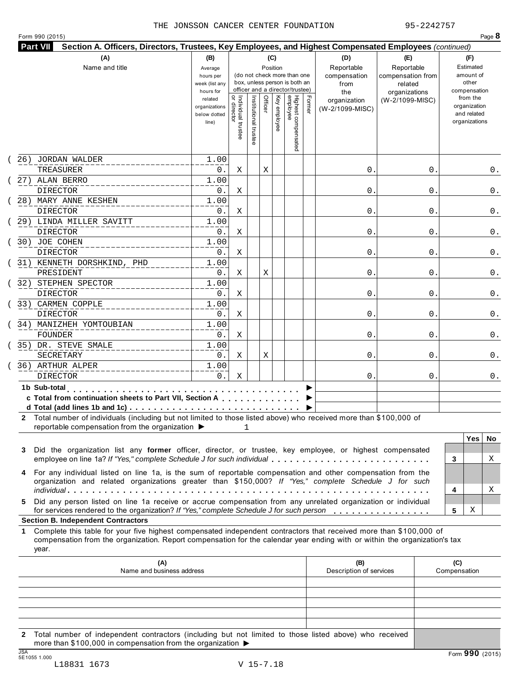|  | Form 990 (2015) |  |
|--|-----------------|--|
|  |                 |  |

| JORDAN WALDER<br>TREASURER<br>27) ALAN BERRO<br><b>DIRECTOR</b><br>28) MARY ANNE KESHEN<br><b>DIRECTOR</b><br>29) LINDA MILLER SAVITT<br><b>DIRECTOR</b><br>30) JOE COHEN<br><b>DIRECTOR</b> | related<br>organizations<br>below dotted<br>line)<br>1.00<br>0.<br>1.00<br>0.<br>1.00<br>0.<br>1.00<br>0.                                                                                                                                                                                                               | <br>  Individual trustee<br>  or director<br>Χ<br>Χ<br>Χ                                                                           | Institutional truste | Officer<br>Χ | Κey<br>employee                                         | Highest compensated<br>employee | Former                                                                                                                           | organization<br>(W-2/1099-MISC)<br>$\mathsf{0}$ . | (W-2/1099-MISC)<br>0                                                 | from the<br>organization<br>and related<br>organizations<br>0.                                                                                                                                                                                                                                                                                                                                                                                                                                                                                                                                                                                                                                                                                                                                                                                                                                                                                                                                                                              |
|----------------------------------------------------------------------------------------------------------------------------------------------------------------------------------------------|-------------------------------------------------------------------------------------------------------------------------------------------------------------------------------------------------------------------------------------------------------------------------------------------------------------------------|------------------------------------------------------------------------------------------------------------------------------------|----------------------|--------------|---------------------------------------------------------|---------------------------------|----------------------------------------------------------------------------------------------------------------------------------|---------------------------------------------------|----------------------------------------------------------------------|---------------------------------------------------------------------------------------------------------------------------------------------------------------------------------------------------------------------------------------------------------------------------------------------------------------------------------------------------------------------------------------------------------------------------------------------------------------------------------------------------------------------------------------------------------------------------------------------------------------------------------------------------------------------------------------------------------------------------------------------------------------------------------------------------------------------------------------------------------------------------------------------------------------------------------------------------------------------------------------------------------------------------------------------|
|                                                                                                                                                                                              |                                                                                                                                                                                                                                                                                                                         |                                                                                                                                    |                      |              |                                                         |                                 |                                                                                                                                  |                                                   |                                                                      |                                                                                                                                                                                                                                                                                                                                                                                                                                                                                                                                                                                                                                                                                                                                                                                                                                                                                                                                                                                                                                             |
|                                                                                                                                                                                              |                                                                                                                                                                                                                                                                                                                         |                                                                                                                                    |                      |              |                                                         |                                 |                                                                                                                                  |                                                   |                                                                      |                                                                                                                                                                                                                                                                                                                                                                                                                                                                                                                                                                                                                                                                                                                                                                                                                                                                                                                                                                                                                                             |
|                                                                                                                                                                                              |                                                                                                                                                                                                                                                                                                                         |                                                                                                                                    |                      |              |                                                         |                                 |                                                                                                                                  |                                                   |                                                                      |                                                                                                                                                                                                                                                                                                                                                                                                                                                                                                                                                                                                                                                                                                                                                                                                                                                                                                                                                                                                                                             |
|                                                                                                                                                                                              |                                                                                                                                                                                                                                                                                                                         |                                                                                                                                    |                      |              |                                                         |                                 |                                                                                                                                  | $\mathsf{0}$ .                                    |                                                                      |                                                                                                                                                                                                                                                                                                                                                                                                                                                                                                                                                                                                                                                                                                                                                                                                                                                                                                                                                                                                                                             |
|                                                                                                                                                                                              |                                                                                                                                                                                                                                                                                                                         |                                                                                                                                    |                      |              |                                                         |                                 |                                                                                                                                  |                                                   | 0                                                                    | 0.                                                                                                                                                                                                                                                                                                                                                                                                                                                                                                                                                                                                                                                                                                                                                                                                                                                                                                                                                                                                                                          |
|                                                                                                                                                                                              |                                                                                                                                                                                                                                                                                                                         |                                                                                                                                    |                      |              |                                                         |                                 |                                                                                                                                  | $\mathsf{0}$ .                                    | 0                                                                    | 0.                                                                                                                                                                                                                                                                                                                                                                                                                                                                                                                                                                                                                                                                                                                                                                                                                                                                                                                                                                                                                                          |
|                                                                                                                                                                                              |                                                                                                                                                                                                                                                                                                                         |                                                                                                                                    |                      |              |                                                         |                                 |                                                                                                                                  |                                                   |                                                                      |                                                                                                                                                                                                                                                                                                                                                                                                                                                                                                                                                                                                                                                                                                                                                                                                                                                                                                                                                                                                                                             |
|                                                                                                                                                                                              |                                                                                                                                                                                                                                                                                                                         | Χ                                                                                                                                  |                      |              |                                                         |                                 |                                                                                                                                  | $\mathsf{0}$ .                                    | $\mathbf 0$                                                          | 0.                                                                                                                                                                                                                                                                                                                                                                                                                                                                                                                                                                                                                                                                                                                                                                                                                                                                                                                                                                                                                                          |
|                                                                                                                                                                                              | 1.00                                                                                                                                                                                                                                                                                                                    |                                                                                                                                    |                      |              |                                                         |                                 |                                                                                                                                  |                                                   |                                                                      |                                                                                                                                                                                                                                                                                                                                                                                                                                                                                                                                                                                                                                                                                                                                                                                                                                                                                                                                                                                                                                             |
|                                                                                                                                                                                              | 0.                                                                                                                                                                                                                                                                                                                      | Χ                                                                                                                                  |                      |              |                                                         |                                 |                                                                                                                                  | $\mathsf{0}$ .                                    | 0                                                                    | 0.                                                                                                                                                                                                                                                                                                                                                                                                                                                                                                                                                                                                                                                                                                                                                                                                                                                                                                                                                                                                                                          |
|                                                                                                                                                                                              | 1.00                                                                                                                                                                                                                                                                                                                    |                                                                                                                                    |                      |              |                                                         |                                 |                                                                                                                                  |                                                   |                                                                      |                                                                                                                                                                                                                                                                                                                                                                                                                                                                                                                                                                                                                                                                                                                                                                                                                                                                                                                                                                                                                                             |
|                                                                                                                                                                                              |                                                                                                                                                                                                                                                                                                                         | Χ                                                                                                                                  |                      | Χ            |                                                         |                                 |                                                                                                                                  |                                                   | 0                                                                    | 0.                                                                                                                                                                                                                                                                                                                                                                                                                                                                                                                                                                                                                                                                                                                                                                                                                                                                                                                                                                                                                                          |
|                                                                                                                                                                                              |                                                                                                                                                                                                                                                                                                                         |                                                                                                                                    |                      |              |                                                         |                                 |                                                                                                                                  |                                                   |                                                                      |                                                                                                                                                                                                                                                                                                                                                                                                                                                                                                                                                                                                                                                                                                                                                                                                                                                                                                                                                                                                                                             |
|                                                                                                                                                                                              |                                                                                                                                                                                                                                                                                                                         |                                                                                                                                    |                      |              |                                                         |                                 |                                                                                                                                  |                                                   |                                                                      | 0.                                                                                                                                                                                                                                                                                                                                                                                                                                                                                                                                                                                                                                                                                                                                                                                                                                                                                                                                                                                                                                          |
|                                                                                                                                                                                              |                                                                                                                                                                                                                                                                                                                         |                                                                                                                                    |                      |              |                                                         |                                 |                                                                                                                                  |                                                   |                                                                      | 0.                                                                                                                                                                                                                                                                                                                                                                                                                                                                                                                                                                                                                                                                                                                                                                                                                                                                                                                                                                                                                                          |
|                                                                                                                                                                                              |                                                                                                                                                                                                                                                                                                                         |                                                                                                                                    |                      |              |                                                         |                                 |                                                                                                                                  |                                                   |                                                                      |                                                                                                                                                                                                                                                                                                                                                                                                                                                                                                                                                                                                                                                                                                                                                                                                                                                                                                                                                                                                                                             |
|                                                                                                                                                                                              |                                                                                                                                                                                                                                                                                                                         |                                                                                                                                    |                      |              |                                                         |                                 |                                                                                                                                  |                                                   | 0                                                                    | 0.                                                                                                                                                                                                                                                                                                                                                                                                                                                                                                                                                                                                                                                                                                                                                                                                                                                                                                                                                                                                                                          |
|                                                                                                                                                                                              | 1.00                                                                                                                                                                                                                                                                                                                    |                                                                                                                                    |                      |              |                                                         |                                 |                                                                                                                                  |                                                   |                                                                      |                                                                                                                                                                                                                                                                                                                                                                                                                                                                                                                                                                                                                                                                                                                                                                                                                                                                                                                                                                                                                                             |
|                                                                                                                                                                                              | 0.                                                                                                                                                                                                                                                                                                                      | Χ                                                                                                                                  |                      | Χ            |                                                         |                                 |                                                                                                                                  | 0.                                                | 0                                                                    | 0.                                                                                                                                                                                                                                                                                                                                                                                                                                                                                                                                                                                                                                                                                                                                                                                                                                                                                                                                                                                                                                          |
|                                                                                                                                                                                              | 1.00                                                                                                                                                                                                                                                                                                                    |                                                                                                                                    |                      |              |                                                         |                                 |                                                                                                                                  |                                                   |                                                                      |                                                                                                                                                                                                                                                                                                                                                                                                                                                                                                                                                                                                                                                                                                                                                                                                                                                                                                                                                                                                                                             |
|                                                                                                                                                                                              |                                                                                                                                                                                                                                                                                                                         | X                                                                                                                                  |                      |              |                                                         |                                 |                                                                                                                                  | О.                                                | 0                                                                    | 0.                                                                                                                                                                                                                                                                                                                                                                                                                                                                                                                                                                                                                                                                                                                                                                                                                                                                                                                                                                                                                                          |
|                                                                                                                                                                                              |                                                                                                                                                                                                                                                                                                                         |                                                                                                                                    |                      |              |                                                         |                                 |                                                                                                                                  |                                                   |                                                                      |                                                                                                                                                                                                                                                                                                                                                                                                                                                                                                                                                                                                                                                                                                                                                                                                                                                                                                                                                                                                                                             |
|                                                                                                                                                                                              |                                                                                                                                                                                                                                                                                                                         |                                                                                                                                    |                      |              |                                                         |                                 |                                                                                                                                  |                                                   |                                                                      | <b>Yes</b><br>No.                                                                                                                                                                                                                                                                                                                                                                                                                                                                                                                                                                                                                                                                                                                                                                                                                                                                                                                                                                                                                           |
|                                                                                                                                                                                              |                                                                                                                                                                                                                                                                                                                         |                                                                                                                                    |                      |              |                                                         |                                 |                                                                                                                                  |                                                   |                                                                      | Χ<br>3                                                                                                                                                                                                                                                                                                                                                                                                                                                                                                                                                                                                                                                                                                                                                                                                                                                                                                                                                                                                                                      |
|                                                                                                                                                                                              |                                                                                                                                                                                                                                                                                                                         |                                                                                                                                    |                      |              |                                                         |                                 |                                                                                                                                  |                                                   |                                                                      |                                                                                                                                                                                                                                                                                                                                                                                                                                                                                                                                                                                                                                                                                                                                                                                                                                                                                                                                                                                                                                             |
|                                                                                                                                                                                              |                                                                                                                                                                                                                                                                                                                         |                                                                                                                                    |                      |              |                                                         |                                 |                                                                                                                                  |                                                   |                                                                      |                                                                                                                                                                                                                                                                                                                                                                                                                                                                                                                                                                                                                                                                                                                                                                                                                                                                                                                                                                                                                                             |
|                                                                                                                                                                                              |                                                                                                                                                                                                                                                                                                                         |                                                                                                                                    |                      |              |                                                         |                                 |                                                                                                                                  |                                                   |                                                                      | х<br>4                                                                                                                                                                                                                                                                                                                                                                                                                                                                                                                                                                                                                                                                                                                                                                                                                                                                                                                                                                                                                                      |
|                                                                                                                                                                                              |                                                                                                                                                                                                                                                                                                                         |                                                                                                                                    |                      |              |                                                         |                                 |                                                                                                                                  |                                                   |                                                                      | 5<br>Χ                                                                                                                                                                                                                                                                                                                                                                                                                                                                                                                                                                                                                                                                                                                                                                                                                                                                                                                                                                                                                                      |
|                                                                                                                                                                                              |                                                                                                                                                                                                                                                                                                                         |                                                                                                                                    |                      |              |                                                         |                                 |                                                                                                                                  |                                                   |                                                                      |                                                                                                                                                                                                                                                                                                                                                                                                                                                                                                                                                                                                                                                                                                                                                                                                                                                                                                                                                                                                                                             |
| (A)                                                                                                                                                                                          |                                                                                                                                                                                                                                                                                                                         |                                                                                                                                    |                      |              |                                                         |                                 |                                                                                                                                  | (B)                                               |                                                                      | (C)<br>Compensation                                                                                                                                                                                                                                                                                                                                                                                                                                                                                                                                                                                                                                                                                                                                                                                                                                                                                                                                                                                                                         |
|                                                                                                                                                                                              |                                                                                                                                                                                                                                                                                                                         |                                                                                                                                    |                      |              |                                                         |                                 |                                                                                                                                  |                                                   |                                                                      |                                                                                                                                                                                                                                                                                                                                                                                                                                                                                                                                                                                                                                                                                                                                                                                                                                                                                                                                                                                                                                             |
|                                                                                                                                                                                              |                                                                                                                                                                                                                                                                                                                         |                                                                                                                                    |                      |              |                                                         |                                 |                                                                                                                                  |                                                   |                                                                      |                                                                                                                                                                                                                                                                                                                                                                                                                                                                                                                                                                                                                                                                                                                                                                                                                                                                                                                                                                                                                                             |
|                                                                                                                                                                                              |                                                                                                                                                                                                                                                                                                                         |                                                                                                                                    |                      |              |                                                         |                                 |                                                                                                                                  |                                                   |                                                                      |                                                                                                                                                                                                                                                                                                                                                                                                                                                                                                                                                                                                                                                                                                                                                                                                                                                                                                                                                                                                                                             |
|                                                                                                                                                                                              | 31) KENNETH DORSHKIND, PHD<br>PRESIDENT<br>32) STEPHEN SPECTOR<br><b>DIRECTOR</b><br>33) CARMEN COPPLE<br><b>DIRECTOR</b><br>34) MANIZHEH YOMTOUBIAN<br><b>FOUNDER</b><br>35) DR. STEVE SMALE<br>SECRETARY<br>36) ARTHUR ALPER<br><b>DIRECTOR</b><br>1b Sub-total<br><b>Section B. Independent Contractors</b><br>year. | 0.<br>1.00<br>0.<br>1.00<br>0.<br>1.00<br>0.<br>0.<br>reportable compensation from the organization ▶<br>Name and business address | Χ<br>Χ<br>Χ          | 1            | c Total from continuation sheets to Part VII, Section A |                                 | d Total (add lines 1b and 1c) $\cdots$ $\cdots$ $\cdots$ $\cdots$ $\cdots$ $\cdots$ $\cdots$ $\cdots$ $\cdots$ $\cdots$ $\cdots$ |                                                   | $\mathsf{0}$ .<br>$\mathsf{0}$ .<br>$\mathsf{0}$ .<br>$\mathsf{0}$ . | 0<br>0<br>2 Total number of individuals (including but not limited to those listed above) who received more than \$100,000 of<br>Did the organization list any former officer, director, or trustee, key employee, or highest compensated<br>employee on line 1a? If "Yes," complete Schedule J for such individual<br>4 For any individual listed on line 1a, is the sum of reportable compensation and other compensation from the<br>organization and related organizations greater than \$150,000? If "Yes," complete Schedule J for such<br>Did any person listed on line 1a receive or accrue compensation from any unrelated organization or individual<br>for services rendered to the organization? If "Yes," complete Schedule J for such person<br>1 Complete this table for your five highest compensated independent contractors that received more than \$100,000 of<br>compensation from the organization. Report compensation for the calendar year ending with or within the organization's tax<br>Description of services |

**2** Total number of independent contractors (including but not limited to those listed above) who received more than \$100,000 in compensation from the organization  $\blacktriangleright$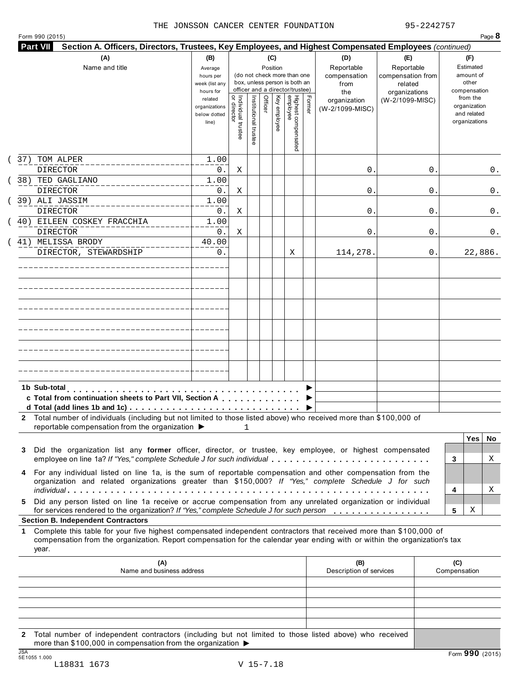| Form 990 (2015) |  |
|-----------------|--|

| (A)<br>Name and title                                                                                                                                                                                                                                                                                                                                             | (B)<br>Average<br>hours per<br>week (list any<br>hours for |                                     |                       | (C)<br>Position |              | (do not check more than one<br>box, unless person is both an<br>officer and a director/trustee) |        | (D)<br>Reportable<br>compensation<br>from<br>the | (E)<br>Reportable<br>compensation from<br>related<br>organizations | (F)<br>Estimated<br>amount of<br>other<br>compensation   |
|-------------------------------------------------------------------------------------------------------------------------------------------------------------------------------------------------------------------------------------------------------------------------------------------------------------------------------------------------------------------|------------------------------------------------------------|-------------------------------------|-----------------------|-----------------|--------------|-------------------------------------------------------------------------------------------------|--------|--------------------------------------------------|--------------------------------------------------------------------|----------------------------------------------------------|
|                                                                                                                                                                                                                                                                                                                                                                   | related<br>organizations<br>below dotted<br>line)          | Individual trustee<br>  or director | Institutional trustee | Officer         | Key employee | Highest compensated<br>employee                                                                 | Former | organization<br>(W-2/1099-MISC)                  | (W-2/1099-MISC)                                                    | from the<br>organization<br>and related<br>organizations |
| TOM ALPER<br>37)<br><b>DIRECTOR</b>                                                                                                                                                                                                                                                                                                                               | 1.00                                                       |                                     |                       |                 |              |                                                                                                 |        |                                                  |                                                                    |                                                          |
| 38) TED GAGLIANO                                                                                                                                                                                                                                                                                                                                                  | 0.<br>1.00                                                 | Χ                                   |                       |                 |              |                                                                                                 |        | 0                                                | 0                                                                  | 0.                                                       |
| <b>DIRECTOR</b>                                                                                                                                                                                                                                                                                                                                                   | 0.                                                         | Χ                                   |                       |                 |              |                                                                                                 |        | $\mathbf 0$                                      | 0                                                                  | 0.                                                       |
| 39) ALI JASSIM                                                                                                                                                                                                                                                                                                                                                    | 1.00                                                       |                                     |                       |                 |              |                                                                                                 |        |                                                  |                                                                    |                                                          |
| <b>DIRECTOR</b>                                                                                                                                                                                                                                                                                                                                                   | 0.                                                         | Χ                                   |                       |                 |              |                                                                                                 |        | 0                                                | 0                                                                  | 0.                                                       |
| 40) EILEEN COSKEY FRACCHIA<br>DIRECTOR                                                                                                                                                                                                                                                                                                                            | 1.00<br>0.                                                 | Χ                                   |                       |                 |              |                                                                                                 |        | 0                                                | 0                                                                  | 0.                                                       |
| 41) MELISSA BRODY<br>DIRECTOR, STEWARDSHIP                                                                                                                                                                                                                                                                                                                        | 40.00<br>0.                                                |                                     |                       |                 |              | Χ                                                                                               |        | 114,278.                                         | 0.                                                                 | 22,886.                                                  |
|                                                                                                                                                                                                                                                                                                                                                                   |                                                            |                                     |                       |                 |              |                                                                                                 |        |                                                  |                                                                    |                                                          |
|                                                                                                                                                                                                                                                                                                                                                                   |                                                            |                                     |                       |                 |              |                                                                                                 |        |                                                  |                                                                    |                                                          |
|                                                                                                                                                                                                                                                                                                                                                                   |                                                            |                                     |                       |                 |              |                                                                                                 |        |                                                  |                                                                    |                                                          |
|                                                                                                                                                                                                                                                                                                                                                                   |                                                            |                                     |                       |                 |              |                                                                                                 |        |                                                  |                                                                    |                                                          |
|                                                                                                                                                                                                                                                                                                                                                                   |                                                            |                                     |                       |                 |              |                                                                                                 |        |                                                  |                                                                    |                                                          |
|                                                                                                                                                                                                                                                                                                                                                                   |                                                            |                                     |                       |                 |              |                                                                                                 |        |                                                  |                                                                    |                                                          |
| 1b Sub-total<br>c Total from continuation sheets to Part VII, Section A                                                                                                                                                                                                                                                                                           |                                                            |                                     |                       |                 |              |                                                                                                 |        |                                                  |                                                                    |                                                          |
| 2 Total number of individuals (including but not limited to those listed above) who received more than \$100,000 of<br>reportable compensation from the organization ▶<br>Did the organization list any former officer, director, or trustee, key employee, or highest compensated<br>3<br>employee on line 1a? If "Yes," complete Schedule J for such individual |                                                            | $\mathbf{1}$                        |                       |                 |              |                                                                                                 |        |                                                  |                                                                    | <b>Yes</b><br>No.<br>Χ<br>3                              |
| 4 For any individual listed on line 1a, is the sum of reportable compensation and other compensation from the<br>organization and related organizations greater than \$150,000? If "Yes," complete Schedule J for such                                                                                                                                            |                                                            |                                     |                       |                 |              |                                                                                                 |        |                                                  |                                                                    | Χ<br>4                                                   |
| Did any person listed on line 1a receive or accrue compensation from any unrelated organization or individual<br>5.<br>for services rendered to the organization? If "Yes," complete Schedule J for such person                                                                                                                                                   |                                                            |                                     |                       |                 |              |                                                                                                 |        |                                                  |                                                                    | Χ<br>5                                                   |
| <b>Section B. Independent Contractors</b>                                                                                                                                                                                                                                                                                                                         |                                                            |                                     |                       |                 |              |                                                                                                 |        |                                                  |                                                                    |                                                          |
| Complete this table for your five highest compensated independent contractors that received more than \$100,000 of<br>1.<br>compensation from the organization. Report compensation for the calendar year ending with or within the organization's tax<br>year.                                                                                                   |                                                            |                                     |                       |                 |              |                                                                                                 |        |                                                  |                                                                    |                                                          |
| (A)                                                                                                                                                                                                                                                                                                                                                               |                                                            |                                     |                       |                 |              |                                                                                                 |        | (B)<br>Description of services                   |                                                                    | (C)<br>Compensation                                      |
| Name and business address                                                                                                                                                                                                                                                                                                                                         |                                                            |                                     |                       |                 |              |                                                                                                 |        |                                                  |                                                                    |                                                          |
|                                                                                                                                                                                                                                                                                                                                                                   |                                                            |                                     |                       |                 |              |                                                                                                 |        |                                                  |                                                                    |                                                          |

**2** Total number of independent contractors (including but not limited to those listed above) who received more than \$100,000 in compensation from the organization  $\blacktriangleright$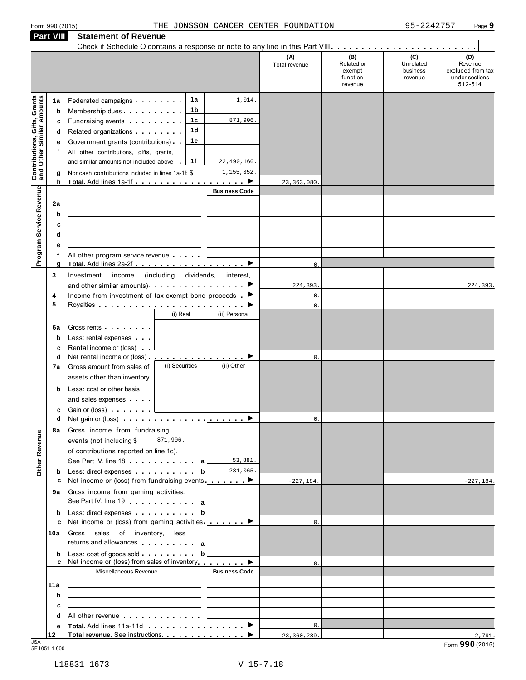| Form 990 (2015)                                                       | THE JONSSON CANCER CENTER FOUNDATION                                                                                                                                                                                                                                           |                      |                     | 95-2242757       | Page 9                    |
|-----------------------------------------------------------------------|--------------------------------------------------------------------------------------------------------------------------------------------------------------------------------------------------------------------------------------------------------------------------------|----------------------|---------------------|------------------|---------------------------|
| <b>Part VIII</b>                                                      | <b>Statement of Revenue</b>                                                                                                                                                                                                                                                    |                      |                     |                  |                           |
|                                                                       |                                                                                                                                                                                                                                                                                |                      |                     |                  |                           |
|                                                                       |                                                                                                                                                                                                                                                                                | (A)<br>Total revenue | (B)<br>Related or   | (C)<br>Unrelated | (D)<br>Revenue            |
|                                                                       |                                                                                                                                                                                                                                                                                |                      | exempt              | business         | excluded from tax         |
|                                                                       |                                                                                                                                                                                                                                                                                |                      | function<br>revenue | revenue          | under sections<br>512-514 |
|                                                                       |                                                                                                                                                                                                                                                                                |                      |                     |                  |                           |
| 1a                                                                    | 1a<br>1,014.<br>Federated campaigns <b>Federated</b>                                                                                                                                                                                                                           |                      |                     |                  |                           |
| b                                                                     | 1 b<br>Membership dues <b>All Accords</b> Membership dues<br>1c<br>871,906.                                                                                                                                                                                                    |                      |                     |                  |                           |
| c                                                                     | Fundraising events <b>Exercises</b><br>1d                                                                                                                                                                                                                                      |                      |                     |                  |                           |
| <b>Contributions, Gifts, Grants</b><br>and Other Similar Amounts<br>d | Related organizations <b>contains</b> and the set of the set of the set of the set of the set of the set of the set of the set of the set of the set of the set of the set of the set of the set of the set of the set of the set o<br>1е<br>Government grants (contributions) |                      |                     |                  |                           |
| е<br>f                                                                | All other contributions, gifts, grants,                                                                                                                                                                                                                                        |                      |                     |                  |                           |
|                                                                       | and similar amounts not included above<br>1 f<br>22,490,160.                                                                                                                                                                                                                   |                      |                     |                  |                           |
| g                                                                     |                                                                                                                                                                                                                                                                                |                      |                     |                  |                           |
| h                                                                     |                                                                                                                                                                                                                                                                                | 23, 363, 080.        |                     |                  |                           |
|                                                                       | <b>Business Code</b>                                                                                                                                                                                                                                                           |                      |                     |                  |                           |
| 2a                                                                    |                                                                                                                                                                                                                                                                                |                      |                     |                  |                           |
| Program Service Revenue<br>b                                          |                                                                                                                                                                                                                                                                                |                      |                     |                  |                           |
| c                                                                     |                                                                                                                                                                                                                                                                                |                      |                     |                  |                           |
| d                                                                     |                                                                                                                                                                                                                                                                                |                      |                     |                  |                           |
| е                                                                     |                                                                                                                                                                                                                                                                                |                      |                     |                  |                           |
| f                                                                     | All other program service revenue                                                                                                                                                                                                                                              |                      |                     |                  |                           |
| g                                                                     |                                                                                                                                                                                                                                                                                | 0.                   |                     |                  |                           |
| 3                                                                     | Investment<br>income (including dividends, interest,                                                                                                                                                                                                                           |                      |                     |                  |                           |
|                                                                       |                                                                                                                                                                                                                                                                                | 224,393.             |                     |                  | 224,393.                  |
| 4<br>5                                                                | Income from investment of tax-exempt bond proceeds $\blacktriangleright$                                                                                                                                                                                                       | 0.                   |                     |                  |                           |
|                                                                       | (i) Real<br>(ii) Personal                                                                                                                                                                                                                                                      | $\mathbf{0}$ .       |                     |                  |                           |
|                                                                       |                                                                                                                                                                                                                                                                                |                      |                     |                  |                           |
| 6a                                                                    | Gross rents <b>contains a state of the state of the state of the state of the state of the state of the state of the state of the state of the state of the state of the state of the state of the state of the state of the sta</b><br>Less: rental expenses                  |                      |                     |                  |                           |
| b<br>c                                                                | Rental income or (loss)                                                                                                                                                                                                                                                        |                      |                     |                  |                           |
| d                                                                     | Net rental income or (loss) ▶                                                                                                                                                                                                                                                  | $\mathbf{0}$ .       |                     |                  |                           |
| 7a                                                                    | (i) Securities<br>(ii) Other<br>Gross amount from sales of                                                                                                                                                                                                                     |                      |                     |                  |                           |
|                                                                       | assets other than inventory                                                                                                                                                                                                                                                    |                      |                     |                  |                           |
| b                                                                     | Less: cost or other basis                                                                                                                                                                                                                                                      |                      |                     |                  |                           |
|                                                                       | and sales expenses                                                                                                                                                                                                                                                             |                      |                     |                  |                           |
| c                                                                     | Gain or (loss) $\ldots \ldots$ $\qquad \qquad$                                                                                                                                                                                                                                 |                      |                     |                  |                           |
| d                                                                     | Net gain or (loss) $\ldots$ $\ldots$ $\ldots$ $\ldots$ $\ldots$ $\ldots$ $\ldots$ $\blacktriangleright$                                                                                                                                                                        | 0.                   |                     |                  |                           |
| 8а                                                                    | Gross income from fundraising                                                                                                                                                                                                                                                  |                      |                     |                  |                           |
|                                                                       |                                                                                                                                                                                                                                                                                |                      |                     |                  |                           |
|                                                                       | of contributions reported on line 1c).                                                                                                                                                                                                                                         |                      |                     |                  |                           |
| Other Revenue                                                         | 53,881.                                                                                                                                                                                                                                                                        |                      |                     |                  |                           |
| b                                                                     | Less: direct expenses $\mathbf{b}$<br>281,065.                                                                                                                                                                                                                                 |                      |                     |                  |                           |
| c                                                                     | Net income or (loss) from fundraising events $\blacksquare$                                                                                                                                                                                                                    | $-227, 184.$         |                     |                  | $-227,184.$               |
| 9а                                                                    | Gross income from gaming activities.<br>See Part IV, line 19 [10]                                                                                                                                                                                                              |                      |                     |                  |                           |
|                                                                       | Less: direct expenses $\ldots$ , $\ldots$ , $\mathbf{b}$                                                                                                                                                                                                                       |                      |                     |                  |                           |
| b<br>c                                                                | Net income or (loss) from gaming activities. $\ldots$                                                                                                                                                                                                                          | 0.                   |                     |                  |                           |
| 10a                                                                   | sales of inventory, less<br>Gross                                                                                                                                                                                                                                              |                      |                     |                  |                           |
|                                                                       | returns and allowances and allowances                                                                                                                                                                                                                                          |                      |                     |                  |                           |
| b                                                                     |                                                                                                                                                                                                                                                                                |                      |                     |                  |                           |
|                                                                       |                                                                                                                                                                                                                                                                                | 0.                   |                     |                  |                           |
|                                                                       | Miscellaneous Revenue<br><b>Business Code</b>                                                                                                                                                                                                                                  |                      |                     |                  |                           |
| 11a                                                                   |                                                                                                                                                                                                                                                                                |                      |                     |                  |                           |
| b                                                                     | the control of the control of the control of the control of the control of the control of                                                                                                                                                                                      |                      |                     |                  |                           |
| с                                                                     |                                                                                                                                                                                                                                                                                |                      |                     |                  |                           |
| d                                                                     | All other revenue entitled and the control of the control of the control of the control of the control of the control of the control of the control of the control of the control of the control of the control of the control                                                 |                      |                     |                  |                           |
| е                                                                     |                                                                                                                                                                                                                                                                                | 0.                   |                     |                  |                           |
|                                                                       |                                                                                                                                                                                                                                                                                |                      |                     |                  | $-2,791.$                 |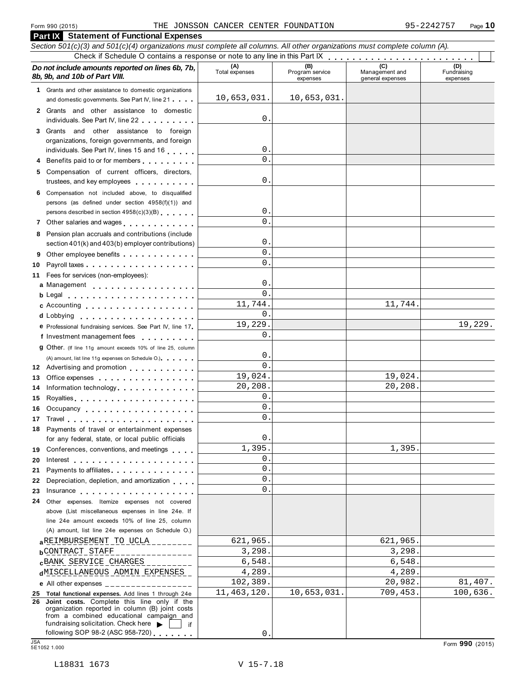#### Form 990 (2015) Page **10** THE JONSSON CANCER CENTER FOUNDATION 95-2242757

| Form 990 (2015)<br><b>Part IX</b> Statement of Functional Expenses                                                                                                                                                                                                         | THE JONSSON CANCER CENTER FOUNDATION |                                    |                                           | 95-2242757<br>Page $10$        |
|----------------------------------------------------------------------------------------------------------------------------------------------------------------------------------------------------------------------------------------------------------------------------|--------------------------------------|------------------------------------|-------------------------------------------|--------------------------------|
| Section 501(c)(3) and 501(c)(4) organizations must complete all columns. All other organizations must complete column (A).                                                                                                                                                 |                                      |                                    |                                           |                                |
|                                                                                                                                                                                                                                                                            |                                      |                                    |                                           |                                |
| Do not include amounts reported on lines 6b, 7b,<br>8b, 9b, and 10b of Part VIII.                                                                                                                                                                                          | (A)<br>Total expenses                | (B)<br>Program service<br>expenses | (C)<br>Management and<br>general expenses | (D)<br>Fundraising<br>expenses |
| 1 Grants and other assistance to domestic organizations                                                                                                                                                                                                                    |                                      |                                    |                                           |                                |
| and domestic governments. See Part IV, line 21                                                                                                                                                                                                                             | 10,653,031.                          | 10,653,031.                        |                                           |                                |
| 2 Grants and other assistance to domestic                                                                                                                                                                                                                                  |                                      |                                    |                                           |                                |
| individuals. See Part IV, line 22                                                                                                                                                                                                                                          | 0.                                   |                                    |                                           |                                |
| 3 Grants and other assistance to foreign                                                                                                                                                                                                                                   |                                      |                                    |                                           |                                |
| organizations, foreign governments, and foreign                                                                                                                                                                                                                            |                                      |                                    |                                           |                                |
| individuals. See Part IV, lines 15 and 16                                                                                                                                                                                                                                  | 0.<br>$\Omega$ .                     |                                    |                                           |                                |
| 4 Benefits paid to or for members                                                                                                                                                                                                                                          |                                      |                                    |                                           |                                |
| 5 Compensation of current officers, directors,<br>trustees, and key employees                                                                                                                                                                                              | $\mathbf{0}$                         |                                    |                                           |                                |
| 6 Compensation not included above, to disqualified                                                                                                                                                                                                                         |                                      |                                    |                                           |                                |
| persons (as defined under section 4958(f)(1)) and                                                                                                                                                                                                                          | 0.                                   |                                    |                                           |                                |
| persons described in section 4958(c)(3)(B)                                                                                                                                                                                                                                 | $\Omega$ .                           |                                    |                                           |                                |
| 7 Other salaries and wages                                                                                                                                                                                                                                                 |                                      |                                    |                                           |                                |
| 8 Pension plan accruals and contributions (include<br>section 401(k) and 403(b) employer contributions)                                                                                                                                                                    | 0                                    |                                    |                                           |                                |
| Other employee benefits<br>9                                                                                                                                                                                                                                               | $\mathbf{0}$                         |                                    |                                           |                                |
| Payroll taxes<br>10                                                                                                                                                                                                                                                        | $\Omega$                             |                                    |                                           |                                |
| 11 Fees for services (non-employees):                                                                                                                                                                                                                                      |                                      |                                    |                                           |                                |
| a Management experience and management                                                                                                                                                                                                                                     | 0                                    |                                    |                                           |                                |
| b Legal entering the service of the service of the service of the service of the service of the service of the                                                                                                                                                             | $\Omega$ .                           |                                    |                                           |                                |
| c Accounting                                                                                                                                                                                                                                                               | 11,744.                              |                                    | 11,744.                                   |                                |
|                                                                                                                                                                                                                                                                            | 0.                                   |                                    |                                           |                                |
| e Professional fundraising services. See Part IV, line 17                                                                                                                                                                                                                  | 19,229.                              |                                    |                                           | 19,229.                        |
| f Investment management fees                                                                                                                                                                                                                                               | $\mathbf 0$ .                        |                                    |                                           |                                |
| <b>g</b> Other. (If line 11g amount exceeds 10% of line 25, column                                                                                                                                                                                                         | 0                                    |                                    |                                           |                                |
| (A) amount, list line 11g expenses on Schedule O.)<br>12 Advertising and promotion                                                                                                                                                                                         | 0.                                   |                                    |                                           |                                |
| 13 Office expenses                                                                                                                                                                                                                                                         | 19,024.                              |                                    | 19,024.                                   |                                |
| 14 Information technology                                                                                                                                                                                                                                                  | 20,208.                              |                                    | 20, 208.                                  |                                |
| 15                                                                                                                                                                                                                                                                         | 0.                                   |                                    |                                           |                                |
| Occupancy<br>16                                                                                                                                                                                                                                                            | 0.                                   |                                    |                                           |                                |
| 17                                                                                                                                                                                                                                                                         | $\Omega$                             |                                    |                                           |                                |
| 18 Payments of travel or entertainment expenses                                                                                                                                                                                                                            |                                      |                                    |                                           |                                |
| for any federal, state, or local public officials                                                                                                                                                                                                                          | 0                                    |                                    |                                           |                                |
| Conferences, conventions, and meetings<br>19                                                                                                                                                                                                                               | 1,395.                               |                                    | 1,395.                                    |                                |
| 20<br>Interest $\ldots \ldots \ldots \ldots \ldots \ldots$                                                                                                                                                                                                                 | 0.<br>0.                             |                                    |                                           |                                |
| Payments to affiliates <b>All Accords</b> Payments to affiliates<br>21                                                                                                                                                                                                     | 0.                                   |                                    |                                           |                                |
| Depreciation, depletion, and amortization<br>22<br>23                                                                                                                                                                                                                      | $\Omega$ .                           |                                    |                                           |                                |
| Other expenses. Itemize expenses not covered<br>24                                                                                                                                                                                                                         |                                      |                                    |                                           |                                |
| above (List miscellaneous expenses in line 24e. If                                                                                                                                                                                                                         |                                      |                                    |                                           |                                |
| line 24e amount exceeds 10% of line 25, column                                                                                                                                                                                                                             |                                      |                                    |                                           |                                |
| (A) amount, list line 24e expenses on Schedule O.)                                                                                                                                                                                                                         |                                      |                                    |                                           |                                |
| <b>aREIMBURSEMENT TO UCLA</b>                                                                                                                                                                                                                                              | 621,965.                             |                                    | 621,965.                                  |                                |
| <b>bCONTRACT STAFF</b>                                                                                                                                                                                                                                                     | 3,298.                               |                                    | 3,298.                                    |                                |
| <b>CBANK SERVICE CHARGES</b>                                                                                                                                                                                                                                               | 6,548.                               |                                    | 6,548.                                    |                                |
| dMISCELLANEOUS ADMIN EXPENSES                                                                                                                                                                                                                                              | 4,289.                               |                                    | 4,289.                                    |                                |
| e All other expenses $\frac{1}{1}$                                                                                                                                                                                                                                         | 102,389.                             |                                    | 20,982.                                   | 81,407.                        |
| 25 Total functional expenses. Add lines 1 through 24e<br>26 Joint costs. Complete this line only if the<br>organization reported in column (B) joint costs<br>from a combined educational campaign and<br>fundraising solicitation. Check here $\blacktriangleright$<br>if | 11, 463, 120.                        | 10,653,031.                        | 709,453.                                  | 100,636.                       |
| following SOP 98-2 (ASC 958-720)                                                                                                                                                                                                                                           | 0                                    |                                    |                                           |                                |
| <b>JSA</b>                                                                                                                                                                                                                                                                 |                                      |                                    |                                           | Form 990 (2015)                |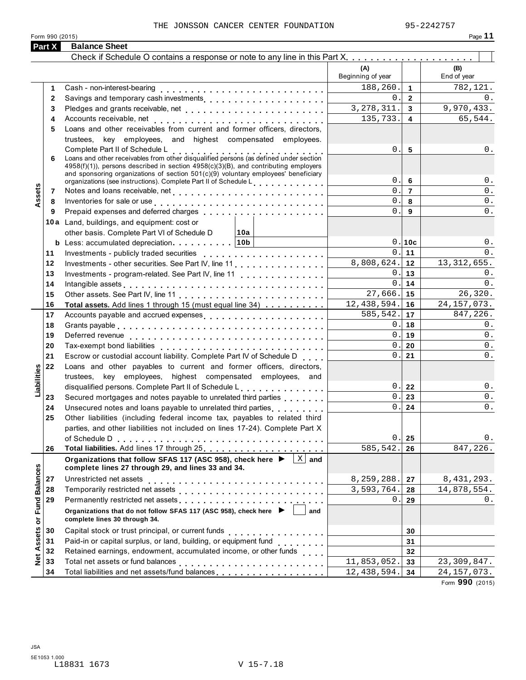|                             | THE JONSSON CANCER CENTER FOUNDATION                                                                                                                                                                                           |                               |                         | 95-2242757               |
|-----------------------------|--------------------------------------------------------------------------------------------------------------------------------------------------------------------------------------------------------------------------------|-------------------------------|-------------------------|--------------------------|
| Form 990 (2015)             |                                                                                                                                                                                                                                |                               |                         | Page 11                  |
| Part X                      | <b>Balance Sheet</b>                                                                                                                                                                                                           |                               |                         |                          |
|                             |                                                                                                                                                                                                                                |                               |                         |                          |
|                             |                                                                                                                                                                                                                                | (A)<br>Beginning of year      |                         | (B)<br>End of year       |
| 1                           |                                                                                                                                                                                                                                | 188, 260.                     | $\overline{\mathbf{1}}$ | 782,121.                 |
| $\mathbf{2}$                |                                                                                                                                                                                                                                | 0.1                           | $\overline{2}$          | 0.                       |
| 3                           | Pledges and grants receivable, net enterprise and such a set of the set of the set of the set of the set of the set of the set of the set of the set of the set of the set of the set of the set of the set of the set of the  | 3, 278, 311.                  | $\overline{\mathbf{3}}$ | 9,970,433.               |
| 4                           |                                                                                                                                                                                                                                | 135, 733.                     | $\overline{4}$          | 65,544.                  |
| 5                           | Loans and other receivables from current and former officers, directors,                                                                                                                                                       |                               |                         |                          |
|                             | trustees, key employees, and highest compensated employees.                                                                                                                                                                    |                               |                         |                          |
|                             | Complete Part II of Schedule L<br>Loans and other receivables from other disqualified persons (as defined under section                                                                                                        |                               | $0$ . 5                 | $0$ .                    |
| 6                           |                                                                                                                                                                                                                                |                               |                         |                          |
|                             | 4958(f)(1)), persons described in section 4958(c)(3)(B), and contributing employers<br>and sponsoring organizations of section 501(c)(9) voluntary employees' beneficiary                                                      |                               |                         |                          |
|                             | organizations (see instructions). Complete Part II of Schedule L.                                                                                                                                                              |                               | $0$ $\vert$ 6           | 0.                       |
| 7                           |                                                                                                                                                                                                                                |                               | 0.7                     | 0.                       |
| Assets<br>8                 | Inventories for sale or use enterprise to contact the contact of the contact of the contact of the contact of the contact of the contact of the contact of the contact of the contact of the contact of the contact of the con | 0.1                           | 8                       | 0.                       |
| 9                           |                                                                                                                                                                                                                                | 0.1                           | 9                       | 0.                       |
|                             | 10a Land, buildings, and equipment: cost or                                                                                                                                                                                    |                               |                         |                          |
|                             | other basis. Complete Part VI of Schedule D<br>∣10a                                                                                                                                                                            |                               |                         |                          |
|                             |                                                                                                                                                                                                                                |                               | 0.10c                   | 0.                       |
| 11                          |                                                                                                                                                                                                                                |                               | 0.111                   | 0.                       |
| 12                          | Investments - other securities. See Part IV, line 11.                                                                                                                                                                          | $8,808,624.$ 12               |                         | 13, 312, 655.            |
| 13                          | Investments - program-related. See Part IV, line 11                                                                                                                                                                            |                               | 0.113                   | 0.                       |
| 14                          | Intangible assets enterpreteration of the contract of the contract of the contract of the contract of the contract of the contract of the contract of the contract of the contract of the contract of the contract of the cont |                               | $0.\vert$ 14            | 0.                       |
| 15                          |                                                                                                                                                                                                                                | $27,666.$ 15<br>12, 438, 594. |                         | 26,320.<br>24, 157, 073. |
| 16<br>17                    | Total assets. Add lines 1 through 15 (must equal line 34)                                                                                                                                                                      | $585, 542.$ 17                | 16                      | 847,226.                 |
| 18                          | Accounts payable and accrued expenses                                                                                                                                                                                          |                               | 0.118                   | 0.                       |
| 19                          |                                                                                                                                                                                                                                |                               | 0.19                    | $0$ .                    |
| 20                          | Deferred revenue enterprise and and an enterprise manufacturer and all the property and all the property of the                                                                                                                |                               | 0.20                    | 0.                       |
| 21                          | Escrow or custodial account liability. Complete Part IV of Schedule D                                                                                                                                                          | 0.1                           | 21                      | 0.                       |
| 22                          | Loans and other payables to current and former officers, directors,                                                                                                                                                            |                               |                         |                          |
| lities                      | trustees, key employees, highest compensated employees, and                                                                                                                                                                    |                               |                         |                          |
| Liabil                      | disqualified persons. Complete Part II of Schedule L.                                                                                                                                                                          | 0.1                           | 22                      | $\mathsf 0$ .            |
| 23                          | Secured mortgages and notes payable to unrelated third parties                                                                                                                                                                 | 0.1                           | 23                      | 0.                       |
| 24                          | Unsecured notes and loans payable to unrelated third parties <b>contained</b>                                                                                                                                                  | 0.1                           | 24                      | 0.                       |
| 25                          | Other liabilities (including federal income tax, payables to related third                                                                                                                                                     |                               |                         |                          |
|                             | parties, and other liabilities not included on lines 17-24). Complete Part X                                                                                                                                                   |                               |                         |                          |
|                             |                                                                                                                                                                                                                                |                               | 0.125                   | 0.                       |
| 26                          |                                                                                                                                                                                                                                | 585,542.                      | 26                      | 847,226.                 |
|                             | Organizations that follow SFAS 117 (ASC 958), check here ▶<br>ΧI<br>and<br>complete lines 27 through 29, and lines 33 and 34.                                                                                                  |                               |                         |                          |
| 27                          | Unrestricted net assets                                                                                                                                                                                                        | 8,259,288.                    | 27                      | 8,431,293.               |
| 28                          |                                                                                                                                                                                                                                | 3,593,764.                    | 28                      | 14,878,554.              |
| 29                          |                                                                                                                                                                                                                                | 0.                            | 29                      | 0.                       |
| Net Assets or Fund Balances | Organizations that do not follow SFAS 117 (ASC 958), check here $\blacktriangleright$<br>and<br>complete lines 30 through 34.                                                                                                  |                               |                         |                          |
| 30                          | Capital stock or trust principal, or current funds                                                                                                                                                                             |                               | 30                      |                          |
| 31                          | Paid-in or capital surplus, or land, building, or equipment fund<br>                                                                                                                                                           |                               | 31                      |                          |
| 32                          | Retained earnings, endowment, accumulated income, or other funds                                                                                                                                                               |                               | 32                      |                          |
| 33                          | Total net assets or fund balances<br>.                                                                                                                                                                                         | 11,853,052.                   | 33                      | 23, 309, 847.            |
| 34                          |                                                                                                                                                                                                                                | 12,438,594.                   | 34                      | 24, 157, 073.            |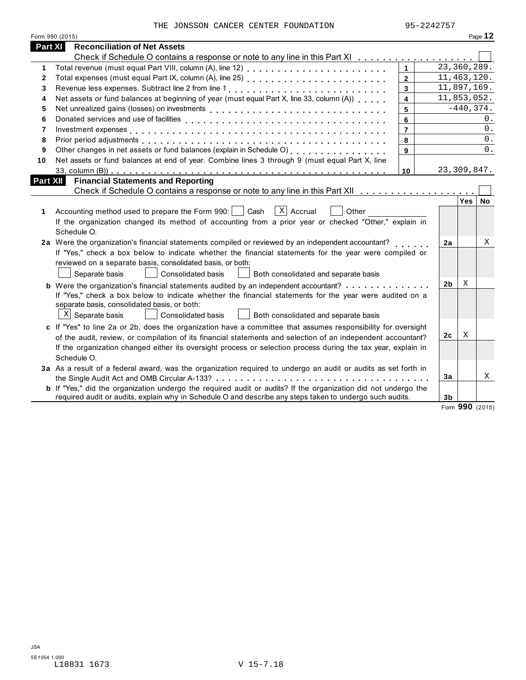|  |  | THE JONSSON CANCER CENTER FOUNDATION | 95-2242757 |
|--|--|--------------------------------------|------------|

|                | THE JONSSON CANCER CENTER FOUNDATION                                                                                                                                                                                       |                         | 95-2242757     |               |
|----------------|----------------------------------------------------------------------------------------------------------------------------------------------------------------------------------------------------------------------------|-------------------------|----------------|---------------|
|                | Form 990 (2015)                                                                                                                                                                                                            |                         |                | Page $12$     |
| <b>Part XI</b> | <b>Reconciliation of Net Assets</b>                                                                                                                                                                                        |                         |                |               |
|                | Check if Schedule O contains a response or note to any line in this Part XI                                                                                                                                                |                         |                |               |
| 1              |                                                                                                                                                                                                                            | $\mathbf{1}$            |                | 23, 360, 289. |
| 2              |                                                                                                                                                                                                                            | $\overline{2}$          |                | 11, 463, 120. |
| 3              | Revenue less expenses. Subtract line 2 from line 1                                                                                                                                                                         | $\mathbf{3}$            |                | 11,897,169.   |
| 4              | Net assets or fund balances at beginning of year (must equal Part X, line 33, column (A))                                                                                                                                  | $\overline{\mathbf{4}}$ |                | 11,853,052.   |
| 5              |                                                                                                                                                                                                                            | 5                       |                | $-440, 374.$  |
| 6              |                                                                                                                                                                                                                            | $6\phantom{a}$          |                | 0.            |
| $\overline{7}$ |                                                                                                                                                                                                                            | $\overline{7}$          |                | 0.            |
| 8              |                                                                                                                                                                                                                            | 8                       |                | $0$ .         |
| 9              |                                                                                                                                                                                                                            | 9                       |                | $0$ .         |
| 10             | Net assets or fund balances at end of year. Combine lines 3 through 9 (must equal Part X, line                                                                                                                             |                         |                |               |
|                |                                                                                                                                                                                                                            | 10                      |                | 23, 309, 847. |
| Part XII       | <b>Financial Statements and Reporting</b>                                                                                                                                                                                  |                         |                |               |
|                |                                                                                                                                                                                                                            |                         |                |               |
| 1              | $ X $ Accrual<br>Accounting method used to prepare the Form 990:     Cash<br>Other<br>If the organization changed its method of accounting from a prior year or checked "Other," explain in<br>Schedule O.                 |                         |                | Yes l<br>No   |
|                | 2a Were the organization's financial statements compiled or reviewed by an independent accountant?                                                                                                                         |                         | 2a             | Χ             |
|                | If "Yes," check a box below to indicate whether the financial statements for the year were compiled or                                                                                                                     |                         |                |               |
|                | reviewed on a separate basis, consolidated basis, or both:                                                                                                                                                                 |                         |                |               |
|                | Separate basis<br>Consolidated basis<br>Both consolidated and separate basis                                                                                                                                               |                         |                |               |
|                | <b>b</b> Were the organization's financial statements audited by an independent accountant?                                                                                                                                |                         | 2 <sub>b</sub> | X             |
|                | If "Yes," check a box below to indicate whether the financial statements for the year were audited on a<br>separate basis, consolidated basis, or both:                                                                    |                         |                |               |
|                | $X$ Separate basis<br>Consolidated basis<br>Both consolidated and separate basis                                                                                                                                           |                         |                |               |
|                | c If "Yes" to line 2a or 2b, does the organization have a committee that assumes responsibility for oversight                                                                                                              |                         |                |               |
|                | of the audit, review, or compilation of its financial statements and selection of an independent accountant?                                                                                                               |                         | 2 <sub>c</sub> | Χ             |
|                | If the organization changed either its oversight process or selection process during the tax year, explain in                                                                                                              |                         |                |               |
|                | Schedule O.                                                                                                                                                                                                                |                         |                |               |
|                | 3a As a result of a federal award, was the organization required to undergo an audit or audits as set forth in                                                                                                             |                         |                |               |
|                |                                                                                                                                                                                                                            |                         | 3a             | Χ             |
|                | b If "Yes," did the organization undergo the required audit or audits? If the organization did not undergo the<br>required audit or audits, explain why in Schedule O and describe any steps taken to undergo such audits. |                         | 3b             |               |

Form **990** (2015)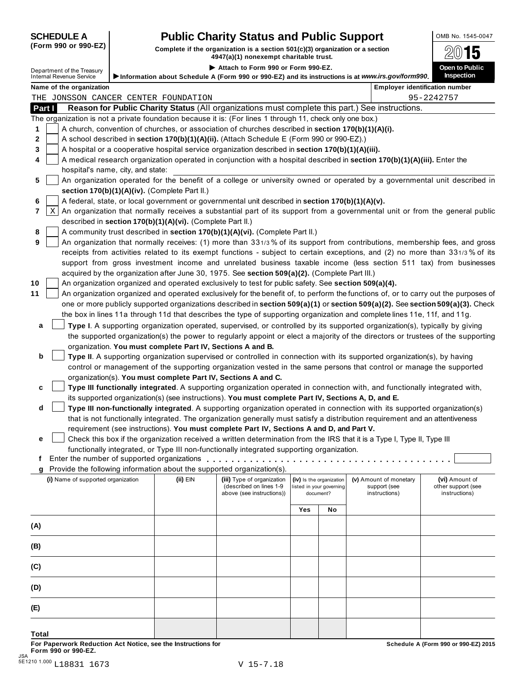# **SCHEDULE A Public Charity Status and Public Support**  $\rho_{\text{MBD}}$   $\rho_{\text{MBD}}$   $\rho_{\text{MBD}}$   $\rho_{\text{MBD}}$  (Form 990 or 990-EZ)

(Form 990 or 990-EZ) **Complete if the organization is a section** 501(c)(3) organization or a section  $\frac{2015}{15}$ 

I **Attach to Form 990 or Form 990-EZ.** Department of the Treasury **Open to Public** 

|        | Department of the Treasury                    |                                                            | ▶ Attach to Form 990 or Form 990-EZ.                                                                                                     |     |                          |                                                                                                                              | Open to Public                                                                                                                      |
|--------|-----------------------------------------------|------------------------------------------------------------|------------------------------------------------------------------------------------------------------------------------------------------|-----|--------------------------|------------------------------------------------------------------------------------------------------------------------------|-------------------------------------------------------------------------------------------------------------------------------------|
|        | <b>Internal Revenue Service</b>               |                                                            |                                                                                                                                          |     |                          | Information about Schedule A (Form 990 or 990-EZ) and its instructions is at www.irs.gov/form990.                            | <b>Inspection</b>                                                                                                                   |
|        | Name of the organization                      |                                                            |                                                                                                                                          |     |                          |                                                                                                                              | <b>Employer identification number</b>                                                                                               |
|        | THE JONSSON CANCER CENTER FOUNDATION          |                                                            |                                                                                                                                          |     |                          |                                                                                                                              | 95-2242757                                                                                                                          |
| Part I |                                               |                                                            |                                                                                                                                          |     |                          | Reason for Public Charity Status (All organizations must complete this part.) See instructions.                              |                                                                                                                                     |
|        |                                               |                                                            | The organization is not a private foundation because it is: (For lines 1 through 11, check only one box.)                                |     |                          |                                                                                                                              |                                                                                                                                     |
| 1      |                                               |                                                            | A church, convention of churches, or association of churches described in section 170(b)(1)(A)(i).                                       |     |                          |                                                                                                                              |                                                                                                                                     |
| 2      |                                               |                                                            | A school described in section 170(b)(1)(A)(ii). (Attach Schedule E (Form 990 or 990-EZ).)                                                |     |                          |                                                                                                                              |                                                                                                                                     |
| 3      |                                               |                                                            | A hospital or a cooperative hospital service organization described in section 170(b)(1)(A)(iii).                                        |     |                          |                                                                                                                              |                                                                                                                                     |
| 4      |                                               |                                                            |                                                                                                                                          |     |                          | A medical research organization operated in conjunction with a hospital described in section 170(b)(1)(A)(iii). Enter the    |                                                                                                                                     |
|        | hospital's name, city, and state:             |                                                            |                                                                                                                                          |     |                          |                                                                                                                              |                                                                                                                                     |
| 5      | section 170(b)(1)(A)(iv). (Complete Part II.) |                                                            |                                                                                                                                          |     |                          |                                                                                                                              | An organization operated for the benefit of a college or university owned or operated by a governmental unit described in           |
| 6      |                                               |                                                            | A federal, state, or local government or governmental unit described in section 170(b)(1)(A)(v).                                         |     |                          |                                                                                                                              |                                                                                                                                     |
| 7      | Χ                                             |                                                            |                                                                                                                                          |     |                          |                                                                                                                              | An organization that normally receives a substantial part of its support from a governmental unit or from the general public        |
|        |                                               | described in section 170(b)(1)(A)(vi). (Complete Part II.) |                                                                                                                                          |     |                          |                                                                                                                              |                                                                                                                                     |
| 8      |                                               |                                                            | A community trust described in section 170(b)(1)(A)(vi). (Complete Part II.)                                                             |     |                          |                                                                                                                              |                                                                                                                                     |
| 9      |                                               |                                                            |                                                                                                                                          |     |                          |                                                                                                                              | An organization that normally receives: (1) more than 331/3% of its support from contributions, membership fees, and gross          |
|        |                                               |                                                            |                                                                                                                                          |     |                          |                                                                                                                              | receipts from activities related to its exempt functions - subject to certain exceptions, and (2) no more than 331/3 % of its       |
|        |                                               |                                                            |                                                                                                                                          |     |                          |                                                                                                                              | support from gross investment income and unrelated business taxable income (less section 511 tax) from businesses                   |
|        |                                               |                                                            | acquired by the organization after June 30, 1975. See section 509(a)(2). (Complete Part III.)                                            |     |                          |                                                                                                                              |                                                                                                                                     |
| 10     |                                               |                                                            | An organization organized and operated exclusively to test for public safety. See section 509(a)(4).                                     |     |                          |                                                                                                                              |                                                                                                                                     |
| 11     |                                               |                                                            |                                                                                                                                          |     |                          |                                                                                                                              | An organization organized and operated exclusively for the benefit of, to perform the functions of, or to carry out the purposes of |
|        |                                               |                                                            |                                                                                                                                          |     |                          |                                                                                                                              | one or more publicly supported organizations described in section 509(a)(1) or section 509(a)(2). See section 509(a)(3). Check      |
|        |                                               |                                                            |                                                                                                                                          |     |                          | the box in lines 11a through 11d that describes the type of supporting organization and complete lines 11e, 11f, and 11g.    |                                                                                                                                     |
| a      |                                               |                                                            |                                                                                                                                          |     |                          | Type I. A supporting organization operated, supervised, or controlled by its supported organization(s), typically by giving  |                                                                                                                                     |
|        |                                               |                                                            |                                                                                                                                          |     |                          |                                                                                                                              | the supported organization(s) the power to regularly appoint or elect a majority of the directors or trustees of the supporting     |
|        |                                               | organization. You must complete Part IV, Sections A and B. |                                                                                                                                          |     |                          |                                                                                                                              |                                                                                                                                     |
| b      |                                               |                                                            |                                                                                                                                          |     |                          | Type II. A supporting organization supervised or controlled in connection with its supported organization(s), by having      |                                                                                                                                     |
|        |                                               |                                                            |                                                                                                                                          |     |                          | control or management of the supporting organization vested in the same persons that control or manage the supported         |                                                                                                                                     |
|        |                                               |                                                            | organization(s). You must complete Part IV, Sections A and C.                                                                            |     |                          |                                                                                                                              |                                                                                                                                     |
| c      |                                               |                                                            |                                                                                                                                          |     |                          | Type III functionally integrated. A supporting organization operated in connection with, and functionally integrated with,   |                                                                                                                                     |
|        |                                               |                                                            | its supported organization(s) (see instructions). You must complete Part IV, Sections A, D, and E.                                       |     |                          |                                                                                                                              |                                                                                                                                     |
| d      |                                               |                                                            |                                                                                                                                          |     |                          | Type III non-functionally integrated. A supporting organization operated in connection with its supported organization(s)    |                                                                                                                                     |
|        |                                               |                                                            |                                                                                                                                          |     |                          | that is not functionally integrated. The organization generally must satisfy a distribution requirement and an attentiveness |                                                                                                                                     |
|        |                                               |                                                            | requirement (see instructions). You must complete Part IV, Sections A and D, and Part V.                                                 |     |                          |                                                                                                                              |                                                                                                                                     |
|        |                                               |                                                            |                                                                                                                                          |     |                          | Check this box if the organization received a written determination from the IRS that it is a Type I, Type II, Type III      |                                                                                                                                     |
| е      |                                               |                                                            |                                                                                                                                          |     |                          |                                                                                                                              |                                                                                                                                     |
|        |                                               |                                                            | functionally integrated, or Type III non-functionally integrated supporting organization.<br>Enter the number of supported organizations |     |                          |                                                                                                                              |                                                                                                                                     |
|        |                                               |                                                            | Provide the following information about the supported organization(s).                                                                   |     |                          |                                                                                                                              |                                                                                                                                     |
|        | (i) Name of supported organization            | (ii) EIN                                                   | (iii) Type of organization                                                                                                               |     | (iv) Is the organization | (v) Amount of monetary                                                                                                       | (vi) Amount of                                                                                                                      |
|        |                                               |                                                            | (described on lines 1-9                                                                                                                  |     | listed in your governing | support (see                                                                                                                 | other support (see                                                                                                                  |
|        |                                               |                                                            | above (see instructions))                                                                                                                |     | document?                | instructions)                                                                                                                | instructions)                                                                                                                       |
|        |                                               |                                                            |                                                                                                                                          | Yes | No                       |                                                                                                                              |                                                                                                                                     |
|        |                                               |                                                            |                                                                                                                                          |     |                          |                                                                                                                              |                                                                                                                                     |
| (A)    |                                               |                                                            |                                                                                                                                          |     |                          |                                                                                                                              |                                                                                                                                     |
| (B)    |                                               |                                                            |                                                                                                                                          |     |                          |                                                                                                                              |                                                                                                                                     |
|        |                                               |                                                            |                                                                                                                                          |     |                          |                                                                                                                              |                                                                                                                                     |
| (C)    |                                               |                                                            |                                                                                                                                          |     |                          |                                                                                                                              |                                                                                                                                     |
| (D)    |                                               |                                                            |                                                                                                                                          |     |                          |                                                                                                                              |                                                                                                                                     |
|        |                                               |                                                            |                                                                                                                                          |     |                          |                                                                                                                              |                                                                                                                                     |
| (E)    |                                               |                                                            |                                                                                                                                          |     |                          |                                                                                                                              |                                                                                                                                     |
| Total  |                                               |                                                            |                                                                                                                                          |     |                          |                                                                                                                              |                                                                                                                                     |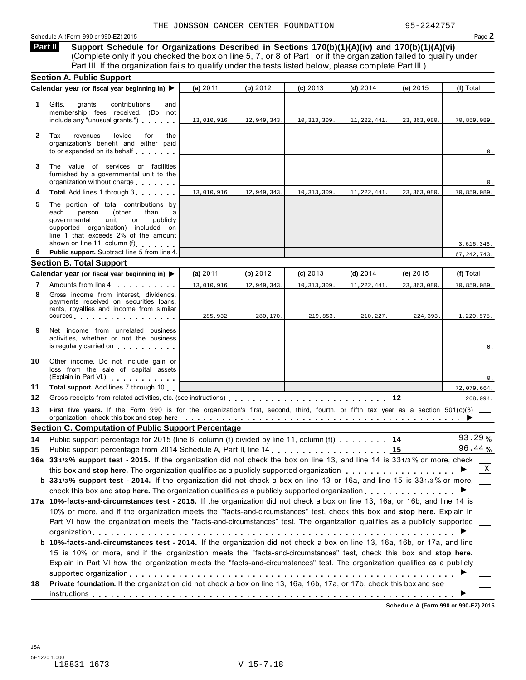Schedule A (Form 990 or 990-EZ) 2015 Page 2

**Support Schedule for Organizations Described in Sections 170(b)(1)(A)(iv) and 170(b)(1)(A)(vi)** (Complete only if you checked the box on line 5, 7, or 8 of Part I or if the organization failed to qualify under **Part II Section A. Public Support**

|              | Part III. If the organization fails to qualify under the tests listed below, please complete Part III.)                                                                                                                                                |             |             |               |               |               |               |
|--------------|--------------------------------------------------------------------------------------------------------------------------------------------------------------------------------------------------------------------------------------------------------|-------------|-------------|---------------|---------------|---------------|---------------|
|              | <b>Section A. Public Support</b>                                                                                                                                                                                                                       |             |             |               |               |               |               |
|              | Calendar year (or fiscal year beginning in) $\blacktriangleright$                                                                                                                                                                                      | (a) 2011    | (b) 2012    | $(c)$ 2013    | (d) $2014$    | (e) 2015      | (f) Total     |
| 1.           | Gifts,<br>grants,<br>contributions.<br>and<br>membership fees received. (Do not<br>include any "unusual grants.")                                                                                                                                      | 13,010,916. | 12,949,343. | 10, 313, 309. | 11, 222, 441. | 23, 363, 080. | 70,859,089.   |
| $\mathbf{2}$ | Tax<br>revenues<br>levied<br>for<br>the<br>organization's benefit and either paid<br>to or expended on its behalf                                                                                                                                      |             |             |               |               |               | $0_{.}$       |
| 3            | The value of services or facilities<br>furnished by a governmental unit to the<br>organization without charge                                                                                                                                          |             |             |               |               |               | 0.            |
| 4            | Total. Add lines 1 through 3                                                                                                                                                                                                                           | 13,010,916. | 12,949,343. | 10, 313, 309. | 11, 222, 441. | 23, 363, 080. | 70,859,089.   |
| 5            | The portion of total contributions by<br>each<br>person (other<br>than<br>a<br>governmental<br>unit<br>publicly<br>or<br>supported organization) included on<br>line 1 that exceeds 2% of the amount<br>shown on line 11, column (f)                   |             |             |               |               |               | 3,616,346.    |
| 6            | Public support. Subtract line 5 from line 4.                                                                                                                                                                                                           |             |             |               |               |               | 67, 242, 743. |
|              | <b>Section B. Total Support</b>                                                                                                                                                                                                                        |             |             |               |               |               |               |
|              | Calendar year (or fiscal year beginning in) $\blacktriangleright$                                                                                                                                                                                      | (a) $2011$  | (b) $2012$  | $(c)$ 2013    | (d) $2014$    | (e) 2015      | (f) Total     |
| 7            | Amounts from line 4                                                                                                                                                                                                                                    | 13,010,916. | 12,949,343. | 10, 313, 309. | 11, 222, 441. | 23, 363, 080. | 70,859,089.   |
| 8            | Gross income from interest, dividends,<br>payments received on securities loans,<br>rents, royalties and income from similar<br>sources sources                                                                                                        | 285,932.    | 280,170.    | 219,853.      | 210,227.      | 224,393.      | 1,220,575.    |
| 9            | Net income from unrelated business<br>activities, whether or not the business<br>is regularly carried on the control of the control of the control of the control of the control of the control o                                                      |             |             |               |               |               | 0.            |
| 10           | Other income. Do not include gain or<br>loss from the sale of capital assets<br>(Explain in Part VI.)                                                                                                                                                  |             |             |               |               |               | 0.            |
| 11           | Total support. Add lines 7 through 10                                                                                                                                                                                                                  |             |             |               |               |               | 72,079,664.   |
| 12           |                                                                                                                                                                                                                                                        |             |             |               |               | 12            | 268,094.      |
| 13           | First five years. If the Form 990 is for the organization's first, second, third, fourth, or fifth tax year as a section 501(c)(3)                                                                                                                     |             |             |               |               |               |               |
|              | <b>Section C. Computation of Public Support Percentage</b>                                                                                                                                                                                             |             |             |               |               |               |               |
| 14           | Public support percentage for 2015 (line 6, column (f) divided by line 11, column (f) 14                                                                                                                                                               |             |             |               |               |               | 93.29%        |
| 15           |                                                                                                                                                                                                                                                        |             |             |               |               |               | 96.44%        |
|              | 16a 331/3% support test - 2015. If the organization did not check the box on line 13, and line 14 is 331/3% or more, check                                                                                                                             |             |             |               |               |               | $\, {\rm X}$  |
|              | this box and stop here. The organization qualifies as a publicly supported organization                                                                                                                                                                |             |             |               |               |               |               |
|              | <b>b</b> 331/3% support test - 2014. If the organization did not check a box on line 13 or 16a, and line 15 is 331/3% or more,                                                                                                                         |             |             |               |               |               |               |
|              | check this box and stop here. The organization qualifies as a publicly supported organization<br>17a 10%-facts-and-circumstances test - 2015. If the organization did not check a box on line 13, 16a, or 16b, and line 14 is                          |             |             |               |               |               |               |
|              | 10% or more, and if the organization meets the "facts-and-circumstances" test, check this box and stop here. Explain in<br>Part VI how the organization meets the "facts-and-circumstances" test. The organization qualifies as a publicly supported   |             |             |               |               |               |               |
|              | <b>b</b> 10%-facts-and-circumstances test - 2014. If the organization did not check a box on line 13, 16a, 16b, or 17a, and line<br>15 is 10% or more, and if the organization meets the "facts-and-circumstances" test, check this box and stop here. |             |             |               |               |               |               |
|              | Explain in Part VI how the organization meets the "facts-and-circumstances" test. The organization qualifies as a publicly                                                                                                                             |             |             |               |               |               |               |
| 18           | Private foundation. If the organization did not check a box on line 13, 16a, 16b, 17a, or 17b, check this box and see                                                                                                                                  |             |             |               |               |               |               |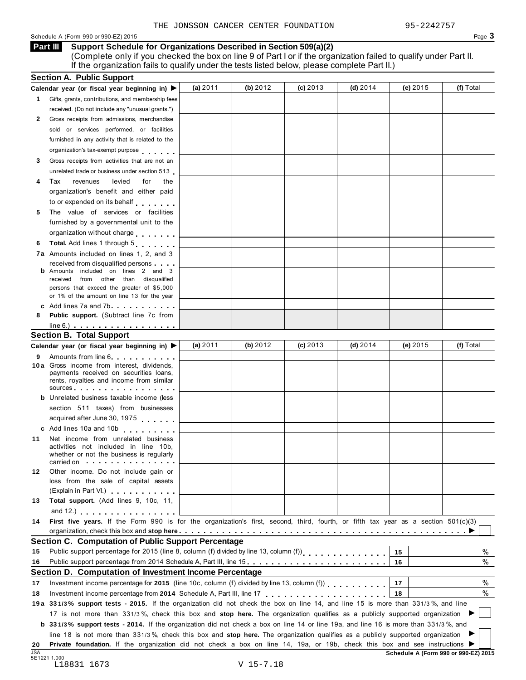#### Schedule A (Form 990 or 990-EZ) 2015 Page 3

**Support Schedule for Organizations Described in Section 509(a)(2) Part III**  (Complete only if you checked the box on line 9 of Part I or if the organization failed to qualify under Part II. If the organization fails to qualify under the tests listed below, please complete Part II.)

|            | <b>Section A. Public Support</b>                                                                                                                                                                                                                                                                                                                      |            |             |            |            |          |                                      |
|------------|-------------------------------------------------------------------------------------------------------------------------------------------------------------------------------------------------------------------------------------------------------------------------------------------------------------------------------------------------------|------------|-------------|------------|------------|----------|--------------------------------------|
|            | Calendar year (or fiscal year beginning in) ▶                                                                                                                                                                                                                                                                                                         | (a) $2011$ | (b) $2012$  | $(c)$ 2013 | (d) $2014$ | (e) 2015 | (f) Total                            |
| 1.         | Gifts, grants, contributions, and membership fees                                                                                                                                                                                                                                                                                                     |            |             |            |            |          |                                      |
|            | received. (Do not include any "unusual grants.")                                                                                                                                                                                                                                                                                                      |            |             |            |            |          |                                      |
| 2          | Gross receipts from admissions, merchandise                                                                                                                                                                                                                                                                                                           |            |             |            |            |          |                                      |
|            | sold or services performed, or facilities                                                                                                                                                                                                                                                                                                             |            |             |            |            |          |                                      |
|            | furnished in any activity that is related to the                                                                                                                                                                                                                                                                                                      |            |             |            |            |          |                                      |
|            | organization's tax-exempt purpose                                                                                                                                                                                                                                                                                                                     |            |             |            |            |          |                                      |
| 3          | Gross receipts from activities that are not an                                                                                                                                                                                                                                                                                                        |            |             |            |            |          |                                      |
|            | unrelated trade or business under section 513                                                                                                                                                                                                                                                                                                         |            |             |            |            |          |                                      |
|            | levied<br>Tax<br>revenues<br>for<br>the                                                                                                                                                                                                                                                                                                               |            |             |            |            |          |                                      |
|            | organization's benefit and either paid                                                                                                                                                                                                                                                                                                                |            |             |            |            |          |                                      |
|            | to or expended on its behalf                                                                                                                                                                                                                                                                                                                          |            |             |            |            |          |                                      |
| 5          | The value of services or facilities                                                                                                                                                                                                                                                                                                                   |            |             |            |            |          |                                      |
|            | furnished by a governmental unit to the                                                                                                                                                                                                                                                                                                               |            |             |            |            |          |                                      |
|            | organization without charge                                                                                                                                                                                                                                                                                                                           |            |             |            |            |          |                                      |
| 6          | Total. Add lines 1 through 5                                                                                                                                                                                                                                                                                                                          |            |             |            |            |          |                                      |
|            | <b>7a</b> Amounts included on lines 1, 2, and 3                                                                                                                                                                                                                                                                                                       |            |             |            |            |          |                                      |
|            | received from disqualified persons                                                                                                                                                                                                                                                                                                                    |            |             |            |            |          |                                      |
|            | <b>b</b> Amounts included on lines 2 and 3                                                                                                                                                                                                                                                                                                            |            |             |            |            |          |                                      |
|            | received from other than disqualified                                                                                                                                                                                                                                                                                                                 |            |             |            |            |          |                                      |
|            | persons that exceed the greater of \$5,000                                                                                                                                                                                                                                                                                                            |            |             |            |            |          |                                      |
|            | or 1% of the amount on line 13 for the year                                                                                                                                                                                                                                                                                                           |            |             |            |            |          |                                      |
| 8          | c Add lines 7a and 7b<br>Public support. (Subtract line 7c from                                                                                                                                                                                                                                                                                       |            |             |            |            |          |                                      |
|            |                                                                                                                                                                                                                                                                                                                                                       |            |             |            |            |          |                                      |
|            | $line 6.)$<br><b>Section B. Total Support</b>                                                                                                                                                                                                                                                                                                         |            |             |            |            |          |                                      |
|            |                                                                                                                                                                                                                                                                                                                                                       | (a) $2011$ | (b) $2012$  | $(c)$ 2013 | (d) $2014$ | (e) 2015 | (f) Total                            |
|            | Calendar year (or fiscal year beginning in) ▶                                                                                                                                                                                                                                                                                                         |            |             |            |            |          |                                      |
| 9          | Amounts from line 6<br>10 a Gross income from interest, dividends,                                                                                                                                                                                                                                                                                    |            |             |            |            |          |                                      |
|            | payments received on securities loans,                                                                                                                                                                                                                                                                                                                |            |             |            |            |          |                                      |
|            | rents, royalties and income from similar                                                                                                                                                                                                                                                                                                              |            |             |            |            |          |                                      |
|            | sources                                                                                                                                                                                                                                                                                                                                               |            |             |            |            |          |                                      |
|            | <b>b</b> Unrelated business taxable income (less                                                                                                                                                                                                                                                                                                      |            |             |            |            |          |                                      |
|            | section 511 taxes) from businesses                                                                                                                                                                                                                                                                                                                    |            |             |            |            |          |                                      |
|            | acquired after June 30, 1975                                                                                                                                                                                                                                                                                                                          |            |             |            |            |          |                                      |
|            | c Add lines 10a and 10b                                                                                                                                                                                                                                                                                                                               |            |             |            |            |          |                                      |
| 11         | Net income from unrelated business                                                                                                                                                                                                                                                                                                                    |            |             |            |            |          |                                      |
|            | activities not included in line 10b,<br>whether or not the business is regularly                                                                                                                                                                                                                                                                      |            |             |            |            |          |                                      |
|            | carried on the carried on                                                                                                                                                                                                                                                                                                                             |            |             |            |            |          |                                      |
| 12         | Other income. Do not include gain or                                                                                                                                                                                                                                                                                                                  |            |             |            |            |          |                                      |
|            | loss from the sale of capital assets                                                                                                                                                                                                                                                                                                                  |            |             |            |            |          |                                      |
|            | (Explain in Part VI.) <b>All Accords</b>                                                                                                                                                                                                                                                                                                              |            |             |            |            |          |                                      |
| 13         | Total support. (Add lines 9, 10c, 11,                                                                                                                                                                                                                                                                                                                 |            |             |            |            |          |                                      |
|            | and $12.$ ) $\qquad \qquad \qquad$ $\qquad \qquad$ $\qquad \qquad$ $\qquad$ $\qquad \qquad$ $\qquad$ $\qquad \qquad$ $\qquad$ $\qquad$ $\qquad$ $\qquad$ $\qquad$ $\qquad$ $\qquad$ $\qquad$ $\qquad$ $\qquad$ $\qquad$ $\qquad$ $\qquad$ $\qquad$ $\qquad$ $\qquad$ $\qquad$ $\qquad$ $\qquad$ $\qquad$ $\qquad$ $\qquad$ $\qquad$ $\qquad$ $\qquad$ |            |             |            |            |          |                                      |
| 14         | First five years. If the Form 990 is for the organization's first, second, third, fourth, or fifth tax year as a section 501(c)(3)                                                                                                                                                                                                                    |            |             |            |            |          |                                      |
|            |                                                                                                                                                                                                                                                                                                                                                       |            |             |            |            |          |                                      |
|            | Section C. Computation of Public Support Percentage                                                                                                                                                                                                                                                                                                   |            |             |            |            |          |                                      |
| 15         | Public support percentage for 2015 (line 8, column (f) divided by line 13, column (f))<br>[11]                                                                                                                                                                                                                                                        |            |             |            |            | 15       | %                                    |
| 16         | Public support percentage from 2014 Schedule A, Part III, line 15.                                                                                                                                                                                                                                                                                    |            |             |            |            | 16       | %                                    |
|            | Section D. Computation of Investment Income Percentage                                                                                                                                                                                                                                                                                                |            |             |            |            |          |                                      |
| 17         | Investment income percentage for 2015 (line 10c, column (f) divided by line 13, column (f)                                                                                                                                                                                                                                                            |            |             |            |            | 17       | %                                    |
| 18         |                                                                                                                                                                                                                                                                                                                                                       |            |             |            |            | 18       | $\%$                                 |
|            | 19a 331/3% support tests - 2015. If the organization did not check the box on line 14, and line 15 is more than 331/3%, and line                                                                                                                                                                                                                      |            |             |            |            |          |                                      |
|            | 17 is not more than 331/3%, check this box and stop here. The organization qualifies as a publicly supported organization                                                                                                                                                                                                                             |            |             |            |            |          |                                      |
|            | <b>b</b> 331/3% support tests - 2014. If the organization did not check a box on line 14 or line 19a, and line 16 is more than 331/3%, and                                                                                                                                                                                                            |            |             |            |            |          |                                      |
|            | line 18 is not more than 331/3%, check this box and stop here. The organization qualifies as a publicly supported organization                                                                                                                                                                                                                        |            |             |            |            |          |                                      |
| 20         | Private foundation. If the organization did not check a box on line 14, 19a, or 19b, check this box and see instructions ▶                                                                                                                                                                                                                            |            |             |            |            |          |                                      |
| <b>JSA</b> |                                                                                                                                                                                                                                                                                                                                                       |            |             |            |            |          | Schedule A (Form 990 or 990-EZ) 2015 |
|            | 5E1221 1.000<br>L18831 1673                                                                                                                                                                                                                                                                                                                           |            | $V$ 15-7.18 |            |            |          |                                      |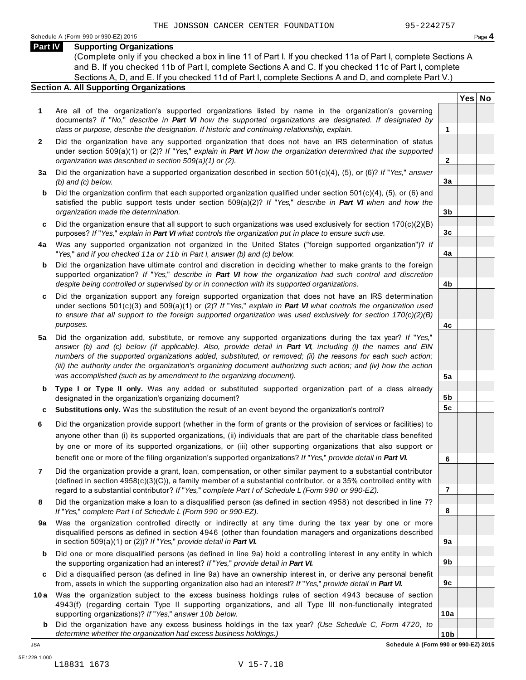**Yes No**

**2**

**3a**

**3b**

**3c**

**4a**

**4b**

**4c**

**5a**

**5b 5c**

**6**

**7**

**8**

**9a**

**9b**

**9c**

**10a**

**10b**

#### **Part IV Supporting Organizations**

(Complete only if you checked a box in line 11 of Part I. If you checked 11a of Part I, complete Sections A and B. If you checked 11b of Part I, complete Sections A and C. If you checked 11c of Part I, complete Sections A, D, and E. If you checked 11d of Part I, complete Sections A and D, and complete Part V.)

#### **Section A. All Supporting Organizations**

- **1** Are all of the organization's supported organizations listed by name in the organization's governing documents? *If* "*No,*" *describe in Part VI how the supported organizations are designated. If designated by class or purpose, describe the designation. If historic and continuing relationship, explain.* **1**
- **2** Did the organization have any supported organization that does not have an IRS determination of status under section 509(a)(1) or (2)? *If* "*Yes,*" *explain in Part VI how the organization determined that the supported organization was described in section 509(a)(1) or (2).*
- **3 a** Did the organization have a supported organization described in section 501(c)(4), (5), or (6)? *If* "*Yes,*" *answer (b) and (c) below.*
- **b** Did the organization confirm that each supported organization qualified under section 501(c)(4), (5), or (6) and | satisfied the public support tests under section 509(a)(2)? *If* "*Yes,*" *describe in Part VI when and how the organization made the determination.*
- **c** Did the organization ensure that all support to such organizations was used exclusively for section 170(c)(2)(B) purposes? *If* "*Yes,*" *explain in Part VI what controls the organization put in place to ensure such use.*
- **4 a** Was any supported organization not organized in the United States ("foreign supported organization")? *If* "*Yes,*" *and if you checked 11a or 11b in Part I, answer (b) and (c) below.*
- **b** Did the organization have ultimate control and discretion in deciding whether to make grants to the foreign | supported organization? *If* "*Yes,*" *describe in Part VI how the organization had such control and discretion despite being controlled or supervised by or in connection with its supported organizations.*
- **c** Did the organization support any foreign supported organization that does not have an IRS determination | under sections 501(c)(3) and 509(a)(1) or (2)? *If* "*Yes,*" *explain in Part VI what controls the organization used to ensure that all support to the foreign supported organization was used exclusively for section 170(c)(2)(B) purposes.*
- **5 a** Did the organization add, substitute, or remove any supported organizations during the tax year? *If* "*Yes,*" *answer (b) and (c) below (if applicable). Also, provide detail in Part VI, including (i) the names and EIN numbers of the supported organizations added, substituted, or removed; (ii) the reasons for each such action; (iii) the authority under the organization's organizing document authorizing such action; and (iv) how the action was accomplished (such as by amendment to the organizing document).*
- **b** Type I or Type II only. Was any added or substituted supported organization part of a class already | designated in the organization's organizing document?
- **c Substitutions only.** Was the substitution the result of an event beyond the organization's control?
- **6** Did the organization provide support (whether in the form of grants or the provision of services or facilities) to anyone other than (i) its supported organizations, (ii) individuals that are part of the charitable class benefited by one or more of its supported organizations, or (iii) other supporting organizations that also support or benefit one or more of the filing organization's supported organizations? *If* "*Yes,*" *provide detail in Part VI.*
- **7** Did the organization provide a grant, loan, compensation, or other similar payment to a substantial contributor (defined in section 4958(c)(3)(C)), a family member of a substantial contributor, or a 35% controlled entity with regard to a substantial contributor? *If* "*Yes,*" *complete Part I of Schedule L (Form 990 or 990-EZ).*
- **8** Did the organization make a loan to a disqualified person (as defined in section 4958) not described in line 7? *If* "*Yes,*" *complete Part I of Schedule L (Form 990 or 990-EZ).*
- **a** Was the organization controlled directly or indirectly at any time during the tax year by one or more | **9** disqualified persons as defined in section 4946 (other than foundation managers and organizations described in section 509(a)(1) or (2))? *If* "*Yes,*" *provide detail in Part VI.*
- **b** Did one or more disqualified persons (as defined in line 9a) hold a controlling interest in any entity in which | the supporting organization had an interest? *If* "*Yes,*" *provide detail in Part VI.*
- **c** Did a disqualified person (as defined in line 9a) have an ownership interest in, or derive any personal benefit from, assets in which the supporting organization also had an interest? *If* "*Yes,*" *provide detail in Part VI.*
- **10a** Was the organization subject to the excess business holdings rules of section 4943 because of section | 4943(f) (regarding certain Type II supporting organizations, and all Type III non-functionally integrated supporting organizations)? *If* "*Yes,*" *answer 10b below.*
	- **b** Did the organization have any excess business holdings in the tax year? *(Use Schedule C, Form 4720, to determine whether the organization had excess business holdings.)*

JSA **Schedule A (Form 990 or 990-EZ) 2015**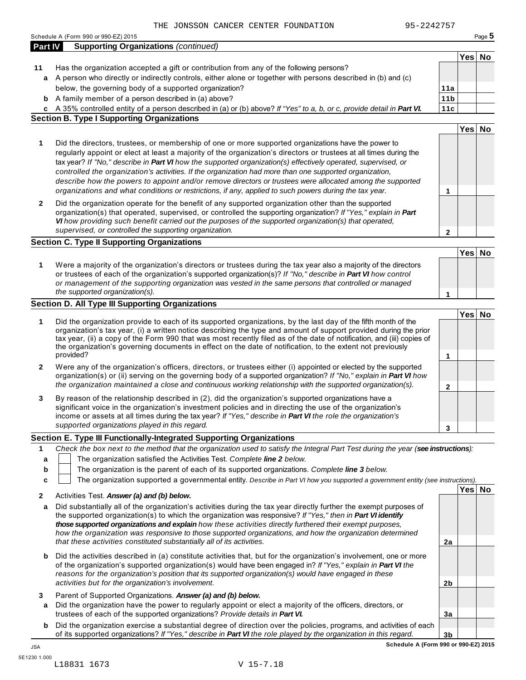|             | 95-2242757<br>THE JONSSON CANCER CENTER FOUNDATION                                                                                                                                                                                                                                                                                                                                                                                                                                                                                                                 |                 |        |        |
|-------------|--------------------------------------------------------------------------------------------------------------------------------------------------------------------------------------------------------------------------------------------------------------------------------------------------------------------------------------------------------------------------------------------------------------------------------------------------------------------------------------------------------------------------------------------------------------------|-----------------|--------|--------|
|             | Schedule A (Form 990 or 990-EZ) 2015                                                                                                                                                                                                                                                                                                                                                                                                                                                                                                                               |                 |        | Page 5 |
| Part IV     | <b>Supporting Organizations (continued)</b>                                                                                                                                                                                                                                                                                                                                                                                                                                                                                                                        |                 |        |        |
| 11          | Has the organization accepted a gift or contribution from any of the following persons?                                                                                                                                                                                                                                                                                                                                                                                                                                                                            |                 | Yes No |        |
| a           | A person who directly or indirectly controls, either alone or together with persons described in (b) and (c)                                                                                                                                                                                                                                                                                                                                                                                                                                                       |                 |        |        |
|             | below, the governing body of a supported organization?                                                                                                                                                                                                                                                                                                                                                                                                                                                                                                             | 11a             |        |        |
|             | <b>b</b> A family member of a person described in (a) above?                                                                                                                                                                                                                                                                                                                                                                                                                                                                                                       | 11 <sub>b</sub> |        |        |
|             | c A 35% controlled entity of a person described in (a) or (b) above? If "Yes" to a, b, or c, provide detail in Part VI.                                                                                                                                                                                                                                                                                                                                                                                                                                            | 11c             |        |        |
|             | <b>Section B. Type I Supporting Organizations</b>                                                                                                                                                                                                                                                                                                                                                                                                                                                                                                                  |                 |        |        |
|             |                                                                                                                                                                                                                                                                                                                                                                                                                                                                                                                                                                    |                 | Yes No |        |
| 1           | Did the directors, trustees, or membership of one or more supported organizations have the power to<br>regularly appoint or elect at least a majority of the organization's directors or trustees at all times during the<br>tax year? If "No," describe in Part VI how the supported organization(s) effectively operated, supervised, or<br>controlled the organization's activities. If the organization had more than one supported organization,<br>describe how the powers to appoint and/or remove directors or trustees were allocated among the supported |                 |        |        |
|             | organizations and what conditions or restrictions, if any, applied to such powers during the tax year.                                                                                                                                                                                                                                                                                                                                                                                                                                                             | 1               |        |        |
| 2           | Did the organization operate for the benefit of any supported organization other than the supported<br>organization(s) that operated, supervised, or controlled the supporting organization? If "Yes," explain in Part<br>VI how providing such benefit carried out the purposes of the supported organization(s) that operated,<br>supervised, or controlled the supporting organization.                                                                                                                                                                         | $\mathbf{2}$    |        |        |
|             | <b>Section C. Type II Supporting Organizations</b>                                                                                                                                                                                                                                                                                                                                                                                                                                                                                                                 |                 |        |        |
|             |                                                                                                                                                                                                                                                                                                                                                                                                                                                                                                                                                                    |                 | Yes No |        |
| 1           | Were a majority of the organization's directors or trustees during the tax year also a majority of the directors<br>or trustees of each of the organization's supported organization(s)? If "No," describe in Part VI how control<br>or management of the supporting organization was vested in the same persons that controlled or managed                                                                                                                                                                                                                        |                 |        |        |
|             | the supported organization(s).                                                                                                                                                                                                                                                                                                                                                                                                                                                                                                                                     | 1               |        |        |
|             | Section D. All Type III Supporting Organizations                                                                                                                                                                                                                                                                                                                                                                                                                                                                                                                   |                 |        |        |
|             |                                                                                                                                                                                                                                                                                                                                                                                                                                                                                                                                                                    |                 | Yes No |        |
| 1           | Did the organization provide to each of its supported organizations, by the last day of the fifth month of the<br>organization's tax year, (i) a written notice describing the type and amount of support provided during the prior<br>tax year, (ii) a copy of the Form 990 that was most recently filed as of the date of notification, and (iii) copies of<br>the organization's governing documents in effect on the date of notification, to the extent not previously<br>provided?                                                                           | 1               |        |        |
| 2           | Were any of the organization's officers, directors, or trustees either (i) appointed or elected by the supported<br>organization(s) or (ii) serving on the governing body of a supported organization? If "No," explain in Part VI how<br>the organization maintained a close and continuous working relationship with the supported organization(s).                                                                                                                                                                                                              | $\mathbf{2}$    |        |        |
| 3           | By reason of the relationship described in (2), did the organization's supported organizations have a<br>significant voice in the organization's investment policies and in directing the use of the organization's<br>income or assets at all times during the tax year? If "Yes," describe in Part VI the role the organization's<br>supported organizations played in this regard.                                                                                                                                                                              |                 |        |        |
|             |                                                                                                                                                                                                                                                                                                                                                                                                                                                                                                                                                                    | 3               |        |        |
|             | Section E. Type III Functionally-Integrated Supporting Organizations                                                                                                                                                                                                                                                                                                                                                                                                                                                                                               |                 |        |        |
| 1<br>a<br>b | Check the box next to the method that the organization used to satisfy the Integral Part Test during the year (see instructions):<br>The organization satisfied the Activities Test. Complete line 2 below.<br>The organization is the parent of each of its supported organizations. Complete line 3 below.                                                                                                                                                                                                                                                       |                 |        |        |
| C           | The organization supported a governmental entity. Describe in Part VI how you supported a government entity (see instructions).                                                                                                                                                                                                                                                                                                                                                                                                                                    |                 |        |        |
|             |                                                                                                                                                                                                                                                                                                                                                                                                                                                                                                                                                                    |                 | Yes No |        |
| 2           | Activities Test. Answer (a) and (b) below.                                                                                                                                                                                                                                                                                                                                                                                                                                                                                                                         |                 |        |        |
| a           | Did substantially all of the organization's activities during the tax year directly further the exempt purposes of<br>the supported organization(s) to which the organization was responsive? If "Yes," then in Part VI identify<br>those supported organizations and explain how these activities directly furthered their exempt purposes,<br>how the organization was responsive to those supported organizations, and how the organization determined                                                                                                          |                 |        |        |
|             | that these activities constituted substantially all of its activities.                                                                                                                                                                                                                                                                                                                                                                                                                                                                                             | 2a              |        |        |
| b           | Did the activities described in (a) constitute activities that, but for the organization's involvement, one or more<br>of the organization's supported organization(s) would have been engaged in? If "Yes," explain in Part VI the<br>reasons for the organization's position that its supported organization(s) would have engaged in these<br>activities but for the organization's involvement.                                                                                                                                                                | 2 <sub>b</sub>  |        |        |
|             |                                                                                                                                                                                                                                                                                                                                                                                                                                                                                                                                                                    |                 |        |        |
| 3<br>а      | Parent of Supported Organizations. Answer (a) and (b) below.<br>Did the organization have the power to regularly appoint or elect a majority of the officers, directors, or<br>trustees of each of the supported organizations? Provide details in Part VI.                                                                                                                                                                                                                                                                                                        | 3a              |        |        |
| b           | Did the organization exercise a substantial degree of direction over the policies, programs, and activities of each                                                                                                                                                                                                                                                                                                                                                                                                                                                |                 |        |        |
|             | of its supported organizations? If "Yes," describe in Part VI the role played by the organization in this regard.                                                                                                                                                                                                                                                                                                                                                                                                                                                  | 3 <sub>b</sub>  |        |        |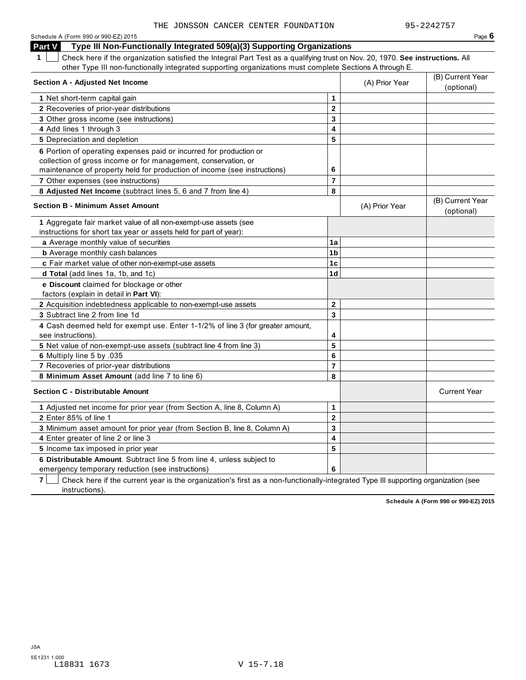| Schedule A (Form 990 or 990-EZ) 2015 | Page $6$ |
|--------------------------------------|----------|
|                                      |          |

**Part V Type III Non-Functionally Integrated 509(a)(3) Supporting Organizations**

**1** Check here if the organization satisfied the Integral Part Test as a qualifying trust on Nov. 20, 1970. **See instructions.** All other Type III non-functionally integrated supporting organizations must complete Sections A through E.

| Section A - Adjusted Net Income                                                                                            |                | (A) Prior Year | (B) Current Year<br>(optional) |
|----------------------------------------------------------------------------------------------------------------------------|----------------|----------------|--------------------------------|
| 1 Net short-term capital gain                                                                                              | 1              |                |                                |
| 2 Recoveries of prior-year distributions                                                                                   | $\overline{2}$ |                |                                |
| 3 Other gross income (see instructions)                                                                                    | 3              |                |                                |
| 4 Add lines 1 through 3                                                                                                    | 4              |                |                                |
| 5 Depreciation and depletion                                                                                               | 5              |                |                                |
| 6 Portion of operating expenses paid or incurred for production or                                                         |                |                |                                |
| collection of gross income or for management, conservation, or                                                             |                |                |                                |
| maintenance of property held for production of income (see instructions)                                                   | 6              |                |                                |
| 7 Other expenses (see instructions)                                                                                        | $\overline{7}$ |                |                                |
| 8 Adjusted Net Income (subtract lines 5, 6 and 7 from line 4)                                                              | 8              |                |                                |
| <b>Section B - Minimum Asset Amount</b>                                                                                    |                | (A) Prior Year | (B) Current Year<br>(optional) |
| 1 Aggregate fair market value of all non-exempt-use assets (see                                                            |                |                |                                |
| instructions for short tax year or assets held for part of year):                                                          |                |                |                                |
| a Average monthly value of securities                                                                                      | 1a             |                |                                |
| <b>b</b> Average monthly cash balances                                                                                     | 1 <sub>b</sub> |                |                                |
| c Fair market value of other non-exempt-use assets                                                                         | 1c             |                |                                |
| d Total (add lines 1a, 1b, and 1c)                                                                                         | 1 <sub>d</sub> |                |                                |
| e Discount claimed for blockage or other<br>factors (explain in detail in Part VI):                                        |                |                |                                |
| 2 Acquisition indebtedness applicable to non-exempt-use assets                                                             | $\overline{2}$ |                |                                |
| 3 Subtract line 2 from line 1d                                                                                             | 3              |                |                                |
| 4 Cash deemed held for exempt use. Enter 1-1/2% of line 3 (for greater amount,<br>see instructions).                       | 4              |                |                                |
| 5 Net value of non-exempt-use assets (subtract line 4 from line 3)                                                         | 5              |                |                                |
| 6 Multiply line 5 by .035                                                                                                  | 6              |                |                                |
| 7 Recoveries of prior-year distributions                                                                                   | 7              |                |                                |
| 8 Minimum Asset Amount (add line 7 to line 6)                                                                              | 8              |                |                                |
| <b>Section C - Distributable Amount</b>                                                                                    |                |                | <b>Current Year</b>            |
| 1 Adjusted net income for prior year (from Section A, line 8, Column A)                                                    | 1              |                |                                |
| 2 Enter 85% of line 1                                                                                                      | $\mathbf 2$    |                |                                |
| 3 Minimum asset amount for prior year (from Section B, line 8, Column A)                                                   | 3              |                |                                |
| 4 Enter greater of line 2 or line 3                                                                                        | 4              |                |                                |
| 5 Income tax imposed in prior year                                                                                         | 5              |                |                                |
| 6 Distributable Amount. Subtract line 5 from line 4, unless subject to<br>emergency temporary reduction (see instructions) | 6              |                |                                |

**7** | Check here if the current year is the organization's first as a non-functionally-integrated Type III supporting organization (see instructions).

**Schedule A (Form 990 or 990-EZ) 2015**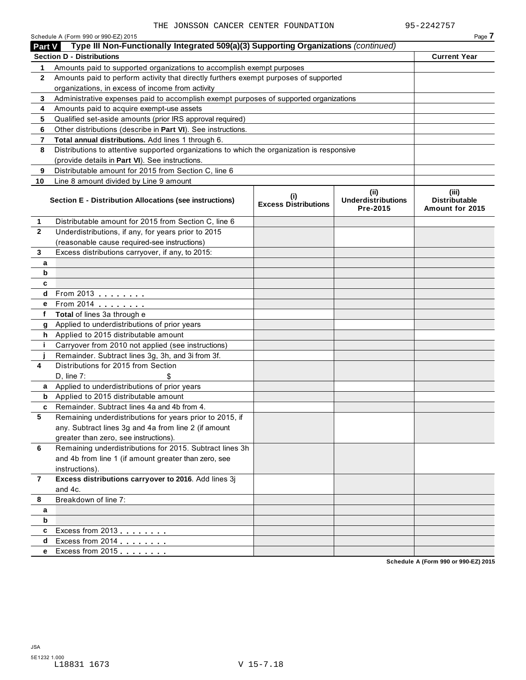|        | Schedule A (Form 990 or 990-EZ) 2015                                                | Page                |
|--------|-------------------------------------------------------------------------------------|---------------------|
| Part V | Type III Non-Functionally Integrated 509(a)(3) Supporting Organizations (continued) |                     |
|        | <b>Section D - Distributions</b>                                                    | <b>Current Year</b> |
|        | Amounts paid to supported organizations to accomplish exempt purposes               |                     |

|                | <b>Section D - Distributions</b>                                                           |                                    | <b>Current Year</b>                           |                                                  |
|----------------|--------------------------------------------------------------------------------------------|------------------------------------|-----------------------------------------------|--------------------------------------------------|
| 1              | Amounts paid to supported organizations to accomplish exempt purposes                      |                                    |                                               |                                                  |
| $\mathbf{2}$   | Amounts paid to perform activity that directly furthers exempt purposes of supported       |                                    |                                               |                                                  |
|                | organizations, in excess of income from activity                                           |                                    |                                               |                                                  |
| 3              | Administrative expenses paid to accomplish exempt purposes of supported organizations      |                                    |                                               |                                                  |
| 4              | Amounts paid to acquire exempt-use assets                                                  |                                    |                                               |                                                  |
| 5              | Qualified set-aside amounts (prior IRS approval required)                                  |                                    |                                               |                                                  |
| 6              | Other distributions (describe in Part VI). See instructions.                               |                                    |                                               |                                                  |
| 7              | Total annual distributions. Add lines 1 through 6.                                         |                                    |                                               |                                                  |
| 8              | Distributions to attentive supported organizations to which the organization is responsive |                                    |                                               |                                                  |
|                | (provide details in Part VI). See instructions.                                            |                                    |                                               |                                                  |
| 9              | Distributable amount for 2015 from Section C, line 6                                       |                                    |                                               |                                                  |
| 10             | Line 8 amount divided by Line 9 amount                                                     |                                    |                                               |                                                  |
|                | Section E - Distribution Allocations (see instructions)                                    | (i)<br><b>Excess Distributions</b> | (ii)<br><b>Underdistributions</b><br>Pre-2015 | (iii)<br><b>Distributable</b><br>Amount for 2015 |
| 1              | Distributable amount for 2015 from Section C, line 6                                       |                                    |                                               |                                                  |
| $\mathbf{2}$   | Underdistributions, if any, for years prior to 2015                                        |                                    |                                               |                                                  |
|                | (reasonable cause required-see instructions)                                               |                                    |                                               |                                                  |
| 3              | Excess distributions carryover, if any, to 2015:                                           |                                    |                                               |                                                  |
| a              |                                                                                            |                                    |                                               |                                                  |
| b              |                                                                                            |                                    |                                               |                                                  |
| c              |                                                                                            |                                    |                                               |                                                  |
| d              |                                                                                            |                                    |                                               |                                                  |
| е              | From 2014                                                                                  |                                    |                                               |                                                  |
| f              | Total of lines 3a through e                                                                |                                    |                                               |                                                  |
| g              | Applied to underdistributions of prior years                                               |                                    |                                               |                                                  |
| h.             | Applied to 2015 distributable amount                                                       |                                    |                                               |                                                  |
| j.             | Carryover from 2010 not applied (see instructions)                                         |                                    |                                               |                                                  |
|                | Remainder. Subtract lines 3g, 3h, and 3i from 3f.                                          |                                    |                                               |                                                  |
| 4              | Distributions for 2015 from Section                                                        |                                    |                                               |                                                  |
|                | $D$ , line $7$ :<br>\$                                                                     |                                    |                                               |                                                  |
| a              | Applied to underdistributions of prior years                                               |                                    |                                               |                                                  |
| b              | Applied to 2015 distributable amount                                                       |                                    |                                               |                                                  |
| c              | Remainder. Subtract lines 4a and 4b from 4.                                                |                                    |                                               |                                                  |
| 5              | Remaining underdistributions for years prior to 2015, if                                   |                                    |                                               |                                                  |
|                | any. Subtract lines 3g and 4a from line 2 (if amount                                       |                                    |                                               |                                                  |
|                | greater than zero, see instructions).                                                      |                                    |                                               |                                                  |
| 6              | Remaining underdistributions for 2015. Subtract lines 3h                                   |                                    |                                               |                                                  |
|                | and 4b from line 1 (if amount greater than zero, see                                       |                                    |                                               |                                                  |
|                | instructions).                                                                             |                                    |                                               |                                                  |
| $\overline{7}$ | Excess distributions carryover to 2016. Add lines 3j                                       |                                    |                                               |                                                  |
|                | and 4c.                                                                                    |                                    |                                               |                                                  |
| 8              | Breakdown of line 7:                                                                       |                                    |                                               |                                                  |
| a              |                                                                                            |                                    |                                               |                                                  |
| b              |                                                                                            |                                    |                                               |                                                  |
| c              | Excess from 2013                                                                           |                                    |                                               |                                                  |
| d              | Excess from 2014                                                                           |                                    |                                               |                                                  |
| е              | Excess from 2015                                                                           |                                    |                                               |                                                  |
|                |                                                                                            |                                    |                                               | Schedule A (Form 990 or 990-EZ) 2015             |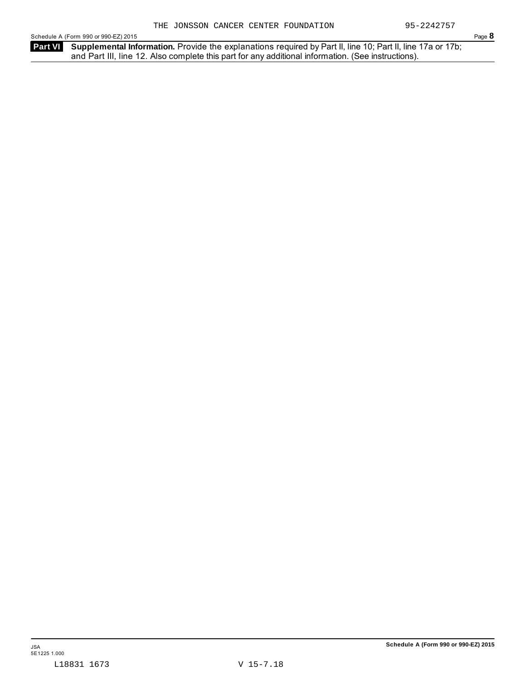Schedule A (Form 990 or 990-EZ) 2015 **Page 8** 

**Supplemental Information.** Provide the explanations required by Part II, line 10; Part II, line 17a or 17b; **Part VI**  and Part III, line 12. Also complete this part for any additional information. (See instructions).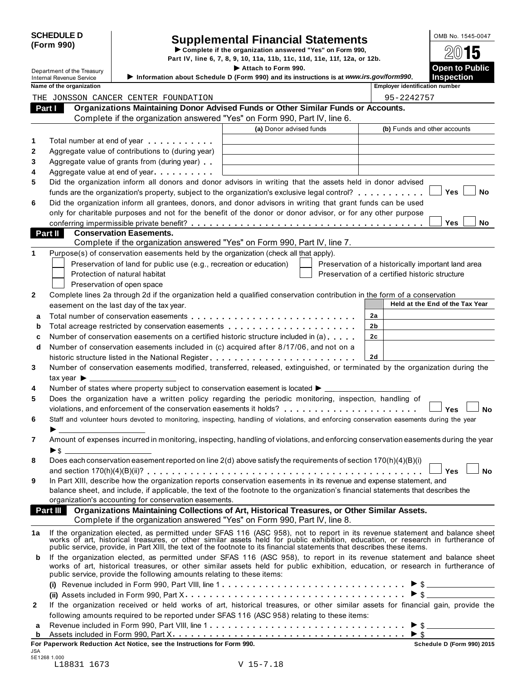| <b>SCHEDULE D</b> |  |
|-------------------|--|
| (Form 990)        |  |

# **Supplemental Financial Statements** <br> **Examplete if the organization answered "Yes" on Form 990,**  $\frac{\text{OMB No. 1545-0047}}{\text{OM}}$

Part IV, line 6, 7, 8, 9, 10, 11a, 11b, 11c, 11d, 11e, 11f, 12a, or 12b.

Department of the Treasury<br>Department of the Treasury<br>Department of the Treasury **Department of the Treasury of Attach to Form 900, and its instructions is at www.irs acy form 000, and its instructions is at www.irs acy fo** Internal Revenue Service I**Information about Schedule D (Form 990) and its instructions is at** *www.irs.gov/form990***. Inspection Name of the organization Organizations Maintaining Donor Advised Funds or Other Similar Funds or Accounts.** Complete if the organization answered "Yes" on Form 990, Part IV, line 6.  **Part I (a)** Donor advised funds **(b)** Funds and other accounts **1 2 3 4 5 6** Total number at end of year Aggregate value of contributions to (during year) Aggregate value of grants from (during year) Aggregate value at end of year ER FOUNDATION<br> **taining Donor Adamization answere**<br> **compare to the model of the model of the model of the model of the model of the model of the model of the model of the model of the model of the model of the model of th**  $\frac{1}{\sqrt{2}}$  are example. Did the organization inform all donors and donor advisors in writing that the assets held in donor advised funds are the organization's property, subject to the organization's exclusive legal control? Fotal number at end of year.<br>Aggregate value of contributions to (during year)<br>Aggregate value of grants from (during year)<br>Did the organization inform all donors and donor advisors in writing that the assets held in donor Did the organization inform all grantees, donors, and donor advisors in writing that grant funds can be used only for charitable purposes and not for the benefit of the donor or donor advisor, or for any other purpose Aggregate value of grants from (during year)<br>
Did the organization inform all donors and donor advisors in writing that the assets held in donor advised<br>
funds are the organization's property, subject to the organization's **Conservation Easements.** Complete if the organization answered "Yes" on Form 990, Part IV, line 7.  **Part II 1** Purpose(s) of conservation easements held by the organization (check all that apply). Preservation of land for public use (e.g., recreation or education) Protection of natural habitat Preservation of open space Preservation of a historically important land area Preservation of a certified historic structure **2** Complete lines 2a through 2d if the organization held a qualified conservation contribution in the form of a conservation easement on the last day of the tax year. **Held at the End of the Tax Year Held at the End of the Tax Year 2a 2b 2c 2d a** Total number of conservation easements **b** Total acreage restricted by conservation easements **c** Number of conservation easements on a certified historic structure included in (a) **d** Number of conservation easements included in (c) acquired after 8/17/06, and not on a (e.g., recreation or education)<br>  $\begin{array}{|c|c|c|c|c|}\n\hline\n\end{array}$  Preservatio<br>
ization held a qualified conservation contribution<br>
assements<br>
and the distribution included in (a) m m m m m m m m m m m m m m m m m m m m m m m m m m Number of conservation easements included in (c) acquired after 8 /17/06, and not on a Following the structure list day of the tax year.<br> **a** Total number of conservation easements<br> **b** Total acreage restricted by conservation easements<br> **c** Number of conservation easements on a certified historic structure **4 5 6 7 8 9** Number of conservation easements modified, transferred, released, extinguished, or terminated by the organization during the tax vear  $\blacktriangleright$ Number of states where property subject to conservation easement is located  $\blacktriangleright$ . Does the organization have a written policy regarding the periodic monitoring, inspection, handling of Number of conservation easements included in (c) acquired after 6/17/06, and not off a<br>historic structure listed in the National Register<br>Number of conservation easements modified, transferred, released, extinguished, or t Staff and volunteer hours devoted to monitoring, inspecting, handling of violations, and enforcing conservation easements during the year<br>
<br> **A** Amount of expenses incurred in monitoring, inspecting, handling of violations, and enforcing conservation easements during the year  $\blacktriangleright$  s Does each conservation easement reported on line 2(d) above satisfy the requirements of section 170(h)(4)(B)(i) and section 170(h)(4)(B)(ii)?<br>
and section 170(h)(4)(B)(ii)?<br>
and section 170(h)(4)(B)(iii)?<br>
and section 170(h)(4)(B)(iii)?<br>
and section 170(h)(4)(B)(iii)?<br>
and section 170(h)(4)(B)(iii)?<br>
and section 170(h)(4)(B)(iii)?<br> In Part XIII, describe how the organization reports conservation easements in its revenue and expense statement, and balance sheet, and include, if applicable, the text of the footnote to the organization's financial statements that describes the organization's accounting for conservation easements. **Organizations Maintaining Collections of Art, Historical Treasures, or Other Similar Assets.** Complete if the organization answered "Yes" on Form 990, Part IV, line 8.  **Part III**  1a If the organization elected, as permitted under SFAS 116 (ASC 958), not to report in its revenue statement and balance sheet<br>works of art, historical treasures, or other similar assets held for public exhibition, educat public service, provide, in Part XIII, the text of the footnote to its financial statements that describes these items. **b** If the organization elected, as permitted under SFAS 116 (ASC 958), to report in its revenue statement and balance sheet works of art, historical treasures, or other similar assets held for public exhibition, education, or research in furtherance of public service, provide the following amounts relating to these items: **(i)** I Revenue included in Form 990, Part VIII, line 1 **(ii)** Assets included in Form 990, Part X m m m m m m m m m m m m m m m m m m m m m m m m m m m m m m \$ m under SFAS 116 (ASC 958), not to report in its revenue statement and<br>ther similar assets held for public exhibition, education, or research in<br>ext of the footnote to its financial statements that describes these items.<br> **2** If the organization received or held works of art, historical treasures, or other similar assets for financial gain, provide the following amounts required to be reported under SFAS 116 (ASC 958) relating to these items: **<sup>a</sup>** Revenue included in Form 990, Part VIII, line 1 I Assets included in Form 990, Part X milar assets held for public exhibition, education, or research is<br>
e 1<br>  $\frac{1}{5}$ <br>
f art, historical treasures, or other similar assets for financial g<br>
f art, historical treasures, or other similar assets for financial g **<sup>b</sup>** m m m m m m m m m m m m m m m m m m m m m m m m m m m m m m m m m m m m m m <sup>I</sup> \$ THE JONSSON CANCER CENTER FOUNDATION **12000 12000 12000 12000 12000 12000 12000** 95-2242757

**For Paperwork Reduction Act Notice, see the Instructions for Form 990. Schedule D (Form 990) 2015**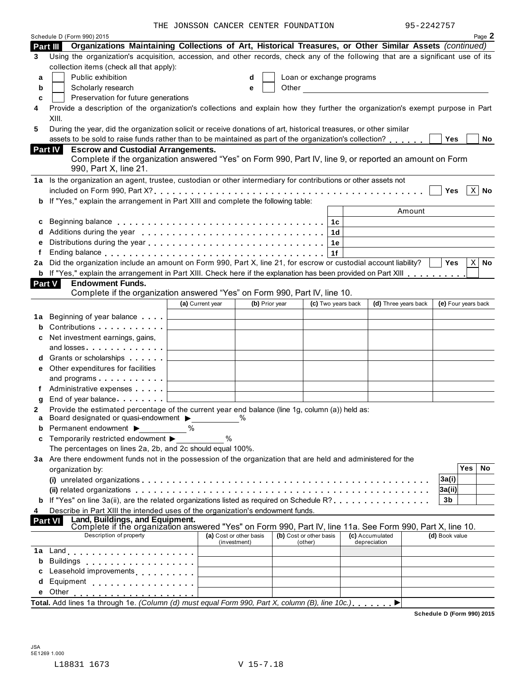THE JONSSON CANCER CENTER FOUNDATION 95-2242757

|                | Schedule D (Form 990) 2015                                                                                                                                                                                                     |                  |                                                                                                                                                                                                                                      |                           |                    |                             | Page 2                  |
|----------------|--------------------------------------------------------------------------------------------------------------------------------------------------------------------------------------------------------------------------------|------------------|--------------------------------------------------------------------------------------------------------------------------------------------------------------------------------------------------------------------------------------|---------------------------|--------------------|-----------------------------|-------------------------|
| Part III       | Organizations Maintaining Collections of Art, Historical Treasures, or Other Similar Assets (continued)                                                                                                                        |                  |                                                                                                                                                                                                                                      |                           |                    |                             |                         |
| 3              | Using the organization's acquisition, accession, and other records, check any of the following that are a significant use of its                                                                                               |                  |                                                                                                                                                                                                                                      |                           |                    |                             |                         |
|                | collection items (check all that apply):                                                                                                                                                                                       |                  |                                                                                                                                                                                                                                      |                           |                    |                             |                         |
| a              | Public exhibition                                                                                                                                                                                                              |                  | d                                                                                                                                                                                                                                    | Loan or exchange programs |                    |                             |                         |
| b              | Scholarly research                                                                                                                                                                                                             |                  | е                                                                                                                                                                                                                                    |                           |                    | Other <u>Communications</u> |                         |
| c              | Preservation for future generations                                                                                                                                                                                            |                  |                                                                                                                                                                                                                                      |                           |                    |                             |                         |
| 4              | Provide a description of the organization's collections and explain how they further the organization's exempt purpose in Part<br>XIII.                                                                                        |                  |                                                                                                                                                                                                                                      |                           |                    |                             |                         |
| 5              | During the year, did the organization solicit or receive donations of art, historical treasures, or other similar                                                                                                              |                  |                                                                                                                                                                                                                                      |                           |                    |                             |                         |
|                | assets to be sold to raise funds rather than to be maintained as part of the organization's collection?                                                                                                                        |                  |                                                                                                                                                                                                                                      |                           |                    |                             | <b>Yes</b><br>No        |
| <b>Part IV</b> | <b>Escrow and Custodial Arrangements.</b>                                                                                                                                                                                      |                  |                                                                                                                                                                                                                                      |                           |                    |                             |                         |
|                | Complete if the organization answered "Yes" on Form 990, Part IV, line 9, or reported an amount on Form<br>990, Part X, line 21.                                                                                               |                  |                                                                                                                                                                                                                                      |                           |                    |                             |                         |
|                | 1a Is the organization an agent, trustee, custodian or other intermediary for contributions or other assets not                                                                                                                |                  |                                                                                                                                                                                                                                      |                           |                    |                             |                         |
|                |                                                                                                                                                                                                                                |                  |                                                                                                                                                                                                                                      |                           |                    |                             | $X \mid$ No<br>Yes      |
| b              | If "Yes," explain the arrangement in Part XIII and complete the following table:                                                                                                                                               |                  |                                                                                                                                                                                                                                      |                           |                    |                             |                         |
|                |                                                                                                                                                                                                                                |                  |                                                                                                                                                                                                                                      |                           |                    | Amount                      |                         |
| c              |                                                                                                                                                                                                                                |                  |                                                                                                                                                                                                                                      |                           | 1 <sub>c</sub>     |                             |                         |
|                |                                                                                                                                                                                                                                |                  |                                                                                                                                                                                                                                      |                           | 1 <sub>d</sub>     |                             |                         |
|                |                                                                                                                                                                                                                                |                  |                                                                                                                                                                                                                                      |                           | 1е                 |                             |                         |
| f              |                                                                                                                                                                                                                                |                  |                                                                                                                                                                                                                                      |                           | 1f                 |                             |                         |
| 2a             | Did the organization include an amount on Form 990, Part X, line 21, for escrow or custodial account liability?                                                                                                                |                  |                                                                                                                                                                                                                                      |                           |                    |                             | Yes<br>X<br>No          |
|                | <b>b</b> If "Yes," explain the arrangement in Part XIII. Check here if the explanation has been provided on Part XIII                                                                                                          |                  |                                                                                                                                                                                                                                      |                           |                    |                             |                         |
| <b>Part V</b>  | <b>Endowment Funds.</b>                                                                                                                                                                                                        |                  |                                                                                                                                                                                                                                      |                           |                    |                             |                         |
|                | Complete if the organization answered "Yes" on Form 990, Part IV, line 10.                                                                                                                                                     |                  |                                                                                                                                                                                                                                      |                           |                    |                             |                         |
|                |                                                                                                                                                                                                                                | (a) Current year | (b) Prior year                                                                                                                                                                                                                       |                           | (c) Two years back | (d) Three years back        | (e) Four years back     |
| 1а             | Beginning of year balance $\qquad$                                                                                                                                                                                             |                  |                                                                                                                                                                                                                                      |                           |                    |                             |                         |
| b              | Contributions <b>Contributions</b>                                                                                                                                                                                             |                  |                                                                                                                                                                                                                                      |                           |                    |                             |                         |
| c              | Net investment earnings, gains,                                                                                                                                                                                                |                  |                                                                                                                                                                                                                                      |                           |                    |                             |                         |
|                | and losses                                                                                                                                                                                                                     |                  |                                                                                                                                                                                                                                      |                           |                    |                             |                         |
| d              | Grants or scholarships                                                                                                                                                                                                         |                  |                                                                                                                                                                                                                                      |                           |                    |                             |                         |
| е              | Other expenditures for facilities                                                                                                                                                                                              |                  |                                                                                                                                                                                                                                      |                           |                    |                             |                         |
|                | and programs $\ldots \ldots \ldots$                                                                                                                                                                                            |                  |                                                                                                                                                                                                                                      |                           |                    |                             |                         |
| f              |                                                                                                                                                                                                                                |                  |                                                                                                                                                                                                                                      |                           |                    |                             |                         |
| g              | End of year balance $\ldots \ldots \ldots$                                                                                                                                                                                     |                  |                                                                                                                                                                                                                                      |                           |                    |                             |                         |
| 2              | Provide the estimated percentage of the current year end balance (line 1g, column (a)) held as:                                                                                                                                |                  |                                                                                                                                                                                                                                      |                           |                    |                             |                         |
| a              | Board designated or quasi-endowment >                                                                                                                                                                                          |                  |                                                                                                                                                                                                                                      |                           |                    |                             |                         |
| b              | Permanent endowment $\blacktriangleright$                                                                                                                                                                                      | ℅                |                                                                                                                                                                                                                                      |                           |                    |                             |                         |
| c              | Temporarily restricted endowment ▶                                                                                                                                                                                             | %                |                                                                                                                                                                                                                                      |                           |                    |                             |                         |
|                | The percentages on lines 2a, 2b, and 2c should equal 100%.                                                                                                                                                                     |                  |                                                                                                                                                                                                                                      |                           |                    |                             |                         |
|                | 3a Are there endowment funds not in the possession of the organization that are held and administered for the                                                                                                                  |                  |                                                                                                                                                                                                                                      |                           |                    |                             |                         |
|                | organization by:                                                                                                                                                                                                               |                  |                                                                                                                                                                                                                                      |                           |                    |                             | <b>Yes</b><br><b>No</b> |
|                |                                                                                                                                                                                                                                |                  |                                                                                                                                                                                                                                      |                           |                    |                             | 3a(i)                   |
|                |                                                                                                                                                                                                                                |                  |                                                                                                                                                                                                                                      |                           |                    |                             | 3a(ii)                  |
| b              | If "Yes" on line 3a(ii), are the related organizations listed as required on Schedule R?                                                                                                                                       |                  |                                                                                                                                                                                                                                      |                           |                    |                             | 3b                      |
| 4              | Describe in Part XIII the intended uses of the organization's endowment funds.                                                                                                                                                 |                  |                                                                                                                                                                                                                                      |                           |                    |                             |                         |
| <b>Part VI</b> | Land, Buildings, and Equipment.<br>Complete if the organization answered "Yes" on Form 990, Part IV, line 11a. See Form 990, Part X, line 10.                                                                                  |                  |                                                                                                                                                                                                                                      |                           |                    |                             |                         |
|                | Description of property                                                                                                                                                                                                        |                  | (a) Cost or other basis                                                                                                                                                                                                              | (b) Cost or other basis   |                    | (c) Accumulated             | (d) Book value          |
|                |                                                                                                                                                                                                                                |                  | (investment)                                                                                                                                                                                                                         | (other)                   |                    | depreciation                |                         |
| 1a             |                                                                                                                                                                                                                                |                  |                                                                                                                                                                                                                                      |                           |                    |                             |                         |
| b              | Buildings<br>.                                                                                                                                                                                                                 |                  |                                                                                                                                                                                                                                      |                           |                    |                             |                         |
| c              | Leasehold improvements <b>Leasehold</b> improvements                                                                                                                                                                           |                  | <u>and the company of the company of the company of the company of the company of the company of the company of the company of the company of the company of the company of the company of the company of the company of the com</u> |                           |                    |                             |                         |
| d              | Equipment explorer and the set of the set of the set of the set of the set of the set of the set of the set of the set of the set of the set of the set of the set of the set of the set of the set of the set of the set of t |                  | <u> 1989 - Andrea Station Books, amerikansk politiker (</u>                                                                                                                                                                          |                           |                    |                             |                         |
|                |                                                                                                                                                                                                                                |                  |                                                                                                                                                                                                                                      |                           |                    |                             |                         |
| е              | Other<br>. <b>.</b><br>Total. Add lines 1a through 1e. (Column (d) must equal Form 990, Part X, column (B), line 10c.).                                                                                                        |                  |                                                                                                                                                                                                                                      |                           |                    |                             |                         |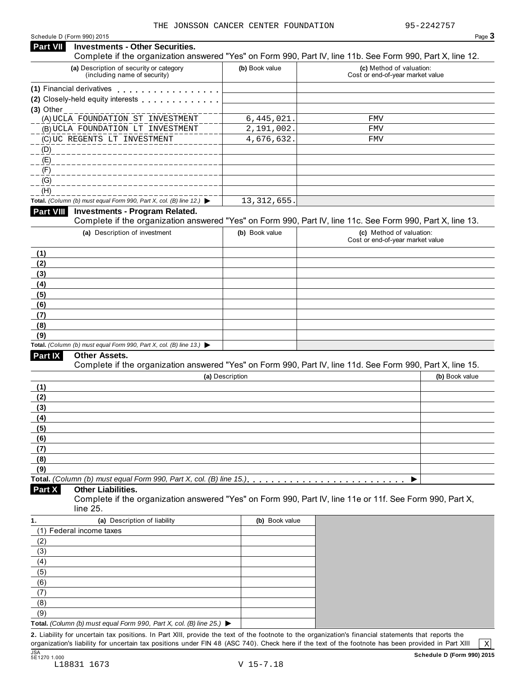| Part VII<br><b>Investments - Other Securities.</b>                                                                                                                                    |                 | Complete if the organization answered "Yes" on Form 990, Part IV, line 11b. See Form 990, Part X, line 12. |
|---------------------------------------------------------------------------------------------------------------------------------------------------------------------------------------|-----------------|------------------------------------------------------------------------------------------------------------|
| (a) Description of security or category<br>(including name of security)                                                                                                               | (b) Book value  | (c) Method of valuation:<br>Cost or end-of-year market value                                               |
| (1) Financial derivatives <b>All Accords</b> Financial derivatives                                                                                                                    |                 |                                                                                                            |
| (2) Closely-held equity interests                                                                                                                                                     |                 |                                                                                                            |
| (3) Other $_{--}$                                                                                                                                                                     |                 |                                                                                                            |
| (A) UCLA FOUNDATION ST INVESTMENT                                                                                                                                                     | 6,445,021.      | <b>FMV</b>                                                                                                 |
| (B) UCLA FOUNDATION LT INVESTMENT                                                                                                                                                     | 2,191,002.      | <b>FMV</b>                                                                                                 |
| (C) UC REGENTS LT INVESTMENT                                                                                                                                                          | 4,676,632.      | <b>FMV</b>                                                                                                 |
| (D)<br>(E)                                                                                                                                                                            |                 |                                                                                                            |
| (F)                                                                                                                                                                                   |                 |                                                                                                            |
| (G)                                                                                                                                                                                   |                 |                                                                                                            |
| (H)                                                                                                                                                                                   |                 |                                                                                                            |
| Total. (Column (b) must equal Form 990, Part X, col. (B) line 12.) $\blacktriangleright$                                                                                              | 13, 312, 655.   |                                                                                                            |
| <b>Investments - Program Related.</b><br>Part VIII                                                                                                                                    |                 |                                                                                                            |
|                                                                                                                                                                                       |                 | Complete if the organization answered "Yes" on Form 990, Part IV, line 11c. See Form 990, Part X, line 13. |
| (a) Description of investment                                                                                                                                                         | (b) Book value  | (c) Method of valuation:<br>Cost or end-of-year market value                                               |
| (1)                                                                                                                                                                                   |                 |                                                                                                            |
| (2)                                                                                                                                                                                   |                 |                                                                                                            |
| (3)                                                                                                                                                                                   |                 |                                                                                                            |
| (4)                                                                                                                                                                                   |                 |                                                                                                            |
| (5)<br>(6)                                                                                                                                                                            |                 |                                                                                                            |
| (7)                                                                                                                                                                                   |                 |                                                                                                            |
| (8)                                                                                                                                                                                   |                 |                                                                                                            |
| (9)                                                                                                                                                                                   |                 |                                                                                                            |
| Total. (Column (b) must equal Form 990, Part X, col. (B) line 13.) $\blacktriangleright$                                                                                              |                 |                                                                                                            |
| <b>Other Assets.</b><br>Part IX                                                                                                                                                       |                 |                                                                                                            |
|                                                                                                                                                                                       |                 | Complete if the organization answered "Yes" on Form 990, Part IV, line 11d. See Form 990, Part X, line 15. |
|                                                                                                                                                                                       |                 |                                                                                                            |
|                                                                                                                                                                                       | (a) Description | (b) Book value                                                                                             |
|                                                                                                                                                                                       |                 |                                                                                                            |
|                                                                                                                                                                                       |                 |                                                                                                            |
|                                                                                                                                                                                       |                 |                                                                                                            |
|                                                                                                                                                                                       |                 |                                                                                                            |
|                                                                                                                                                                                       |                 |                                                                                                            |
|                                                                                                                                                                                       |                 |                                                                                                            |
|                                                                                                                                                                                       |                 |                                                                                                            |
|                                                                                                                                                                                       |                 |                                                                                                            |
|                                                                                                                                                                                       |                 |                                                                                                            |
| (1)<br>(2)<br>(3)<br>(4)<br>(5)<br>(6)<br>(7)<br>(8)<br>(9)<br>Total. (Column (b) must equal Form 990, Part X, col. (B) line 15.).<br><b>Other Liabilities.</b><br>Part X<br>line 25. |                 | Complete if the organization answered "Yes" on Form 990, Part IV, line 11e or 11f. See Form 990, Part X,   |
| (a) Description of liability                                                                                                                                                          | (b) Book value  |                                                                                                            |
|                                                                                                                                                                                       |                 |                                                                                                            |
|                                                                                                                                                                                       |                 |                                                                                                            |
|                                                                                                                                                                                       |                 |                                                                                                            |
|                                                                                                                                                                                       |                 |                                                                                                            |
|                                                                                                                                                                                       |                 |                                                                                                            |
| (1) Federal income taxes<br>(2)<br>(3)<br>(4)<br>(5)<br>(6)                                                                                                                           |                 |                                                                                                            |
| (7)                                                                                                                                                                                   |                 |                                                                                                            |
| (8)<br>(9)                                                                                                                                                                            |                 |                                                                                                            |

organization's liability for uncertain tax positions under FIN 48 (ASC 740). Check here if the text of the footnote has been provided in Part XIII<br>
5E1270 1.000 Schedule D (Form 99

 $\boxed{\text{X}}$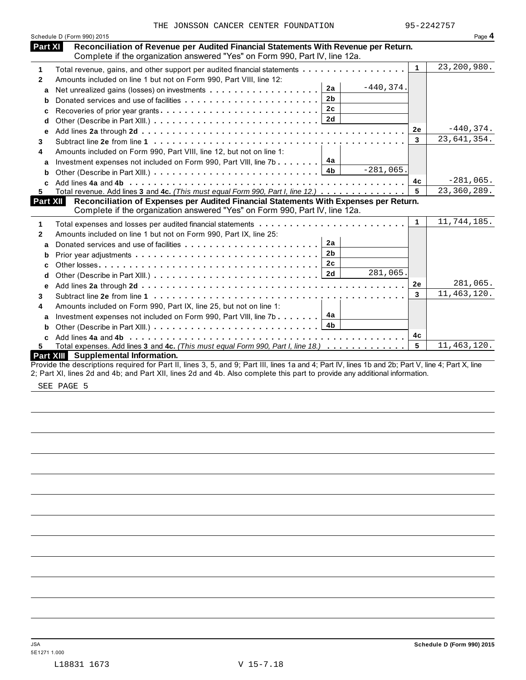| Schedule D (Form 990) 2015<br>Reconciliation of Revenue per Audited Financial Statements With Revenue per Return.<br><b>Part XI</b><br>Complete if the organization answered "Yes" on Form 990, Part IV, line 12a.<br>$\mathbf{1}$<br>Total revenue, gains, and other support per audited financial statements<br>1<br>Amounts included on line 1 but not on Form 990, Part VIII, line 12:<br>$\mathbf{2}$<br>$-440, 374.$<br>2a<br>a<br>2 <sub>b</sub><br>b<br>2c<br>Recoveries of prior year grants<br>c<br>d<br>2e<br>е<br>3<br>3<br>Amounts included on Form 990, Part VIII, line 12, but not on line 1:<br>4<br>Investment expenses not included on Form 990, Part VIII, line 7b $\boxed{4a}$<br>a<br>$-281,065.$<br>4 <sub>b</sub><br>b<br>4c<br>C.<br>5<br>Total revenue. Add lines 3 and 4c. (This must equal Form 990, Part I, line 12.)<br>5<br>Reconciliation of Expenses per Audited Financial Statements With Expenses per Return.<br>Part XII<br>Complete if the organization answered "Yes" on Form 990, Part IV, line 12a.<br>$\mathbf{1}$<br>1<br>Amounts included on line 1 but not on Form 990, Part IX, line 25:<br>$\mathbf{2}$<br>2a<br>a<br>2 <sub>b</sub><br>b<br>2c<br>C | THE JONSSON CANCER CENTER FOUNDATION | 95-2242757    |
|---------------------------------------------------------------------------------------------------------------------------------------------------------------------------------------------------------------------------------------------------------------------------------------------------------------------------------------------------------------------------------------------------------------------------------------------------------------------------------------------------------------------------------------------------------------------------------------------------------------------------------------------------------------------------------------------------------------------------------------------------------------------------------------------------------------------------------------------------------------------------------------------------------------------------------------------------------------------------------------------------------------------------------------------------------------------------------------------------------------------------------------------------------------------------------------------------|--------------------------------------|---------------|
|                                                                                                                                                                                                                                                                                                                                                                                                                                                                                                                                                                                                                                                                                                                                                                                                                                                                                                                                                                                                                                                                                                                                                                                                   |                                      | Page 4        |
|                                                                                                                                                                                                                                                                                                                                                                                                                                                                                                                                                                                                                                                                                                                                                                                                                                                                                                                                                                                                                                                                                                                                                                                                   |                                      |               |
|                                                                                                                                                                                                                                                                                                                                                                                                                                                                                                                                                                                                                                                                                                                                                                                                                                                                                                                                                                                                                                                                                                                                                                                                   |                                      |               |
|                                                                                                                                                                                                                                                                                                                                                                                                                                                                                                                                                                                                                                                                                                                                                                                                                                                                                                                                                                                                                                                                                                                                                                                                   |                                      | 23, 200, 980. |
|                                                                                                                                                                                                                                                                                                                                                                                                                                                                                                                                                                                                                                                                                                                                                                                                                                                                                                                                                                                                                                                                                                                                                                                                   |                                      |               |
|                                                                                                                                                                                                                                                                                                                                                                                                                                                                                                                                                                                                                                                                                                                                                                                                                                                                                                                                                                                                                                                                                                                                                                                                   |                                      |               |
|                                                                                                                                                                                                                                                                                                                                                                                                                                                                                                                                                                                                                                                                                                                                                                                                                                                                                                                                                                                                                                                                                                                                                                                                   |                                      |               |
|                                                                                                                                                                                                                                                                                                                                                                                                                                                                                                                                                                                                                                                                                                                                                                                                                                                                                                                                                                                                                                                                                                                                                                                                   |                                      |               |
|                                                                                                                                                                                                                                                                                                                                                                                                                                                                                                                                                                                                                                                                                                                                                                                                                                                                                                                                                                                                                                                                                                                                                                                                   |                                      |               |
|                                                                                                                                                                                                                                                                                                                                                                                                                                                                                                                                                                                                                                                                                                                                                                                                                                                                                                                                                                                                                                                                                                                                                                                                   |                                      | $-440,374.$   |
|                                                                                                                                                                                                                                                                                                                                                                                                                                                                                                                                                                                                                                                                                                                                                                                                                                                                                                                                                                                                                                                                                                                                                                                                   |                                      | 23,641,354.   |
|                                                                                                                                                                                                                                                                                                                                                                                                                                                                                                                                                                                                                                                                                                                                                                                                                                                                                                                                                                                                                                                                                                                                                                                                   |                                      |               |
|                                                                                                                                                                                                                                                                                                                                                                                                                                                                                                                                                                                                                                                                                                                                                                                                                                                                                                                                                                                                                                                                                                                                                                                                   |                                      |               |
|                                                                                                                                                                                                                                                                                                                                                                                                                                                                                                                                                                                                                                                                                                                                                                                                                                                                                                                                                                                                                                                                                                                                                                                                   |                                      |               |
|                                                                                                                                                                                                                                                                                                                                                                                                                                                                                                                                                                                                                                                                                                                                                                                                                                                                                                                                                                                                                                                                                                                                                                                                   |                                      | $-281,065.$   |
|                                                                                                                                                                                                                                                                                                                                                                                                                                                                                                                                                                                                                                                                                                                                                                                                                                                                                                                                                                                                                                                                                                                                                                                                   |                                      | 23,360,289.   |
|                                                                                                                                                                                                                                                                                                                                                                                                                                                                                                                                                                                                                                                                                                                                                                                                                                                                                                                                                                                                                                                                                                                                                                                                   |                                      |               |
|                                                                                                                                                                                                                                                                                                                                                                                                                                                                                                                                                                                                                                                                                                                                                                                                                                                                                                                                                                                                                                                                                                                                                                                                   |                                      |               |
|                                                                                                                                                                                                                                                                                                                                                                                                                                                                                                                                                                                                                                                                                                                                                                                                                                                                                                                                                                                                                                                                                                                                                                                                   |                                      | 11,744,185.   |
|                                                                                                                                                                                                                                                                                                                                                                                                                                                                                                                                                                                                                                                                                                                                                                                                                                                                                                                                                                                                                                                                                                                                                                                                   |                                      |               |
|                                                                                                                                                                                                                                                                                                                                                                                                                                                                                                                                                                                                                                                                                                                                                                                                                                                                                                                                                                                                                                                                                                                                                                                                   |                                      |               |
|                                                                                                                                                                                                                                                                                                                                                                                                                                                                                                                                                                                                                                                                                                                                                                                                                                                                                                                                                                                                                                                                                                                                                                                                   |                                      |               |
|                                                                                                                                                                                                                                                                                                                                                                                                                                                                                                                                                                                                                                                                                                                                                                                                                                                                                                                                                                                                                                                                                                                                                                                                   |                                      |               |
| d                                                                                                                                                                                                                                                                                                                                                                                                                                                                                                                                                                                                                                                                                                                                                                                                                                                                                                                                                                                                                                                                                                                                                                                                 | 281,065.                             |               |
| 2e<br>е                                                                                                                                                                                                                                                                                                                                                                                                                                                                                                                                                                                                                                                                                                                                                                                                                                                                                                                                                                                                                                                                                                                                                                                           |                                      | 281,065.      |
| 3<br>3                                                                                                                                                                                                                                                                                                                                                                                                                                                                                                                                                                                                                                                                                                                                                                                                                                                                                                                                                                                                                                                                                                                                                                                            |                                      | 11, 463, 120. |
| Amounts included on Form 990, Part IX, line 25, but not on line 1:<br>4                                                                                                                                                                                                                                                                                                                                                                                                                                                                                                                                                                                                                                                                                                                                                                                                                                                                                                                                                                                                                                                                                                                           |                                      |               |
| 4a<br>Investment expenses not included on Form 990, Part VIII, line 7b<br>a                                                                                                                                                                                                                                                                                                                                                                                                                                                                                                                                                                                                                                                                                                                                                                                                                                                                                                                                                                                                                                                                                                                       |                                      |               |
| 4b.<br>b                                                                                                                                                                                                                                                                                                                                                                                                                                                                                                                                                                                                                                                                                                                                                                                                                                                                                                                                                                                                                                                                                                                                                                                          |                                      |               |
| 4c<br>C                                                                                                                                                                                                                                                                                                                                                                                                                                                                                                                                                                                                                                                                                                                                                                                                                                                                                                                                                                                                                                                                                                                                                                                           |                                      |               |
| 5<br>Total expenses. Add lines 3 and 4c. (This must equal Form 990, Part I, line 18.)<br>5.                                                                                                                                                                                                                                                                                                                                                                                                                                                                                                                                                                                                                                                                                                                                                                                                                                                                                                                                                                                                                                                                                                       |                                      | 11, 463, 120. |
| Part XIII Supplemental Information.                                                                                                                                                                                                                                                                                                                                                                                                                                                                                                                                                                                                                                                                                                                                                                                                                                                                                                                                                                                                                                                                                                                                                               |                                      |               |
| Provide the descriptions required for Part II, lines 3, 5, and 9; Part III, lines 1a and 4; Part IV, lines 1b and 2b; Part V, line 4; Part X, line<br>2; Part XI, lines 2d and 4b; and Part XII, lines 2d and 4b. Also complete this part to provide any additional information.                                                                                                                                                                                                                                                                                                                                                                                                                                                                                                                                                                                                                                                                                                                                                                                                                                                                                                                  |                                      |               |

SEE PAGE 5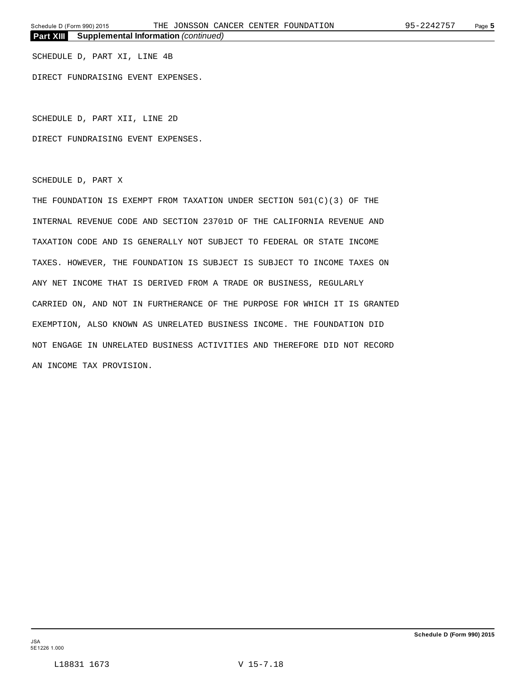SCHEDULE D, PART XI, LINE 4B

DIRECT FUNDRAISING EVENT EXPENSES.

SCHEDULE D, PART XII, LINE 2D DIRECT FUNDRAISING EVENT EXPENSES.

SCHEDULE D, PART X

THE FOUNDATION IS EXEMPT FROM TAXATION UNDER SECTION 501(C)(3) OF THE INTERNAL REVENUE CODE AND SECTION 23701D OF THE CALIFORNIA REVENUE AND TAXATION CODE AND IS GENERALLY NOT SUBJECT TO FEDERAL OR STATE INCOME TAXES. HOWEVER, THE FOUNDATION IS SUBJECT IS SUBJECT TO INCOME TAXES ON ANY NET INCOME THAT IS DERIVED FROM A TRADE OR BUSINESS, REGULARLY CARRIED ON, AND NOT IN FURTHERANCE OF THE PURPOSE FOR WHICH IT IS GRANTED EXEMPTION, ALSO KNOWN AS UNRELATED BUSINESS INCOME. THE FOUNDATION DID NOT ENGAGE IN UNRELATED BUSINESS ACTIVITIES AND THEREFORE DID NOT RECORD AN INCOME TAX PROVISION.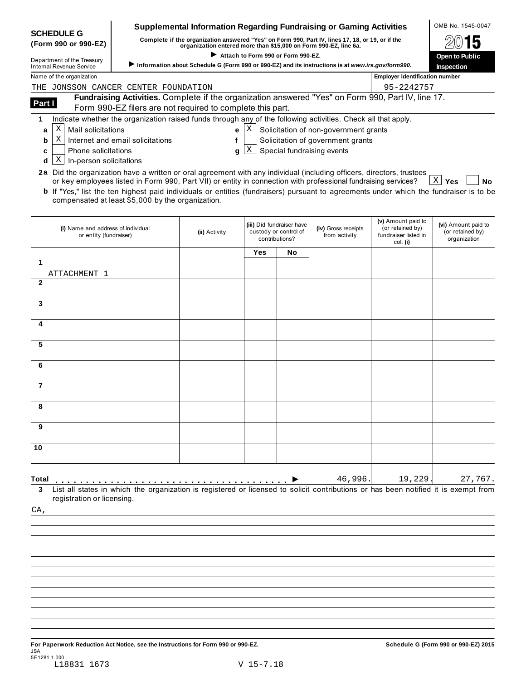|                |                                                                                                                                                                                                                         |                                                                                                                                                                                                    | <b>Supplemental Information Regarding Fundraising or Gaming Activities</b>                                                                                           |                                    |                                                                      |                                       |                                                      | OMB No. 1545-0047                                       |  |  |
|----------------|-------------------------------------------------------------------------------------------------------------------------------------------------------------------------------------------------------------------------|----------------------------------------------------------------------------------------------------------------------------------------------------------------------------------------------------|----------------------------------------------------------------------------------------------------------------------------------------------------------------------|------------------------------------|----------------------------------------------------------------------|---------------------------------------|------------------------------------------------------|---------------------------------------------------------|--|--|
|                | <b>SCHEDULE G</b><br>(Form 990 or 990-EZ)                                                                                                                                                                               |                                                                                                                                                                                                    | Complete if the organization answered "Yes" on Form 990, Part IV, lines 17, 18, or 19, or if the<br>organization entered more than \$15,000 on Form 990-EZ, line 6a. |                                    |                                                                      |                                       |                                                      |                                                         |  |  |
|                | Department of the Treasury                                                                                                                                                                                              |                                                                                                                                                                                                    |                                                                                                                                                                      | Attach to Form 990 or Form 990-EZ. |                                                                      |                                       |                                                      | Open to Public                                          |  |  |
|                | Information about Schedule G (Form 990 or 990-EZ) and its instructions is at www.irs.gov/form990.<br>Inspection<br><b>Internal Revenue Service</b><br><b>Employer identification number</b><br>Name of the organization |                                                                                                                                                                                                    |                                                                                                                                                                      |                                    |                                                                      |                                       |                                                      |                                                         |  |  |
|                |                                                                                                                                                                                                                         | THE JONSSON CANCER CENTER FOUNDATION                                                                                                                                                               |                                                                                                                                                                      |                                    |                                                                      |                                       | 95-2242757                                           |                                                         |  |  |
|                |                                                                                                                                                                                                                         | Fundraising Activities. Complete if the organization answered "Yes" on Form 990, Part IV, line 17.                                                                                                 |                                                                                                                                                                      |                                    |                                                                      |                                       |                                                      |                                                         |  |  |
| Part I         |                                                                                                                                                                                                                         | Form 990-EZ filers are not required to complete this part.                                                                                                                                         |                                                                                                                                                                      |                                    |                                                                      |                                       |                                                      |                                                         |  |  |
| 1              |                                                                                                                                                                                                                         | Indicate whether the organization raised funds through any of the following activities. Check all that apply.                                                                                      |                                                                                                                                                                      |                                    |                                                                      |                                       |                                                      |                                                         |  |  |
| a              | X<br>Mail solicitations                                                                                                                                                                                                 |                                                                                                                                                                                                    | е                                                                                                                                                                    | $\mathbf{X}$                       |                                                                      | Solicitation of non-government grants |                                                      |                                                         |  |  |
| b              | X                                                                                                                                                                                                                       | Internet and email solicitations                                                                                                                                                                   | f                                                                                                                                                                    |                                    |                                                                      | Solicitation of government grants     |                                                      |                                                         |  |  |
| c              | Phone solicitations                                                                                                                                                                                                     |                                                                                                                                                                                                    | g                                                                                                                                                                    | X                                  |                                                                      | Special fundraising events            |                                                      |                                                         |  |  |
| d              | $\mathbf{X}$<br>In-person solicitations                                                                                                                                                                                 |                                                                                                                                                                                                    |                                                                                                                                                                      |                                    |                                                                      |                                       |                                                      |                                                         |  |  |
|                |                                                                                                                                                                                                                         | 2a Did the organization have a written or oral agreement with any individual (including officers, directors, trustees                                                                              |                                                                                                                                                                      |                                    |                                                                      |                                       |                                                      |                                                         |  |  |
|                |                                                                                                                                                                                                                         | or key employees listed in Form 990, Part VII) or entity in connection with professional fundraising services?                                                                                     |                                                                                                                                                                      |                                    |                                                                      |                                       |                                                      | $ X $ Yes<br><b>No</b>                                  |  |  |
|                |                                                                                                                                                                                                                         | <b>b</b> If "Yes," list the ten highest paid individuals or entities (fundraisers) pursuant to agreements under which the fundraiser is to be<br>compensated at least \$5,000 by the organization. |                                                                                                                                                                      |                                    |                                                                      |                                       |                                                      |                                                         |  |  |
|                |                                                                                                                                                                                                                         |                                                                                                                                                                                                    |                                                                                                                                                                      |                                    |                                                                      |                                       | (v) Amount paid to                                   |                                                         |  |  |
|                | (i) Name and address of individual<br>or entity (fundraiser)                                                                                                                                                            |                                                                                                                                                                                                    | (ii) Activity                                                                                                                                                        |                                    | (iii) Did fundraiser have<br>custody or control of<br>contributions? | (iv) Gross receipts<br>from activity  | (or retained by)<br>fundraiser listed in<br>col. (i) | (vi) Amount paid to<br>(or retained by)<br>organization |  |  |
| 1              |                                                                                                                                                                                                                         |                                                                                                                                                                                                    |                                                                                                                                                                      | Yes                                | No                                                                   |                                       |                                                      |                                                         |  |  |
|                | ATTACHMENT 1                                                                                                                                                                                                            |                                                                                                                                                                                                    |                                                                                                                                                                      |                                    |                                                                      |                                       |                                                      |                                                         |  |  |
| $\mathbf{2}$   |                                                                                                                                                                                                                         |                                                                                                                                                                                                    |                                                                                                                                                                      |                                    |                                                                      |                                       |                                                      |                                                         |  |  |
| 3              |                                                                                                                                                                                                                         |                                                                                                                                                                                                    |                                                                                                                                                                      |                                    |                                                                      |                                       |                                                      |                                                         |  |  |
| 4              |                                                                                                                                                                                                                         |                                                                                                                                                                                                    |                                                                                                                                                                      |                                    |                                                                      |                                       |                                                      |                                                         |  |  |
| 5              |                                                                                                                                                                                                                         |                                                                                                                                                                                                    |                                                                                                                                                                      |                                    |                                                                      |                                       |                                                      |                                                         |  |  |
| 6              |                                                                                                                                                                                                                         |                                                                                                                                                                                                    |                                                                                                                                                                      |                                    |                                                                      |                                       |                                                      |                                                         |  |  |
| $\overline{7}$ |                                                                                                                                                                                                                         |                                                                                                                                                                                                    |                                                                                                                                                                      |                                    |                                                                      |                                       |                                                      |                                                         |  |  |
| 8              |                                                                                                                                                                                                                         |                                                                                                                                                                                                    |                                                                                                                                                                      |                                    |                                                                      |                                       |                                                      |                                                         |  |  |
| 9              |                                                                                                                                                                                                                         |                                                                                                                                                                                                    |                                                                                                                                                                      |                                    |                                                                      |                                       |                                                      |                                                         |  |  |
| 10             |                                                                                                                                                                                                                         |                                                                                                                                                                                                    |                                                                                                                                                                      |                                    |                                                                      |                                       |                                                      |                                                         |  |  |
|                |                                                                                                                                                                                                                         |                                                                                                                                                                                                    |                                                                                                                                                                      |                                    |                                                                      |                                       |                                                      |                                                         |  |  |
| Total          |                                                                                                                                                                                                                         |                                                                                                                                                                                                    |                                                                                                                                                                      |                                    |                                                                      | 46,996.                               | 19,229.                                              | 27,767.                                                 |  |  |
| 3              | registration or licensing.                                                                                                                                                                                              | List all states in which the organization is registered or licensed to solicit contributions or has been notified it is exempt from                                                                |                                                                                                                                                                      |                                    |                                                                      |                                       |                                                      |                                                         |  |  |
| CA,            |                                                                                                                                                                                                                         |                                                                                                                                                                                                    |                                                                                                                                                                      |                                    |                                                                      |                                       |                                                      |                                                         |  |  |
|                |                                                                                                                                                                                                                         |                                                                                                                                                                                                    |                                                                                                                                                                      |                                    |                                                                      |                                       |                                                      |                                                         |  |  |
|                |                                                                                                                                                                                                                         |                                                                                                                                                                                                    |                                                                                                                                                                      |                                    |                                                                      |                                       |                                                      |                                                         |  |  |
|                |                                                                                                                                                                                                                         |                                                                                                                                                                                                    |                                                                                                                                                                      |                                    |                                                                      |                                       |                                                      |                                                         |  |  |
|                |                                                                                                                                                                                                                         |                                                                                                                                                                                                    |                                                                                                                                                                      |                                    |                                                                      |                                       |                                                      |                                                         |  |  |
|                |                                                                                                                                                                                                                         |                                                                                                                                                                                                    |                                                                                                                                                                      |                                    |                                                                      |                                       |                                                      |                                                         |  |  |
|                |                                                                                                                                                                                                                         |                                                                                                                                                                                                    |                                                                                                                                                                      |                                    |                                                                      |                                       |                                                      |                                                         |  |  |
|                |                                                                                                                                                                                                                         |                                                                                                                                                                                                    |                                                                                                                                                                      |                                    |                                                                      |                                       |                                                      |                                                         |  |  |
|                |                                                                                                                                                                                                                         |                                                                                                                                                                                                    |                                                                                                                                                                      |                                    |                                                                      |                                       |                                                      |                                                         |  |  |
|                |                                                                                                                                                                                                                         |                                                                                                                                                                                                    |                                                                                                                                                                      |                                    |                                                                      |                                       |                                                      |                                                         |  |  |
|                |                                                                                                                                                                                                                         |                                                                                                                                                                                                    |                                                                                                                                                                      |                                    |                                                                      |                                       |                                                      |                                                         |  |  |
|                |                                                                                                                                                                                                                         |                                                                                                                                                                                                    |                                                                                                                                                                      |                                    |                                                                      |                                       |                                                      |                                                         |  |  |
|                |                                                                                                                                                                                                                         | For Paperwork Reduction Act Notice, see the Instructions for Form 990 or 990-EZ.                                                                                                                   |                                                                                                                                                                      |                                    |                                                                      |                                       |                                                      | Schedule G (Form 990 or 990-EZ) 2015                    |  |  |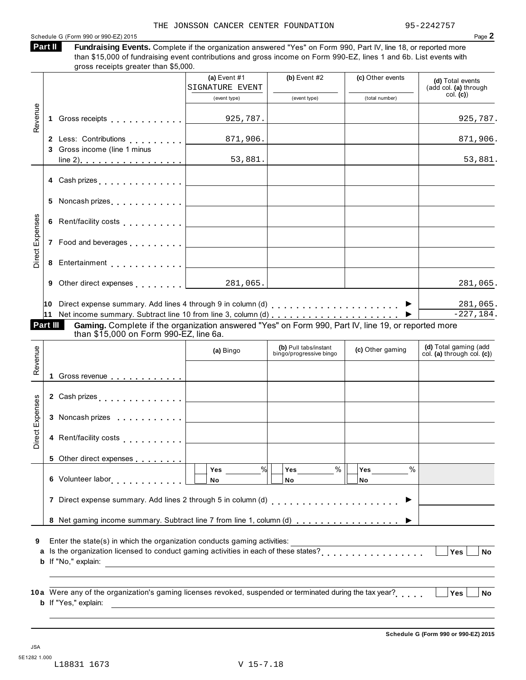**Schedule G (Form 990 or 990-EZ) 2015**

#### Schedule G (Form 990 or 990-EZ) 2015 Page **2**

**Fundraising Events.** Complete if the organization answered "Yes" on Form 990, Part IV, line 18, or reported more than \$15,000 of fundraising event contributions and gross income on Form 990-EZ, lines 1 and 6b. List events with **Part II** 

|                        |   | gross receipts greater than \$5,000.                                                                                                                                                                                               |                                   |                                                  |                          |                                                     |
|------------------------|---|------------------------------------------------------------------------------------------------------------------------------------------------------------------------------------------------------------------------------------|-----------------------------------|--------------------------------------------------|--------------------------|-----------------------------------------------------|
|                        |   |                                                                                                                                                                                                                                    | (a) Event $#1$<br>SIGNATURE EVENT | (b) Event $#2$                                   | (c) Other events         | (d) Total events<br>(add col. (a) through           |
|                        |   |                                                                                                                                                                                                                                    | (event type)                      | (event type)                                     | (total number)           | col. (c)                                            |
| Revenue                |   | 1 Gross receipts <b>contained</b> a set of the set of the set of the set of the set of the set of the set of the set of the set of the set of the set of the set of the set of the set of the set of the set of the set of the set | 925,787.                          |                                                  |                          | 925,787.                                            |
|                        |   | 2 Less: Contributions [19] Less: Contributions [19] Less: Contributions [19] Lessing [19] Lessing [19] Lessing [19] Lessing [19] Lessing [19] Lessing [19] Lessing [19] Lessing [19] Lessing [19] Lessing [19] Lessing [19] Le     | 871,906.                          |                                                  |                          | 871,906.                                            |
|                        |   | 3 Gross income (line 1 minus                                                                                                                                                                                                       | 53,881.                           |                                                  |                          | 53,881.                                             |
|                        |   | 4 Cash prizes <u>  _ _ _ _ _ _ _ _ _ _</u> _ _ _ _ _ _ _ _                                                                                                                                                                         |                                   |                                                  |                          |                                                     |
|                        |   |                                                                                                                                                                                                                                    |                                   |                                                  |                          |                                                     |
|                        |   |                                                                                                                                                                                                                                    |                                   |                                                  |                          |                                                     |
| <b>Direct Expenses</b> |   | 7 Food and beverages entertainment and the set of the set of the set of the set of the set of the set of the set of the set of the set of the set of the set of the set of the set of the set of the set of the set of the set     |                                   |                                                  |                          |                                                     |
|                        | 8 |                                                                                                                                                                                                                                    |                                   |                                                  |                          |                                                     |
|                        |   | 9 Other direct expenses 281,065.                                                                                                                                                                                                   |                                   |                                                  |                          | 281,065.                                            |
|                        |   |                                                                                                                                                                                                                                    |                                   |                                                  |                          | 281,065.<br>$-227,184.$                             |
|                        |   | Part III<br>Gaming. Complete if the organization answered "Yes" on Form 990, Part IV, line 19, or reported more<br>than \$15,000 on Form 990-EZ, line 6a.                                                                          |                                   |                                                  |                          |                                                     |
| Revenue                |   |                                                                                                                                                                                                                                    | (a) Bingo                         | (b) Pull tabs/instant<br>bingo/progressive bingo | (c) Other gaming         | (d) Total gaming (add<br>col. (a) through col. (c)) |
|                        |   | 1 Gross revenue                                                                                                                                                                                                                    |                                   |                                                  |                          |                                                     |
|                        |   |                                                                                                                                                                                                                                    |                                   |                                                  |                          |                                                     |
| rect Expenses          |   |                                                                                                                                                                                                                                    |                                   |                                                  |                          |                                                     |
|                        |   |                                                                                                                                                                                                                                    |                                   |                                                  |                          |                                                     |
| ۵                      |   | 4 Rent/facility costs                                                                                                                                                                                                              |                                   |                                                  |                          |                                                     |
|                        |   | 5 Other direct expenses                                                                                                                                                                                                            |                                   |                                                  |                          |                                                     |
|                        |   |                                                                                                                                                                                                                                    | %<br>Yes<br>No                    | $\%$<br>Yes<br>No                                | $\%$<br>Yes<br><b>No</b> |                                                     |
|                        |   |                                                                                                                                                                                                                                    |                                   |                                                  |                          |                                                     |
|                        |   | 8 Net gaming income summary. Subtract line 7 from line 1, column (d)                                                                                                                                                               |                                   |                                                  |                          |                                                     |
| 9<br>a<br>b            |   | Enter the state(s) in which the organization conducts gaming activities:<br>If "No," explain:                                                                                                                                      |                                   |                                                  |                          | Yes<br>No                                           |
|                        |   |                                                                                                                                                                                                                                    |                                   |                                                  |                          |                                                     |
|                        |   | 10a Were any of the organization's gaming licenses revoked, suspended or terminated during the tax year?<br>b If "Yes," explain:                                                                                                   |                                   |                                                  |                          | Yes<br>No.                                          |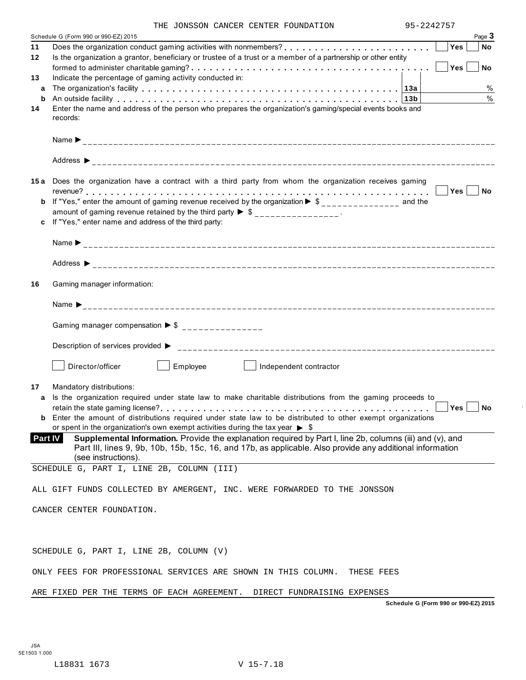|  |  | THE JONSSON CANCER CENTER FOUNDATION | 95-2242757 |
|--|--|--------------------------------------|------------|

|         | THE JONSSON CANCER CENTER FOUNDATION<br>Schedule G (Form 990 or 990-EZ) 2015                                                                                                                                                                                                                                                                                                                    | 95-2242757 |            | Page 3                |
|---------|-------------------------------------------------------------------------------------------------------------------------------------------------------------------------------------------------------------------------------------------------------------------------------------------------------------------------------------------------------------------------------------------------|------------|------------|-----------------------|
| 11      |                                                                                                                                                                                                                                                                                                                                                                                                 |            | Yes        | No                    |
| 12      | Is the organization a grantor, beneficiary or trustee of a trust or a member of a partnership or other entity                                                                                                                                                                                                                                                                                   |            | <b>Yes</b> | <b>No</b>             |
| 13      | Indicate the percentage of gaming activity conducted in:                                                                                                                                                                                                                                                                                                                                        |            |            |                       |
| a       |                                                                                                                                                                                                                                                                                                                                                                                                 |            |            | $\%$<br>$\frac{0}{0}$ |
| 14      | An outside facility enterpretence in the series of the series of the series of the series of the series of the series of the series of the series of the series of the series of the series of the series of the series of the<br>Enter the name and address of the person who prepares the organization's gaming/special events books and<br>records:                                          |            |            |                       |
|         |                                                                                                                                                                                                                                                                                                                                                                                                 |            |            |                       |
|         |                                                                                                                                                                                                                                                                                                                                                                                                 |            |            |                       |
|         | 15a Does the organization have a contract with a third party from whom the organization receives gaming<br><b>b</b> If "Yes," enter the amount of gaming revenue received by the organization $\triangleright$ \$______________ and the<br>amount of gaming revenue retained by the third party $\triangleright$ \$ ________________.<br>c If "Yes," enter name and address of the third party: |            |            |                       |
|         |                                                                                                                                                                                                                                                                                                                                                                                                 |            |            |                       |
|         |                                                                                                                                                                                                                                                                                                                                                                                                 |            |            |                       |
| 16      | Gaming manager information:                                                                                                                                                                                                                                                                                                                                                                     |            |            |                       |
|         |                                                                                                                                                                                                                                                                                                                                                                                                 |            |            |                       |
|         | Gaming manager compensation $\triangleright$ \$ ________________                                                                                                                                                                                                                                                                                                                                |            |            |                       |
|         |                                                                                                                                                                                                                                                                                                                                                                                                 |            |            |                       |
|         | Director/officer<br>Employee<br>Independent contractor                                                                                                                                                                                                                                                                                                                                          |            |            |                       |
| 17      | Mandatory distributions:<br>a Is the organization required under state law to make charitable distributions from the gaming proceeds to<br>b Enter the amount of distributions required under state law to be distributed to other exempt organizations<br>or spent in the organization's own exempt activities during the tax year $\triangleright$ \$                                         |            | <b>Yes</b> | <b>No</b>             |
| Part IV | Supplemental Information. Provide the explanation required by Part I, line 2b, columns (iii) and (v), and<br>Part III, lines 9, 9b, 10b, 15b, 15c, 16, and 17b, as applicable. Also provide any additional information<br>(see instructions).                                                                                                                                                   |            |            |                       |
|         | SCHEDULE G, PART I, LINE 2B, COLUMN (III)                                                                                                                                                                                                                                                                                                                                                       |            |            |                       |
|         | ALL GIFT FUNDS COLLECTED BY AMERGENT, INC. WERE FORWARDED TO THE JONSSON                                                                                                                                                                                                                                                                                                                        |            |            |                       |
|         | CANCER CENTER FOUNDATION.                                                                                                                                                                                                                                                                                                                                                                       |            |            |                       |
|         | SCHEDULE G, PART I, LINE 2B, COLUMN (V)                                                                                                                                                                                                                                                                                                                                                         |            |            |                       |
|         | ONLY FEES FOR PROFESSIONAL SERVICES ARE SHOWN IN THIS COLUMN.<br>THESE FEES                                                                                                                                                                                                                                                                                                                     |            |            |                       |
|         | ARE FIXED PER THE TERMS OF EACH AGREEMENT.<br>DIRECT FUNDRAISING EXPENSES                                                                                                                                                                                                                                                                                                                       |            |            |                       |

**Schedule G (Form 990 or 990-EZ) 2015**

 $\hat{\mathcal{A}}$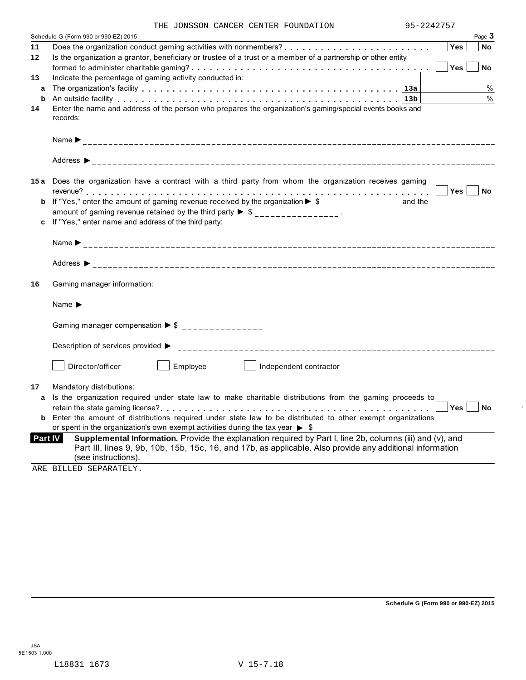|  |  | THE JONSSON CANCER CENTER FOUNDATION | 95-2242757 |
|--|--|--------------------------------------|------------|

|                | THE JONSSON CANCER CENTER FOUNDATION                                                                                                                                                                                           | 95-2242757 |                             |
|----------------|--------------------------------------------------------------------------------------------------------------------------------------------------------------------------------------------------------------------------------|------------|-----------------------------|
|                | Schedule G (Form 990 or 990-EZ) 2015                                                                                                                                                                                           |            | Page 3                      |
| 11             |                                                                                                                                                                                                                                |            | Yes<br>No                   |
| 12             | Is the organization a grantor, beneficiary or trustee of a trust or a member of a partnership or other entity                                                                                                                  |            |                             |
|                |                                                                                                                                                                                                                                |            | Yes<br><b>No</b>            |
| 13             | Indicate the percentage of gaming activity conducted in:                                                                                                                                                                       |            |                             |
| a              |                                                                                                                                                                                                                                |            | $\%$                        |
| b              | An outside facility enterpretence in the series of the series of the series of the series of the series of the series of the series of the series of the series of the series of the series of the series of the series of the |            | $\frac{0}{0}$               |
| 14             | Enter the name and address of the person who prepares the organization's gaming/special events books and                                                                                                                       |            |                             |
|                | records:                                                                                                                                                                                                                       |            |                             |
|                |                                                                                                                                                                                                                                |            |                             |
|                |                                                                                                                                                                                                                                |            |                             |
|                |                                                                                                                                                                                                                                |            |                             |
|                |                                                                                                                                                                                                                                |            |                             |
|                | 15a Does the organization have a contract with a third party from whom the organization receives gaming                                                                                                                        |            |                             |
|                |                                                                                                                                                                                                                                |            | $\overline{\phantom{a}}$ No |
|                | <b>b</b> If "Yes," enter the amount of gaming revenue received by the organization $\triangleright$ \$_______________ and the                                                                                                  |            |                             |
|                | amount of gaming revenue retained by the third party $\triangleright$ \$ _______________.                                                                                                                                      |            |                             |
|                | c If "Yes," enter name and address of the third party:                                                                                                                                                                         |            |                             |
|                |                                                                                                                                                                                                                                |            |                             |
|                |                                                                                                                                                                                                                                |            |                             |
|                |                                                                                                                                                                                                                                |            |                             |
|                |                                                                                                                                                                                                                                |            |                             |
| 16             | Gaming manager information:                                                                                                                                                                                                    |            |                             |
|                |                                                                                                                                                                                                                                |            |                             |
|                |                                                                                                                                                                                                                                |            |                             |
|                |                                                                                                                                                                                                                                |            |                             |
|                | Gaming manager compensation $\triangleright$ \$ ________________                                                                                                                                                               |            |                             |
|                |                                                                                                                                                                                                                                |            |                             |
|                |                                                                                                                                                                                                                                |            |                             |
|                |                                                                                                                                                                                                                                |            |                             |
|                | Director/officer<br>Employee<br>Independent contractor                                                                                                                                                                         |            |                             |
|                |                                                                                                                                                                                                                                |            |                             |
| 17             | Mandatory distributions:                                                                                                                                                                                                       |            |                             |
|                | a Is the organization required under state law to make charitable distributions from the gaming proceeds to                                                                                                                    |            |                             |
|                |                                                                                                                                                                                                                                |            | <b>Yes</b><br>No            |
|                | <b>b</b> Enter the amount of distributions required under state law to be distributed to other exempt organizations                                                                                                            |            |                             |
|                | or spent in the organization's own exempt activities during the tax year $\triangleright$ \$<br>Supplemental Information. Provide the explanation required by Part I, line 2b, columns (iii) and (v), and                      |            |                             |
| <b>Part IV</b> | Part III, lines 9, 9b, 10b, 15b, 15c, 16, and 17b, as applicable. Also provide any additional information                                                                                                                      |            |                             |
|                | (see instructions).                                                                                                                                                                                                            |            |                             |
|                | ARE BILLED SEPARATELY.                                                                                                                                                                                                         |            |                             |
|                |                                                                                                                                                                                                                                |            |                             |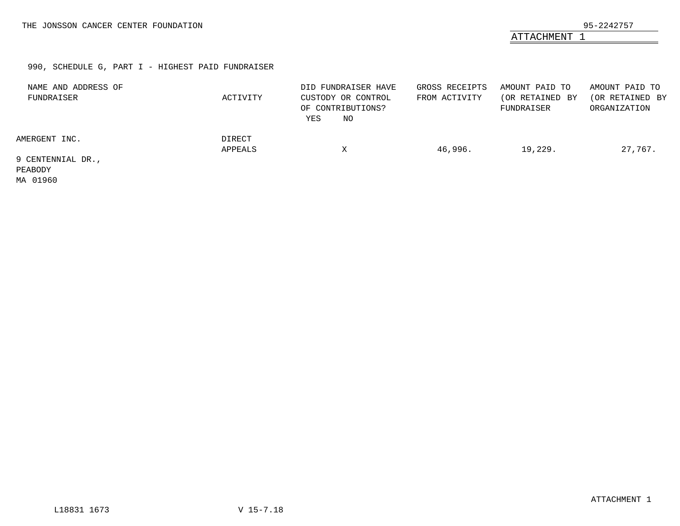ATTACHMENT 1

### 990, SCHEDULE G, PART I - HIGHEST PAID FUNDRAISER

| NAME AND ADDRESS OF<br>FUNDRAISER | ACTIVITY          | DID FUNDRAISER HAVE<br>CUSTODY OR CONTROL<br>OF CONTRIBUTIONS?<br>YES<br>ΝO | GROSS RECEIPTS<br>FROM ACTIVITY | AMOUNT PAID TO<br>(OR RETAINED BY<br>FUNDRAISER | AMOUNT PAID TO<br>(OR RETAINED BY<br>ORGANIZATION |
|-----------------------------------|-------------------|-----------------------------------------------------------------------------|---------------------------------|-------------------------------------------------|---------------------------------------------------|
| AMERGENT INC.                     | DIRECT<br>APPEALS | Χ                                                                           | 46,996.                         | 19,229.                                         | 27,767.                                           |
| 9 CENTENNIAL DR.,                 |                   |                                                                             |                                 |                                                 |                                                   |
| PEABODY                           |                   |                                                                             |                                 |                                                 |                                                   |
| MA 01960                          |                   |                                                                             |                                 |                                                 |                                                   |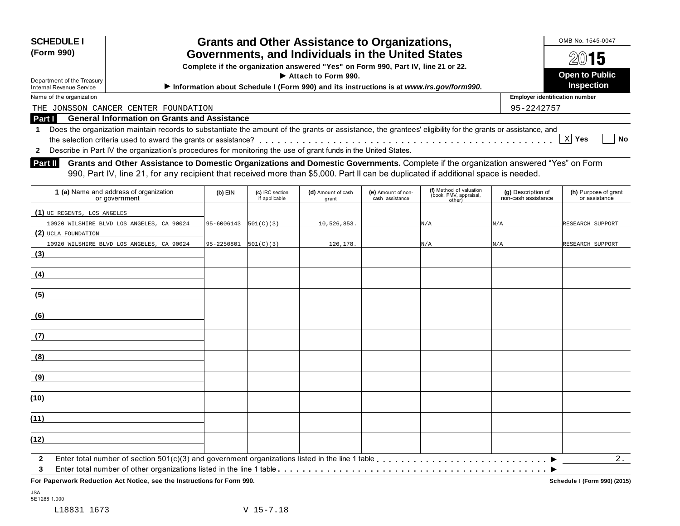| <b>SCHEDULE I</b>                                                                                                                                                                                                                                                                           |                              |                                  | <b>Grants and Other Assistance to Organizations,</b> |                                       |                                                             |                                           | OMB No. 1545-0047                     |  |  |  |
|---------------------------------------------------------------------------------------------------------------------------------------------------------------------------------------------------------------------------------------------------------------------------------------------|------------------------------|----------------------------------|------------------------------------------------------|---------------------------------------|-------------------------------------------------------------|-------------------------------------------|---------------------------------------|--|--|--|
| (Form 990)                                                                                                                                                                                                                                                                                  |                              |                                  | Governments, and Individuals in the United States    |                                       |                                                             |                                           | $20$ 15                               |  |  |  |
| Complete if the organization answered "Yes" on Form 990, Part IV, line 21 or 22.                                                                                                                                                                                                            |                              | <b>Open to Public</b>            |                                                      |                                       |                                                             |                                           |                                       |  |  |  |
| Attach to Form 990.<br>Department of the Treasury<br>Information about Schedule I (Form 990) and its instructions is at www.irs.gov/form990.                                                                                                                                                |                              |                                  |                                                      |                                       |                                                             |                                           |                                       |  |  |  |
| <b>Internal Revenue Service</b><br>Name of the organization                                                                                                                                                                                                                                 |                              |                                  |                                                      |                                       |                                                             | <b>Employer identification number</b>     | Inspection                            |  |  |  |
| THE JONSSON CANCER CENTER FOUNDATION                                                                                                                                                                                                                                                        |                              |                                  |                                                      |                                       |                                                             | 95-2242757                                |                                       |  |  |  |
| <b>General Information on Grants and Assistance</b><br>Part I                                                                                                                                                                                                                               |                              |                                  |                                                      |                                       |                                                             |                                           |                                       |  |  |  |
| Does the organization maintain records to substantiate the amount of the grants or assistance, the grantees' eligibility for the grants or assistance, and<br>1<br>2 Describe in Part IV the organization's procedures for monitoring the use of grant funds in the United States.          |                              |                                  |                                                      |                                       |                                                             |                                           | $X$ Yes<br>No                         |  |  |  |
| Grants and Other Assistance to Domestic Organizations and Domestic Governments. Complete if the organization answered "Yes" on Form<br><b>Part II</b><br>990, Part IV, line 21, for any recipient that received more than \$5,000. Part II can be duplicated if additional space is needed. |                              |                                  |                                                      |                                       |                                                             |                                           |                                       |  |  |  |
| 1 (a) Name and address of organization<br>or government                                                                                                                                                                                                                                     | $(b)$ EIN                    | (c) IRC section<br>if applicable | (d) Amount of cash<br>grant                          | (e) Amount of non-<br>cash assistance | (f) Method of valuation<br>(book, FMV, appraisal,<br>other) | (g) Description of<br>non-cash assistance | (h) Purpose of grant<br>or assistance |  |  |  |
| (1) UC REGENTS, LOS ANGELES                                                                                                                                                                                                                                                                 |                              |                                  |                                                      |                                       |                                                             |                                           |                                       |  |  |  |
| 10920 WILSHIRE BLVD LOS ANGELES, CA 90024                                                                                                                                                                                                                                                   | $95 - 6006143$ $ 501(C)(3) $ |                                  | 10,526,853.                                          |                                       | N/A                                                         | N/A                                       | RESEARCH SUPPORT                      |  |  |  |
| (2) UCLA FOUNDATION                                                                                                                                                                                                                                                                         |                              |                                  |                                                      |                                       |                                                             |                                           |                                       |  |  |  |
| 10920 WILSHIRE BLVD LOS ANGELES, CA 90024<br>(3)                                                                                                                                                                                                                                            | $95 - 2250801$ $ 501(C)(3) $ |                                  | 126,178.                                             |                                       | N/A                                                         | N/A                                       | RESEARCH SUPPORT                      |  |  |  |
| (4)                                                                                                                                                                                                                                                                                         |                              |                                  |                                                      |                                       |                                                             |                                           |                                       |  |  |  |
| (5)                                                                                                                                                                                                                                                                                         |                              |                                  |                                                      |                                       |                                                             |                                           |                                       |  |  |  |
| (6)                                                                                                                                                                                                                                                                                         |                              |                                  |                                                      |                                       |                                                             |                                           |                                       |  |  |  |
| (7)                                                                                                                                                                                                                                                                                         |                              |                                  |                                                      |                                       |                                                             |                                           |                                       |  |  |  |
| (8)                                                                                                                                                                                                                                                                                         |                              |                                  |                                                      |                                       |                                                             |                                           |                                       |  |  |  |
| (9)                                                                                                                                                                                                                                                                                         |                              |                                  |                                                      |                                       |                                                             |                                           |                                       |  |  |  |
| (10)                                                                                                                                                                                                                                                                                        |                              |                                  |                                                      |                                       |                                                             |                                           |                                       |  |  |  |
| (11)                                                                                                                                                                                                                                                                                        |                              |                                  |                                                      |                                       |                                                             |                                           |                                       |  |  |  |
| (12)                                                                                                                                                                                                                                                                                        |                              |                                  |                                                      |                                       |                                                             |                                           |                                       |  |  |  |
|                                                                                                                                                                                                                                                                                             |                              |                                  |                                                      |                                       |                                                             |                                           |                                       |  |  |  |

JSA 5E1288 1.000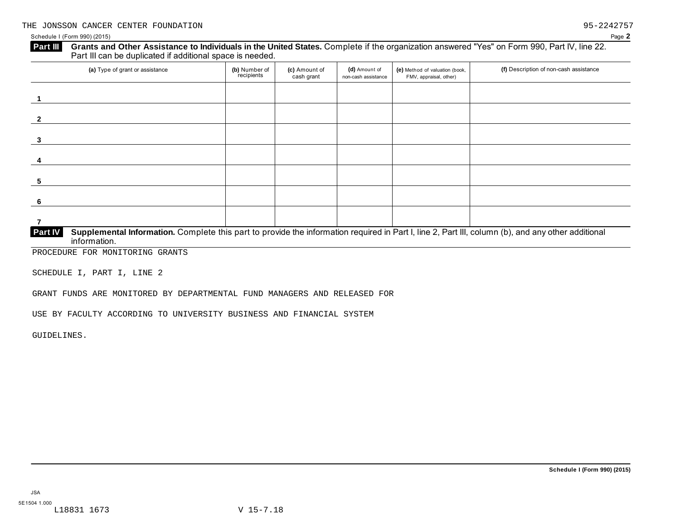#### Schedule I (Form 990) (2015) Page **2**

| (a) Type of grant or assistance | (b) Number of<br>recipients | (c) Amount of<br>cash grant | (d) Amount of<br>non-cash assistance | (e) Method of valuation (book,<br>FMV, appraisal, other) | (f) Description of non-cash assistance |
|---------------------------------|-----------------------------|-----------------------------|--------------------------------------|----------------------------------------------------------|----------------------------------------|
|                                 |                             |                             |                                      |                                                          |                                        |
|                                 |                             |                             |                                      |                                                          |                                        |
|                                 |                             |                             |                                      |                                                          |                                        |
|                                 |                             |                             |                                      |                                                          |                                        |
|                                 |                             |                             |                                      |                                                          |                                        |
|                                 |                             |                             |                                      |                                                          |                                        |
|                                 |                             |                             |                                      |                                                          |                                        |

**Grants and Other Assistance to Individuals in the United States.** Complete if the organization answered "Yes" on Form 990, Part IV, line 22. **Part III** 

PROCEDURE FOR MONITORING GRANTS

SCHEDULE I, PART I, LINE 2

GRANT FUNDS ARE MONITORED BY DEPARTMENTAL FUND MANAGERS AND RELEASED FOR

USE BY FACULTY ACCORDING TO UNIVERSITY BUSINESS AND FINANCIAL SYSTEM

GUIDELINES.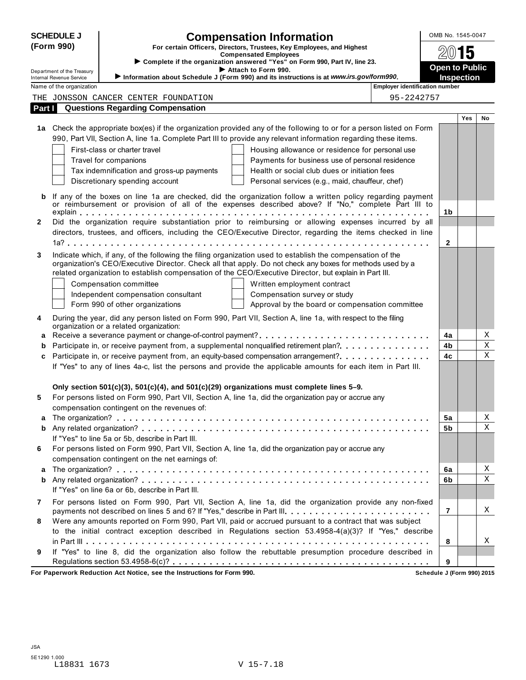|              |                                                                                                                     |                                                                                                  | <b>Compensation Information</b>                                                                                                                                                                                         |                                       |                       |            | OMB No. 1545-0047 |
|--------------|---------------------------------------------------------------------------------------------------------------------|--------------------------------------------------------------------------------------------------|-------------------------------------------------------------------------------------------------------------------------------------------------------------------------------------------------------------------------|---------------------------------------|-----------------------|------------|-------------------|
|              | (Form 990)<br>For certain Officers, Directors, Trustees, Key Employees, and Highest<br><b>Compensated Employees</b> |                                                                                                  |                                                                                                                                                                                                                         |                                       |                       | 5          |                   |
|              |                                                                                                                     |                                                                                                  | Complete if the organization answered "Yes" on Form 990, Part IV, line 23.                                                                                                                                              |                                       |                       |            |                   |
|              | Department of the Treasury                                                                                          |                                                                                                  | Attach to Form 990.<br>Information about Schedule J (Form 990) and its instructions is at www.irs.gov/form990.                                                                                                          |                                       | <b>Open to Public</b> |            |                   |
|              | Internal Revenue Service<br>Name of the organization                                                                |                                                                                                  |                                                                                                                                                                                                                         | <b>Employer identification number</b> | <b>Inspection</b>     |            |                   |
|              |                                                                                                                     | THE JONSSON CANCER CENTER FOUNDATION                                                             |                                                                                                                                                                                                                         | 95-2242757                            |                       |            |                   |
| Part I       |                                                                                                                     | <b>Questions Regarding Compensation</b>                                                          |                                                                                                                                                                                                                         |                                       |                       |            |                   |
|              |                                                                                                                     |                                                                                                  |                                                                                                                                                                                                                         |                                       |                       | <b>Yes</b> | No                |
|              |                                                                                                                     |                                                                                                  | 1a Check the appropriate box(es) if the organization provided any of the following to or for a person listed on Form                                                                                                    |                                       |                       |            |                   |
|              |                                                                                                                     |                                                                                                  | 990, Part VII, Section A, line 1a. Complete Part III to provide any relevant information regarding these items.                                                                                                         |                                       |                       |            |                   |
|              |                                                                                                                     | First-class or charter travel                                                                    | Housing allowance or residence for personal use                                                                                                                                                                         |                                       |                       |            |                   |
|              |                                                                                                                     | Travel for companions                                                                            | Payments for business use of personal residence                                                                                                                                                                         |                                       |                       |            |                   |
|              |                                                                                                                     | Tax indemnification and gross-up payments                                                        | Health or social club dues or initiation fees                                                                                                                                                                           |                                       |                       |            |                   |
|              |                                                                                                                     | Discretionary spending account                                                                   | Personal services (e.g., maid, chauffeur, chef)                                                                                                                                                                         |                                       |                       |            |                   |
| b            |                                                                                                                     |                                                                                                  | If any of the boxes on line 1a are checked, did the organization follow a written policy regarding payment<br>or reimbursement or provision of all of the expenses described above? If "No," complete Part III to       |                                       |                       |            |                   |
|              |                                                                                                                     |                                                                                                  |                                                                                                                                                                                                                         |                                       | 1 <sub>b</sub>        |            |                   |
| $\mathbf{2}$ |                                                                                                                     |                                                                                                  | Did the organization require substantiation prior to reimbursing or allowing expenses incurred by all                                                                                                                   |                                       |                       |            |                   |
|              |                                                                                                                     |                                                                                                  | directors, trustees, and officers, including the CEO/Executive Director, regarding the items checked in line                                                                                                            |                                       | $\mathbf{2}$          |            |                   |
|              |                                                                                                                     |                                                                                                  |                                                                                                                                                                                                                         |                                       |                       |            |                   |
| 3            |                                                                                                                     |                                                                                                  | Indicate which, if any, of the following the filing organization used to establish the compensation of the<br>organization's CEO/Executive Director. Check all that apply. Do not check any boxes for methods used by a |                                       |                       |            |                   |
|              |                                                                                                                     |                                                                                                  | related organization to establish compensation of the CEO/Executive Director, but explain in Part III.                                                                                                                  |                                       |                       |            |                   |
|              |                                                                                                                     | Compensation committee                                                                           | Written employment contract                                                                                                                                                                                             |                                       |                       |            |                   |
|              |                                                                                                                     | Independent compensation consultant                                                              | Compensation survey or study                                                                                                                                                                                            |                                       |                       |            |                   |
|              |                                                                                                                     | Form 990 of other organizations                                                                  | Approval by the board or compensation committee                                                                                                                                                                         |                                       |                       |            |                   |
| 4            |                                                                                                                     | organization or a related organization:                                                          | During the year, did any person listed on Form 990, Part VII, Section A, line 1a, with respect to the filing                                                                                                            |                                       |                       |            |                   |
| a            |                                                                                                                     |                                                                                                  |                                                                                                                                                                                                                         |                                       | 4a                    |            | Χ                 |
| b            |                                                                                                                     |                                                                                                  | Participate in, or receive payment from, a supplemental nonqualified retirement plan?                                                                                                                                   |                                       | 4b                    |            | Χ                 |
| c            |                                                                                                                     |                                                                                                  | Participate in, or receive payment from, an equity-based compensation arrangement?                                                                                                                                      |                                       | 4c                    |            | X                 |
|              |                                                                                                                     |                                                                                                  | If "Yes" to any of lines 4a-c, list the persons and provide the applicable amounts for each item in Part III.                                                                                                           |                                       |                       |            |                   |
|              |                                                                                                                     | Only section $501(c)(3)$ , $501(c)(4)$ , and $501(c)(29)$ organizations must complete lines 5-9. |                                                                                                                                                                                                                         |                                       |                       |            |                   |
| 5            |                                                                                                                     |                                                                                                  | For persons listed on Form 990, Part VII, Section A, line 1a, did the organization pay or accrue any                                                                                                                    |                                       |                       |            |                   |
|              |                                                                                                                     | compensation contingent on the revenues of:                                                      |                                                                                                                                                                                                                         |                                       |                       |            |                   |
| а            |                                                                                                                     |                                                                                                  |                                                                                                                                                                                                                         |                                       | 5a                    |            | Χ                 |
| b            |                                                                                                                     |                                                                                                  |                                                                                                                                                                                                                         |                                       | 5b                    |            | Χ                 |
|              |                                                                                                                     | If "Yes" to line 5a or 5b, describe in Part III.                                                 |                                                                                                                                                                                                                         |                                       |                       |            |                   |
| 6            |                                                                                                                     | compensation contingent on the net earnings of:                                                  | For persons listed on Form 990, Part VII, Section A, line 1a, did the organization pay or accrue any                                                                                                                    |                                       |                       |            |                   |
| а            |                                                                                                                     |                                                                                                  |                                                                                                                                                                                                                         |                                       | 6a                    |            | Χ                 |
| b            |                                                                                                                     | If "Yes" on line 6a or 6b, describe in Part III.                                                 |                                                                                                                                                                                                                         |                                       | 6b                    |            | Χ                 |
| 7            |                                                                                                                     |                                                                                                  | For persons listed on Form 990, Part VII, Section A, line 1a, did the organization provide any non-fixed                                                                                                                |                                       |                       |            |                   |
|              |                                                                                                                     |                                                                                                  | payments not described on lines 5 and 6? If "Yes," describe in Part III.                                                                                                                                                |                                       | $\overline{7}$        |            | Χ                 |
| 8            |                                                                                                                     |                                                                                                  | Were any amounts reported on Form 990, Part VII, paid or accrued pursuant to a contract that was subject                                                                                                                |                                       |                       |            |                   |
|              |                                                                                                                     |                                                                                                  | to the initial contract exception described in Regulations section 53.4958-4(a)(3)? If "Yes," describe                                                                                                                  |                                       |                       |            |                   |
| 9            |                                                                                                                     |                                                                                                  | If "Yes" to line 8, did the organization also follow the rebuttable presumption procedure described in                                                                                                                  |                                       | 8                     |            | X                 |
|              |                                                                                                                     |                                                                                                  |                                                                                                                                                                                                                         |                                       | 9                     |            |                   |
|              |                                                                                                                     | For Paperwork Reduction Act Notice, see the Instructions for Form 990.                           |                                                                                                                                                                                                                         | Schedule J (Form 990) 2015            |                       |            |                   |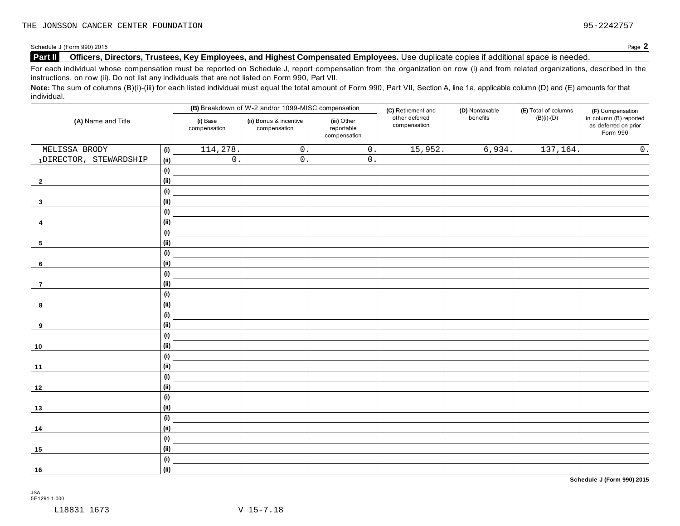Schedule J (Form 990) 2015 Page **2**

## **Part II** Officers, Directors, Trustees, Key Employees, and Highest Compensated Employees. Use duplicate copies if additional space is needed.

For each individual whose compensation must be reported on Schedule J, report compensation from the organization on row (i) and from related organizations, described in the instructions, on row (ii). Do not list any individuals that are not listed on Form 990, Part VII.

Note: The sum of columns (B)(i)-(iii) for each listed individual must equal the total amount of Form 990, Part VII, Section A, line 1a, applicable column (D) and (E) amounts for that individual.

|                        |                              |                          | (B) Breakdown of W-2 and/or 1099-MISC compensation |                                           | (C) Retirement and             | (D) Nontaxable | (E) Total of columns | (F) Compensation                                           |  |
|------------------------|------------------------------|--------------------------|----------------------------------------------------|-------------------------------------------|--------------------------------|----------------|----------------------|------------------------------------------------------------|--|
| (A) Name and Title     |                              | (i) Base<br>compensation | (ii) Bonus & incentive<br>compensation             | (iii) Other<br>reportable<br>compensation | other deferred<br>compensation | benefits       | $(B)(i)-(D)$         | in column (B) reported<br>as deferred on prior<br>Form 990 |  |
| MELISSA BRODY          | (i)                          | 114,278                  | $\mathsf 0$ .                                      | $\overline{0}$ .                          | 15,952.                        | 6,934.         | 137,164.             | $\,0$ .                                                    |  |
| 1DIRECTOR, STEWARDSHIP | (ii)                         | $\mathsf{O}$             | $\mathfrak o$ .                                    | $\mathbf{0}$ .                            |                                |                |                      |                                                            |  |
|                        | (i)                          |                          |                                                    |                                           |                                |                |                      |                                                            |  |
| $\mathbf{2}$           | (ii)                         |                          |                                                    |                                           |                                |                |                      |                                                            |  |
|                        | (i)                          |                          |                                                    |                                           |                                |                |                      |                                                            |  |
| $\mathbf{3}$           | (ii)                         |                          |                                                    |                                           |                                |                |                      |                                                            |  |
|                        | (i)                          |                          |                                                    |                                           |                                |                |                      |                                                            |  |
| 4                      | (ii)                         |                          |                                                    |                                           |                                |                |                      |                                                            |  |
|                        | (i)                          |                          |                                                    |                                           |                                |                |                      |                                                            |  |
| 5                      | (ii)                         |                          |                                                    |                                           |                                |                |                      |                                                            |  |
|                        | (i)                          |                          |                                                    |                                           |                                |                |                      |                                                            |  |
| 6                      | (ii)                         |                          |                                                    |                                           |                                |                |                      |                                                            |  |
|                        | (i)                          |                          |                                                    |                                           |                                |                |                      |                                                            |  |
| $\overline{7}$         | (ii)                         |                          |                                                    |                                           |                                |                |                      |                                                            |  |
|                        | $\qquad \qquad \textbf{(i)}$ |                          |                                                    |                                           |                                |                |                      |                                                            |  |
| 8                      | (ii)                         |                          |                                                    |                                           |                                |                |                      |                                                            |  |
|                        | (i)                          |                          |                                                    |                                           |                                |                |                      |                                                            |  |
| 9                      | (ii)                         |                          |                                                    |                                           |                                |                |                      |                                                            |  |
|                        | (i)                          |                          |                                                    |                                           |                                |                |                      |                                                            |  |
| 10                     | (ii)                         |                          |                                                    |                                           |                                |                |                      |                                                            |  |
|                        | (i)                          |                          |                                                    |                                           |                                |                |                      |                                                            |  |
| $11$                   | (ii)                         |                          |                                                    |                                           |                                |                |                      |                                                            |  |
|                        | (i)                          |                          |                                                    |                                           |                                |                |                      |                                                            |  |
| 12                     | (ii)                         |                          |                                                    |                                           |                                |                |                      |                                                            |  |
|                        | (i)                          |                          |                                                    |                                           |                                |                |                      |                                                            |  |
| 13                     | (ii)                         |                          |                                                    |                                           |                                |                |                      |                                                            |  |
|                        | (i)                          |                          |                                                    |                                           |                                |                |                      |                                                            |  |
| 14                     | (ii)                         |                          |                                                    |                                           |                                |                |                      |                                                            |  |
|                        | (i)                          |                          |                                                    |                                           |                                |                |                      |                                                            |  |
| 15                     | (ii)                         |                          |                                                    |                                           |                                |                |                      |                                                            |  |
|                        | (i)                          |                          |                                                    |                                           |                                |                |                      |                                                            |  |
| $16$                   | (ii)                         |                          |                                                    |                                           |                                |                |                      |                                                            |  |

**Schedule J (Form 990) 2015**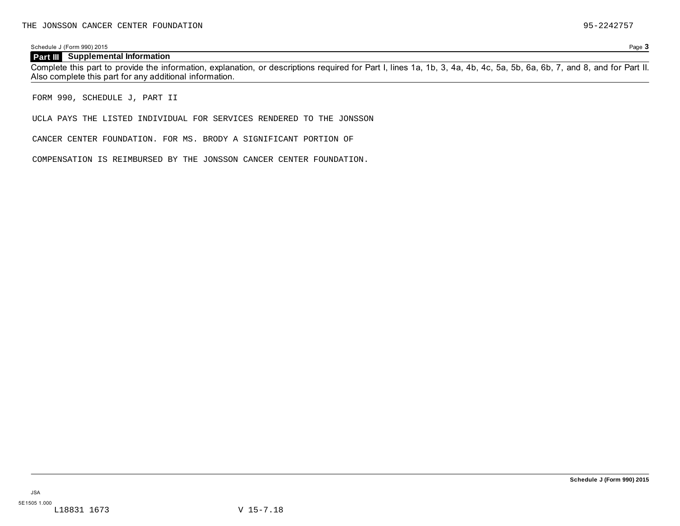## **Part III Supplemental Information**

Complete this part to provide the information, explanation, or descriptions required for Part I, lines 1a, 1b, 3, 4a, 4b, 4c, 5a, 5b, 6a, 6b, 7, and 8, and for Part II. Also complete this part for any additional information.

FORM 990, SCHEDULE J, PART II

UCLA PAYS THE LISTED INDIVIDUAL FOR SERVICES RENDERED TO THE JONSSON

CANCER CENTER FOUNDATION. FOR MS. BRODY A SIGNIFICANT PORTION OF

COMPENSATION IS REIMBURSED BY THE JONSSON CANCER CENTER FOUNDATION.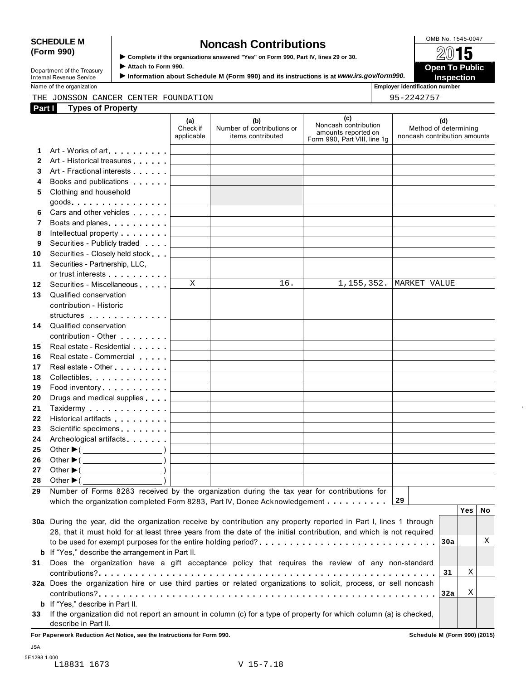# SCHEDULE M<br> **SCHEDULE M**  $\bullet$  Complete if the organizations answered "Yes" on Form 990, Part IV, lines 29 or 30.

| $\blacktriangleright$ comp  |
|-----------------------------|
| $\blacktriangleright$ Attac |

(FOITH 990) incomplete if the organizations answered "Yes" on Form 990, Part IV, lines 29 or 30.<br>Department of the Treasury Attach to Form 990. I 
interval and Treasury **interval and To Public Complete if the organizations answered "Yes" on Form 990, Part IV, lines 29 or 30.<br>
Department of the Treasury <b>Department of the Treasury Department of the Treasury Depart** 

**Department of the Treasury Medicular Conduct Schedule M (Form 990) and its instructions is at** *www.irs.gov/form990.***<br>Internal Revenue Service Music information about Schedule M (Form 990) and its instructions is at** *www.* 

Name of the organization **Employer identification number Employer identification number** 

| <b>Employer identificatio</b> |  |  |
|-------------------------------|--|--|
|                               |  |  |

|  |  | $95 - 224$ |
|--|--|------------|

|              | THE JONSSON CANCER CENTER FOUNDATION                                                                                                                                                                                           |                                   |                                                                                                                                               |                                                                                    | 95-2242757                                                   |
|--------------|--------------------------------------------------------------------------------------------------------------------------------------------------------------------------------------------------------------------------------|-----------------------------------|-----------------------------------------------------------------------------------------------------------------------------------------------|------------------------------------------------------------------------------------|--------------------------------------------------------------|
|              | <b>Types of Property</b><br>Part I                                                                                                                                                                                             |                                   |                                                                                                                                               |                                                                                    |                                                              |
|              |                                                                                                                                                                                                                                | (a)<br>Check if<br>applicable     | (b)<br>Number of contributions or<br>items contributed                                                                                        | (c)<br>Noncash contribution<br>amounts reported on<br>Form 990, Part VIII, line 1g | (d)<br>Method of determining<br>noncash contribution amounts |
| 1.           | Art - Works of art                                                                                                                                                                                                             |                                   |                                                                                                                                               |                                                                                    |                                                              |
| $\mathbf{2}$ | Art - Historical treasures                                                                                                                                                                                                     |                                   |                                                                                                                                               |                                                                                    |                                                              |
| 3            | Art - Fractional interests                                                                                                                                                                                                     |                                   |                                                                                                                                               |                                                                                    |                                                              |
| 4            | Books and publications <b>Solutions</b>                                                                                                                                                                                        |                                   |                                                                                                                                               |                                                                                    |                                                              |
| 5            | Clothing and household<br>$goods$                                                                                                                                                                                              |                                   |                                                                                                                                               |                                                                                    |                                                              |
| 6            | Cars and other vehicles <b>Cars</b>                                                                                                                                                                                            | and the state of the state        | <u> 1989 - Johann Barn, mars an t-Amerikaansk kommunister (</u><br>the control of the control of the control of the control of the control of |                                                                                    |                                                              |
| 7            | Boats and planes <b>Exercise 2</b>                                                                                                                                                                                             | <b>Contract Contract Contract</b> | <u> 1989 - Johann Stoff, fransk politik (d. 1989)</u>                                                                                         |                                                                                    |                                                              |
| 8            | Intellectual property <b>Algebra</b>                                                                                                                                                                                           | <b>Contract Contract Contract</b> | the control of the control of the control of the control of the control of                                                                    |                                                                                    |                                                              |
| 9            | Securities - Publicly traded                                                                                                                                                                                                   | <b>Contract Contract Contract</b> | <u> 1980 - Johann Barbara, martxa alemaniar a</u>                                                                                             |                                                                                    |                                                              |
| 10           | Securities - Closely held stock                                                                                                                                                                                                |                                   |                                                                                                                                               |                                                                                    |                                                              |
| 11           | Securities - Partnership, LLC,                                                                                                                                                                                                 |                                   |                                                                                                                                               |                                                                                    |                                                              |
|              | or trust interests experience that the set of the set of the set of the set of the set of the set of the set of the set of the set of the set of the set of the set of the set of the set of the set of the set of the set of  |                                   |                                                                                                                                               |                                                                                    |                                                              |
| 12           | Securities - Miscellaneous                                                                                                                                                                                                     | $\mathbf X$                       | 16.                                                                                                                                           | 1, 155, 352.                                                                       | MARKET VALUE                                                 |
| 13           | Qualified conservation                                                                                                                                                                                                         |                                   |                                                                                                                                               |                                                                                    |                                                              |
|              | contribution - Historic                                                                                                                                                                                                        |                                   |                                                                                                                                               |                                                                                    |                                                              |
|              | structures experiences                                                                                                                                                                                                         |                                   |                                                                                                                                               |                                                                                    |                                                              |
|              | 14 Qualified conservation                                                                                                                                                                                                      |                                   |                                                                                                                                               |                                                                                    |                                                              |
|              | contribution - Other <b>Contribution</b>                                                                                                                                                                                       | <b>Contract Contract Contract</b> | the control of the control of the control of the control of                                                                                   |                                                                                    |                                                              |
| 15           | Real estate - Residential                                                                                                                                                                                                      |                                   | the control of the control of the control of the control of the control of                                                                    |                                                                                    |                                                              |
| 16           | Real estate - Commercial                                                                                                                                                                                                       | <b>Contract Contract Contract</b> | <u> 1989 - Johann Stein, mars an t-Amerikaansk kommunister (</u>                                                                              |                                                                                    |                                                              |
| 17           | Real estate - Other <b>Calculation</b>                                                                                                                                                                                         | <b>Contract Contract Contract</b> | <u> 1980 - Johann Barbara, martxa alemaniar a</u>                                                                                             |                                                                                    |                                                              |
| 18           | Collectibles.                                                                                                                                                                                                                  | <b>Contract Contract Contract</b> | <u> 1989 - Johann Stoff, deutscher Stoffen und der Stoffen und der Stoffen und der Stoffen und der Stoffen und der</u>                        |                                                                                    |                                                              |
| 19           | Food inventory entertainment of the state of the state of the state of the state of the state of the state of the state of the state of the state of the state of the state of the state of the state of the state of the stat | <b>Contract Contract</b>          | the control of the control of the control of the control of the control of                                                                    |                                                                                    |                                                              |
| 20           | Drugs and medical supplies                                                                                                                                                                                                     | <b>Contract Contract Contract</b> | <u> 1989 - Johann Barn, mars eta bainar eta idazlea (h. 1989).</u>                                                                            |                                                                                    |                                                              |
| 21           | Taxidermy                                                                                                                                                                                                                      |                                   | the control of the control of the control of the control of the control of                                                                    |                                                                                    |                                                              |
| 22           | Historical artifacts <b>All Accords</b>                                                                                                                                                                                        | <b>Contract Contract Contract</b> | the control of the control of the control of the control of the control of                                                                    |                                                                                    |                                                              |
| 23           | Scientific specimens <b>Scientific specimens</b>                                                                                                                                                                               | <b>Contract Contract Contract</b> |                                                                                                                                               |                                                                                    |                                                              |
| 24           | Archeological artifacts                                                                                                                                                                                                        | <b>Contract Contract Contract</b> |                                                                                                                                               |                                                                                    |                                                              |
| 25           |                                                                                                                                                                                                                                |                                   |                                                                                                                                               |                                                                                    |                                                              |
| 26           | Other $\blacktriangleright$ ( $\_\_\_\_\_\_\_\_$ )                                                                                                                                                                             |                                   |                                                                                                                                               |                                                                                    |                                                              |
| 27<br>28     | Other $\blacktriangleright$ (                                                                                                                                                                                                  |                                   |                                                                                                                                               |                                                                                    |                                                              |
| 29           | Other $\blacktriangleright$ (<br>Number of Forms 8283 received by the organization during the tax year for contributions for                                                                                                   |                                   |                                                                                                                                               |                                                                                    |                                                              |
|              | which the organization completed Form 8283, Part IV, Donee Acknowledgement                                                                                                                                                     |                                   |                                                                                                                                               |                                                                                    | 29                                                           |
|              |                                                                                                                                                                                                                                |                                   |                                                                                                                                               |                                                                                    | Yes   No                                                     |
|              | 30a During the year, did the organization receive by contribution any property reported in Part I, lines 1 through                                                                                                             |                                   |                                                                                                                                               |                                                                                    |                                                              |
|              | 28, that it must hold for at least three years from the date of the initial contribution, and which is not required                                                                                                            |                                   |                                                                                                                                               |                                                                                    |                                                              |
|              | to be used for exempt purposes for the entire holding period?                                                                                                                                                                  |                                   |                                                                                                                                               |                                                                                    | Χ<br>30a                                                     |
|              | <b>b</b> If "Yes," describe the arrangement in Part II.                                                                                                                                                                        |                                   |                                                                                                                                               |                                                                                    |                                                              |
| 31           | Does the organization have a gift acceptance policy that requires the review of any non-standard                                                                                                                               |                                   |                                                                                                                                               |                                                                                    |                                                              |
|              |                                                                                                                                                                                                                                |                                   |                                                                                                                                               |                                                                                    | 31<br>Χ                                                      |
|              | 32a Does the organization hire or use third parties or related organizations to solicit, process, or sell noncash                                                                                                              |                                   |                                                                                                                                               |                                                                                    |                                                              |
|              |                                                                                                                                                                                                                                |                                   |                                                                                                                                               |                                                                                    | Χ<br>32a                                                     |
|              | <b>b</b> If "Yes," describe in Part II.                                                                                                                                                                                        |                                   |                                                                                                                                               |                                                                                    |                                                              |
| 33           | If the organization did not report an amount in column (c) for a type of property for which column (a) is checked,                                                                                                             |                                   |                                                                                                                                               |                                                                                    |                                                              |
|              | describe in Part II.                                                                                                                                                                                                           |                                   |                                                                                                                                               |                                                                                    |                                                              |
|              | For Paperwork Reduction Act Notice, see the Instructions for Form 990.                                                                                                                                                         |                                   |                                                                                                                                               |                                                                                    | Schedule M (Form 990) (2015)                                 |

JSA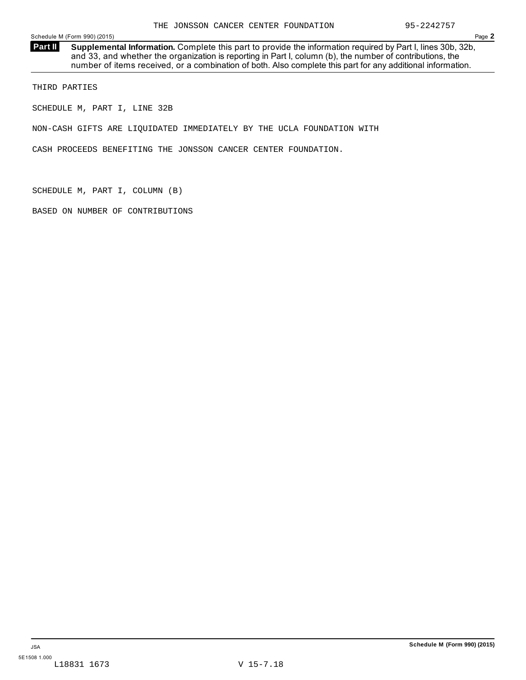**Supplemental Information.** Complete this part to provide the information required by Part I, lines 30b, 32b, and 33, and whether the organization is reporting in Part I, column (b), the number of contributions, the number of items received, or a combination of both. Also complete this part for any additional information. **Part II** 

THIRD PARTIES

SCHEDULE M, PART I, LINE 32B

NON-CASH GIFTS ARE LIQUIDATED IMMEDIATELY BY THE UCLA FOUNDATION WITH

CASH PROCEEDS BENEFITING THE JONSSON CANCER CENTER FOUNDATION.

SCHEDULE M, PART I, COLUMN (B)

BASED ON NUMBER OF CONTRIBUTIONS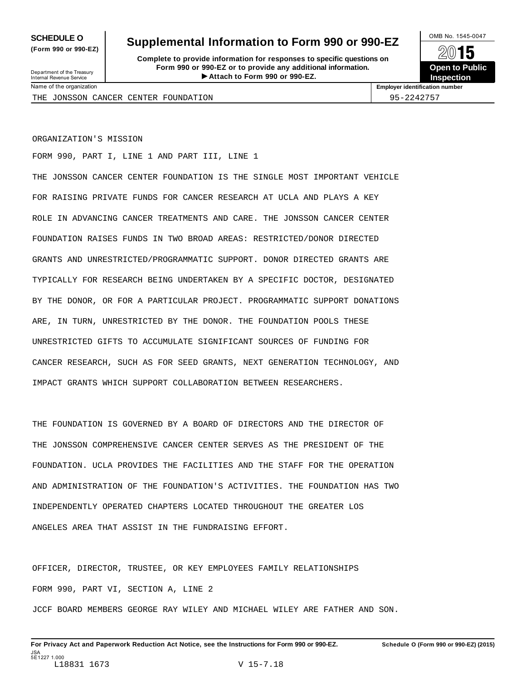**(Form 990 or 990-EZ)**

# **SCHEDULE O** Supplemental Information to Form 990 or 990-EZ  $\frac{\circ}{\cdot}$

**Complete to provide information for responses to specific questions on Form 990 or 990-EZ or to provide any additional information.** Department of the Treasury<br> **Attach to Form 990 or 990-EZ. Inspection Inspection** 



Department of the Treasury<br>Internal Revenue Service<br>Name of the organization

THE JONSSON CANCER CENTER FOUNDATION **195-2242757** 

**Employer identification number** 

ORGANIZATION'S MISSION

FORM 990, PART I, LINE 1 AND PART III, LINE 1

THE JONSSON CANCER CENTER FOUNDATION IS THE SINGLE MOST IMPORTANT VEHICLE FOR RAISING PRIVATE FUNDS FOR CANCER RESEARCH AT UCLA AND PLAYS A KEY ROLE IN ADVANCING CANCER TREATMENTS AND CARE. THE JONSSON CANCER CENTER FOUNDATION RAISES FUNDS IN TWO BROAD AREAS: RESTRICTED/DONOR DIRECTED GRANTS AND UNRESTRICTED/PROGRAMMATIC SUPPORT. DONOR DIRECTED GRANTS ARE TYPICALLY FOR RESEARCH BEING UNDERTAKEN BY A SPECIFIC DOCTOR, DESIGNATED BY THE DONOR, OR FOR A PARTICULAR PROJECT. PROGRAMMATIC SUPPORT DONATIONS ARE, IN TURN, UNRESTRICTED BY THE DONOR. THE FOUNDATION POOLS THESE UNRESTRICTED GIFTS TO ACCUMULATE SIGNIFICANT SOURCES OF FUNDING FOR CANCER RESEARCH, SUCH AS FOR SEED GRANTS, NEXT GENERATION TECHNOLOGY, AND IMPACT GRANTS WHICH SUPPORT COLLABORATION BETWEEN RESEARCHERS.

THE FOUNDATION IS GOVERNED BY A BOARD OF DIRECTORS AND THE DIRECTOR OF THE JONSSON COMPREHENSIVE CANCER CENTER SERVES AS THE PRESIDENT OF THE FOUNDATION. UCLA PROVIDES THE FACILITIES AND THE STAFF FOR THE OPERATION AND ADMINISTRATION OF THE FOUNDATION'S ACTIVITIES. THE FOUNDATION HAS TWO INDEPENDENTLY OPERATED CHAPTERS LOCATED THROUGHOUT THE GREATER LOS ANGELES AREA THAT ASSIST IN THE FUNDRAISING EFFORT.

OFFICER, DIRECTOR, TRUSTEE, OR KEY EMPLOYEES FAMILY RELATIONSHIPS FORM 990, PART VI, SECTION A, LINE 2 JCCF BOARD MEMBERS GEORGE RAY WILEY AND MICHAEL WILEY ARE FATHER AND SON.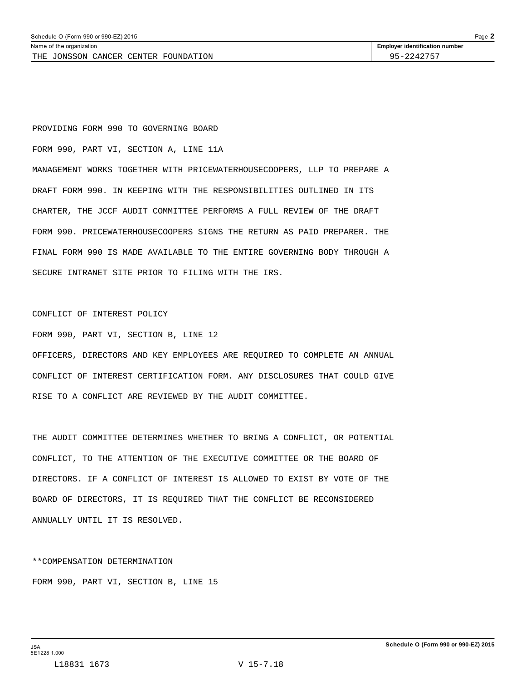PROVIDING FORM 990 TO GOVERNING BOARD FORM 990, PART VI, SECTION A, LINE 11A MANAGEMENT WORKS TOGETHER WITH PRICEWATERHOUSECOOPERS, LLP TO PREPARE A DRAFT FORM 990. IN KEEPING WITH THE RESPONSIBILITIES OUTLINED IN ITS CHARTER, THE JCCF AUDIT COMMITTEE PERFORMS A FULL REVIEW OF THE DRAFT FORM 990. PRICEWATERHOUSECOOPERS SIGNS THE RETURN AS PAID PREPARER. THE FINAL FORM 990 IS MADE AVAILABLE TO THE ENTIRE GOVERNING BODY THROUGH A SECURE INTRANET SITE PRIOR TO FILING WITH THE IRS.

#### CONFLICT OF INTEREST POLICY

FORM 990, PART VI, SECTION B, LINE 12

OFFICERS, DIRECTORS AND KEY EMPLOYEES ARE REQUIRED TO COMPLETE AN ANNUAL CONFLICT OF INTEREST CERTIFICATION FORM. ANY DISCLOSURES THAT COULD GIVE RISE TO A CONFLICT ARE REVIEWED BY THE AUDIT COMMITTEE.

THE AUDIT COMMITTEE DETERMINES WHETHER TO BRING A CONFLICT, OR POTENTIAL CONFLICT, TO THE ATTENTION OF THE EXECUTIVE COMMITTEE OR THE BOARD OF DIRECTORS. IF A CONFLICT OF INTEREST IS ALLOWED TO EXIST BY VOTE OF THE BOARD OF DIRECTORS, IT IS REQUIRED THAT THE CONFLICT BE RECONSIDERED ANNUALLY UNTIL IT IS RESOLVED.

\*\*COMPENSATION DETERMINATION FORM 990, PART VI, SECTION B, LINE 15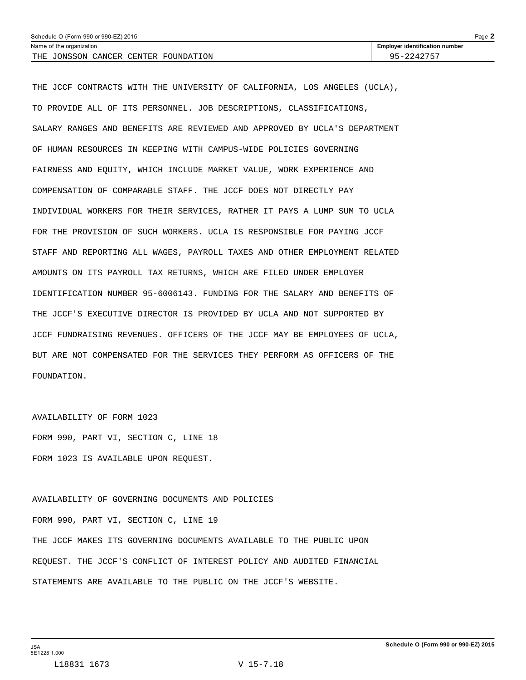| Schedule O (Form 990 or 990-EZ) 2015 |  |                                       |            | Page $\blacktriangle$ |
|--------------------------------------|--|---------------------------------------|------------|-----------------------|
| Name of the organization             |  | <b>Employer identification number</b> |            |                       |
| THE JONSSON CANCER CENTER FOUNDATION |  |                                       | 95-2242757 |                       |

THE JCCF CONTRACTS WITH THE UNIVERSITY OF CALIFORNIA, LOS ANGELES (UCLA), TO PROVIDE ALL OF ITS PERSONNEL. JOB DESCRIPTIONS, CLASSIFICATIONS, SALARY RANGES AND BENEFITS ARE REVIEWED AND APPROVED BY UCLA'S DEPARTMENT OF HUMAN RESOURCES IN KEEPING WITH CAMPUS-WIDE POLICIES GOVERNING FAIRNESS AND EQUITY, WHICH INCLUDE MARKET VALUE, WORK EXPERIENCE AND COMPENSATION OF COMPARABLE STAFF. THE JCCF DOES NOT DIRECTLY PAY INDIVIDUAL WORKERS FOR THEIR SERVICES, RATHER IT PAYS A LUMP SUM TO UCLA FOR THE PROVISION OF SUCH WORKERS. UCLA IS RESPONSIBLE FOR PAYING JCCF STAFF AND REPORTING ALL WAGES, PAYROLL TAXES AND OTHER EMPLOYMENT RELATED AMOUNTS ON ITS PAYROLL TAX RETURNS, WHICH ARE FILED UNDER EMPLOYER IDENTIFICATION NUMBER 95-6006143. FUNDING FOR THE SALARY AND BENEFITS OF THE JCCF'S EXECUTIVE DIRECTOR IS PROVIDED BY UCLA AND NOT SUPPORTED BY JCCF FUNDRAISING REVENUES. OFFICERS OF THE JCCF MAY BE EMPLOYEES OF UCLA, BUT ARE NOT COMPENSATED FOR THE SERVICES THEY PERFORM AS OFFICERS OF THE FOUNDATION.

AVAILABILITY OF FORM 1023 FORM 990, PART VI, SECTION C, LINE 18 FORM 1023 IS AVAILABLE UPON REQUEST.

AVAILABILITY OF GOVERNING DOCUMENTS AND POLICIES FORM 990, PART VI, SECTION C, LINE 19 THE JCCF MAKES ITS GOVERNING DOCUMENTS AVAILABLE TO THE PUBLIC UPON REQUEST. THE JCCF'S CONFLICT OF INTEREST POLICY AND AUDITED FINANCIAL STATEMENTS ARE AVAILABLE TO THE PUBLIC ON THE JCCF'S WEBSITE.